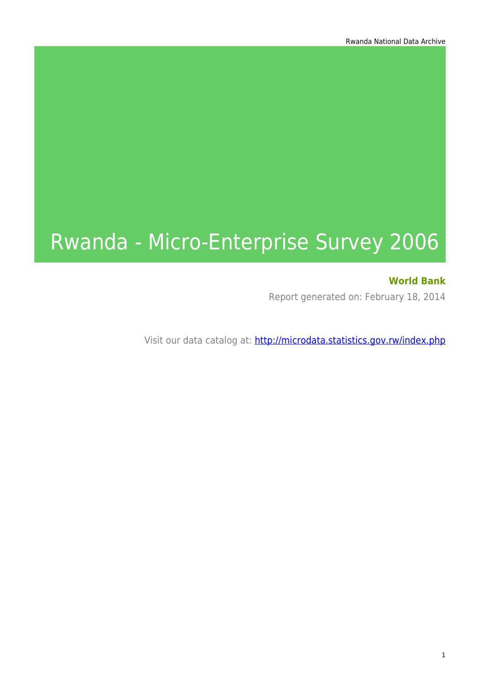# Rwanda - Micro-Enterprise Survey 2006

### **World Bank**

Report generated on: February 18, 2014

Visit our data catalog at: http://microdata.statistics.gov.rw/index.php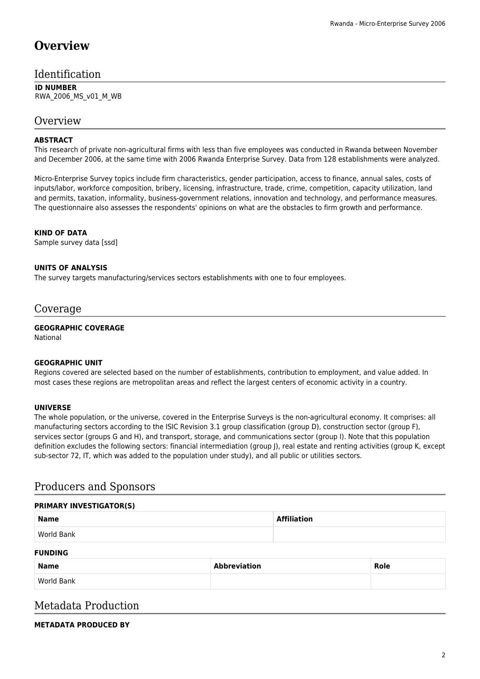## **Overview**

### Identification

### **ID NUMBER**

RWA\_2006\_MS\_v01\_M\_WB

### **Overview**

### **ABSTRACT**

This research of private non-agricultural firms with less than five employees was conducted in Rwanda between November and December 2006, at the same time with 2006 Rwanda Enterprise Survey. Data from 128 establishments were analyzed.

Micro-Enterprise Survey topics include firm characteristics, gender participation, access to finance, annual sales, costs of inputs/labor, workforce composition, bribery, licensing, infrastructure, trade, crime, competition, capacity utilization, land and permits, taxation, informality, business-government relations, innovation and technology, and performance measures. The questionnaire also assesses the respondents' opinions on what are the obstacles to firm growth and performance.

### **KIND OF DATA**

Sample survey data [ssd]

### **UNITS OF ANALYSIS**

The survey targets manufacturing/services sectors establishments with one to four employees.

### Coverage

### **GEOGRAPHIC COVERAGE**

National

#### **GEOGRAPHIC UNIT**

Regions covered are selected based on the number of establishments, contribution to employment, and value added. In most cases these regions are metropolitan areas and reflect the largest centers of economic activity in a country.

#### **UNIVERSE**

The whole population, or the universe, covered in the Enterprise Surveys is the non-agricultural economy. It comprises: all manufacturing sectors according to the ISIC Revision 3.1 group classification (group D), construction sector (group F), services sector (groups G and H), and transport, storage, and communications sector (group I). Note that this population definition excludes the following sectors: financial intermediation (group J), real estate and renting activities (group K, except sub-sector 72, IT, which was added to the population under study), and all public or utilities sectors.

### Producers and Sponsors

| <b>PRIMARY INVESTIGATOR(S)</b> |  |                     |                    |      |  |  |  |
|--------------------------------|--|---------------------|--------------------|------|--|--|--|
| <b>Name</b>                    |  |                     | <b>Affiliation</b> |      |  |  |  |
| World Bank                     |  |                     |                    |      |  |  |  |
| <b>FUNDING</b>                 |  |                     |                    |      |  |  |  |
| <b>Name</b>                    |  | <b>Abbreviation</b> |                    | Role |  |  |  |
| World Bank                     |  |                     |                    |      |  |  |  |

### Metadata Production

### **METADATA PRODUCED BY**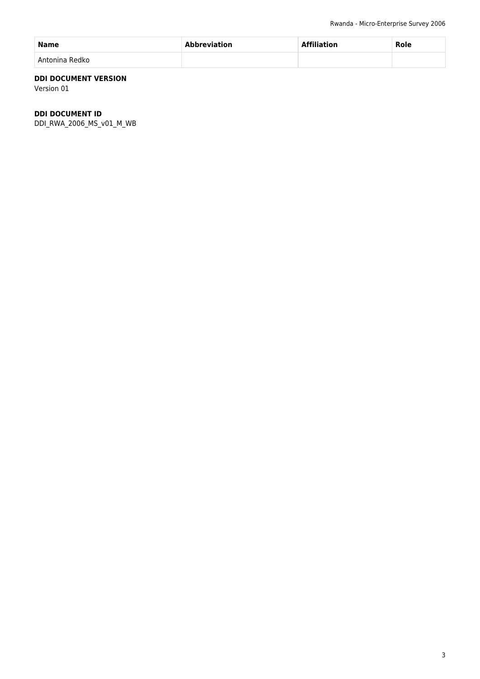| <b>Name</b>    | <b>Abbreviation</b> | <b>Affiliation</b> | <b>Role</b> |
|----------------|---------------------|--------------------|-------------|
| Antonina Redko |                     |                    |             |

### **DDI DOCUMENT VERSION**

Version 01

### **DDI DOCUMENT ID**

DDI\_RWA\_2006\_MS\_v01\_M\_WB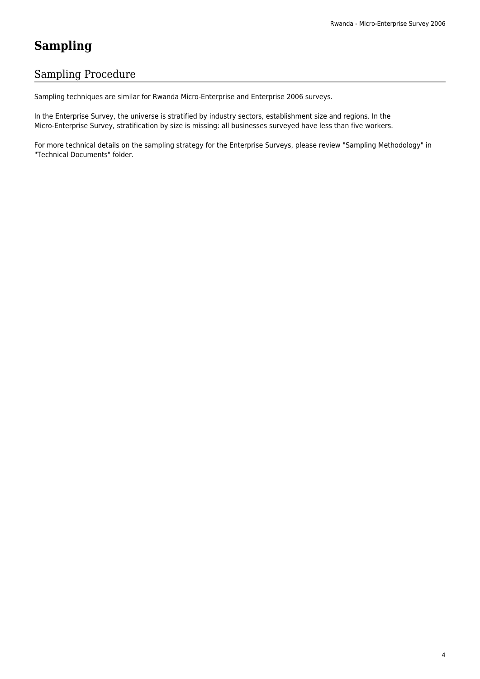# **Sampling**

### Sampling Procedure

Sampling techniques are similar for Rwanda Micro-Enterprise and Enterprise 2006 surveys.

In the Enterprise Survey, the universe is stratified by industry sectors, establishment size and regions. In the Micro-Enterprise Survey, stratification by size is missing: all businesses surveyed have less than five workers.

For more technical details on the sampling strategy for the Enterprise Surveys, please review "Sampling Methodology" in "Technical Documents" folder.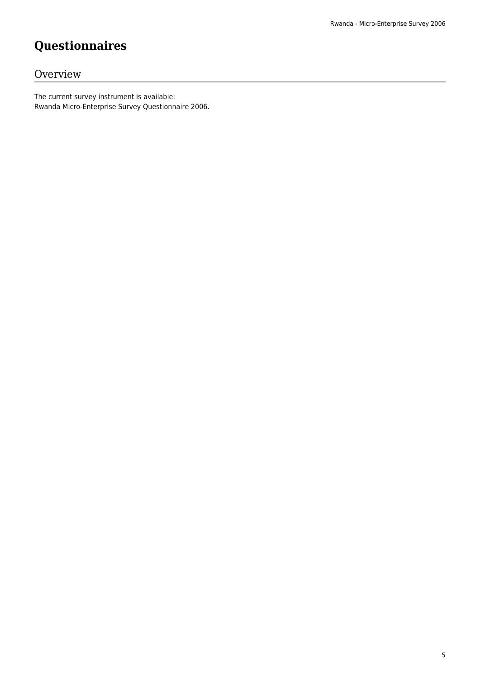# **Questionnaires**

### **Overview**

The current survey instrument is available: Rwanda Micro-Enterprise Survey Questionnaire 2006.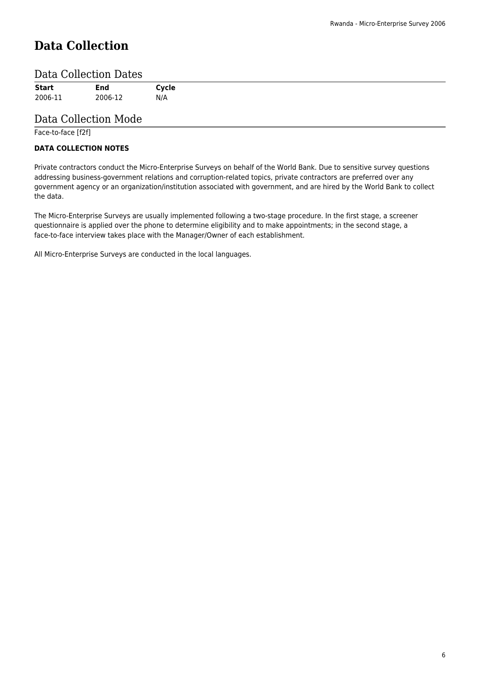# **Data Collection**

### Data Collection Dates

| <b>Start</b><br><b>End</b><br>Cycle |         | - - - - - - - - - - - - - - - - - - - |     |  |
|-------------------------------------|---------|---------------------------------------|-----|--|
|                                     |         |                                       |     |  |
|                                     | 2006-11 | 2006-12                               | N/A |  |

### Data Collection Mode

Face-to-face [f2f]

### **DATA COLLECTION NOTES**

Private contractors conduct the Micro-Enterprise Surveys on behalf of the World Bank. Due to sensitive survey questions addressing business-government relations and corruption-related topics, private contractors are preferred over any government agency or an organization/institution associated with government, and are hired by the World Bank to collect the data.

The Micro-Enterprise Surveys are usually implemented following a two-stage procedure. In the first stage, a screener questionnaire is applied over the phone to determine eligibility and to make appointments; in the second stage, a face-to-face interview takes place with the Manager/Owner of each establishment.

All Micro-Enterprise Surveys are conducted in the local languages.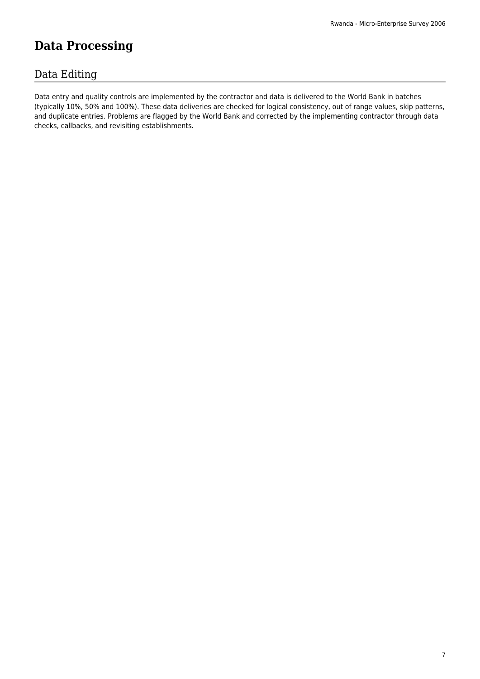# **Data Processing**

### Data Editing

Data entry and quality controls are implemented by the contractor and data is delivered to the World Bank in batches (typically 10%, 50% and 100%). These data deliveries are checked for logical consistency, out of range values, skip patterns, and duplicate entries. Problems are flagged by the World Bank and corrected by the implementing contractor through data checks, callbacks, and revisiting establishments.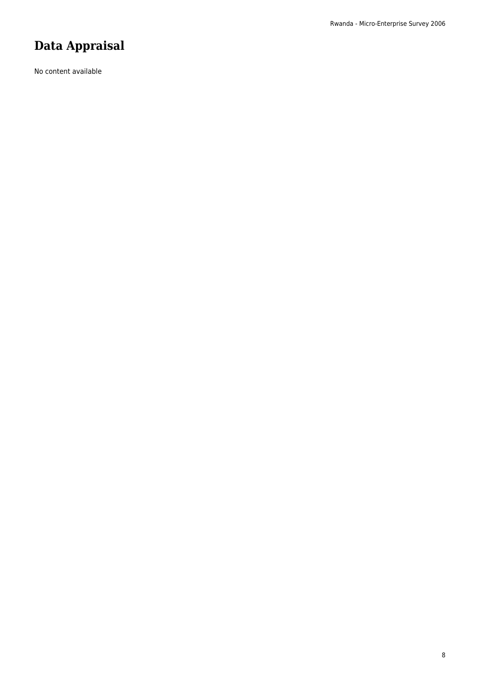# **Data Appraisal**

No content available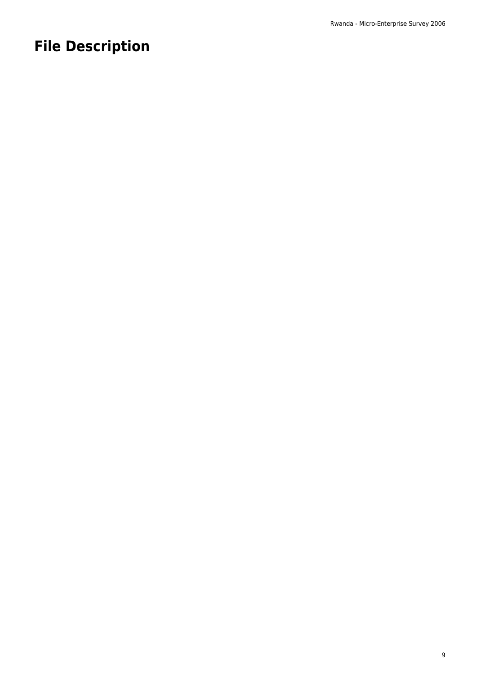# **File Description**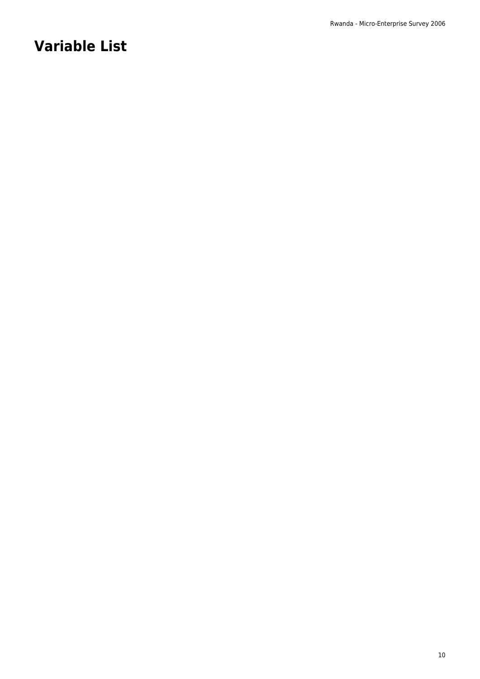# **Variable List**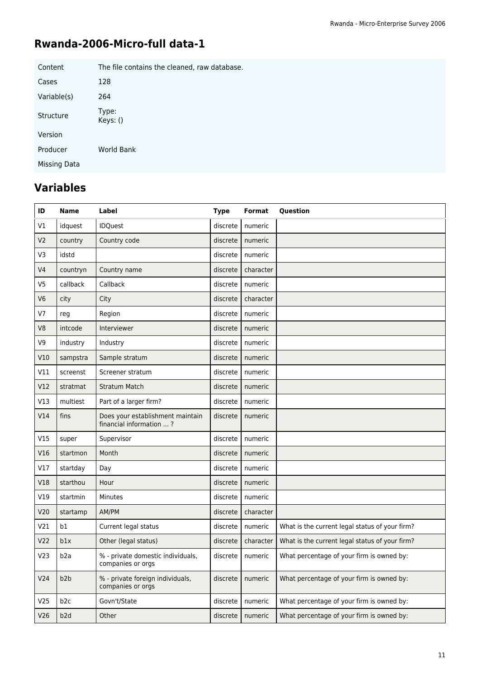## **Rwanda-2006-Micro-full data-1**

| Content      | The file contains the cleaned, raw database. |
|--------------|----------------------------------------------|
| Cases        | 128                                          |
| Variable(s)  | 264                                          |
| Structure    | Type:<br>Keys: ()                            |
| Version      |                                              |
| Producer     | World Bank                                   |
| Missing Data |                                              |

# **Variables**

| ID              | <b>Name</b>      | <b>Label</b>                                                | <b>Type</b> | Format    | Question                                       |
|-----------------|------------------|-------------------------------------------------------------|-------------|-----------|------------------------------------------------|
| V1              | idguest          | <b>IDQuest</b>                                              | discrete    | numeric   |                                                |
| V <sub>2</sub>  | country          | Country code                                                | discrete    | numeric   |                                                |
| V3              | idstd            |                                                             | discrete    | numeric   |                                                |
| V <sub>4</sub>  | countryn         | Country name                                                | discrete    | character |                                                |
| V <sub>5</sub>  | callback         | Callback                                                    | discrete    | numeric   |                                                |
| V <sub>6</sub>  | city             | City                                                        | discrete    | character |                                                |
| V <sub>7</sub>  | reg              | Region                                                      | discrete    | numeric   |                                                |
| V <sub>8</sub>  | intcode          | Interviewer                                                 | discrete    | numeric   |                                                |
| V <sub>9</sub>  | industry         | Industry                                                    | discrete    | numeric   |                                                |
| V10             | sampstra         | Sample stratum                                              | discrete    | numeric   |                                                |
| V11             | screenst         | Screener stratum                                            | discrete    | numeric   |                                                |
| V12             | stratmat         | <b>Stratum Match</b>                                        | discrete    | numeric   |                                                |
| V13             | multiest         | Part of a larger firm?                                      | discrete    | numeric   |                                                |
| V14             | fins             | Does your establishment maintain<br>financial information ? | discrete    | numeric   |                                                |
| V15             | super            | Supervisor                                                  | discrete    | numeric   |                                                |
| V16             | startmon         | Month                                                       | discrete    | numeric   |                                                |
| V17             | startday         | Day                                                         | discrete    | numeric   |                                                |
| V18             | starthou         | Hour                                                        | discrete    | numeric   |                                                |
| V19             | startmin         | Minutes                                                     | discrete    | numeric   |                                                |
| V <sub>20</sub> | startamp         | AM/PM                                                       | discrete    | character |                                                |
| V <sub>21</sub> | b1               | Current legal status                                        | discrete    | numeric   | What is the current legal status of your firm? |
| V <sub>22</sub> | b1x              | Other (legal status)                                        | discrete    | character | What is the current legal status of your firm? |
| V <sub>23</sub> | b <sub>2</sub> a | % - private domestic individuals,<br>companies or orgs      | discrete    | numeric   | What percentage of your firm is owned by:      |
| V <sub>24</sub> | b2b              | % - private foreign individuals,<br>companies or orgs       | discrete    | numeric   | What percentage of your firm is owned by:      |
| V <sub>25</sub> | b <sub>2c</sub>  | Govn't/State                                                | discrete    | numeric   | What percentage of your firm is owned by:      |
| V <sub>26</sub> | b <sub>2d</sub>  | Other                                                       | discrete    | numeric   | What percentage of your firm is owned by:      |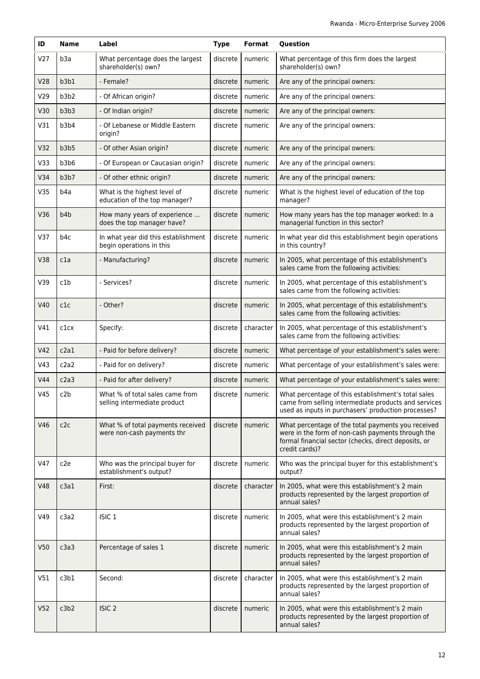| ID              | <b>Name</b>      | Label                                                           | <b>Type</b> | <b>Format</b> | Question                                                                                                                                                                          |
|-----------------|------------------|-----------------------------------------------------------------|-------------|---------------|-----------------------------------------------------------------------------------------------------------------------------------------------------------------------------------|
| V <sub>27</sub> | b <sub>3</sub> a | What percentage does the largest<br>shareholder(s) own?         | discrete    | numeric       | What percentage of this firm does the largest<br>shareholder(s) own?                                                                                                              |
| V28             | b3b1             | - Female?                                                       | discrete    | numeric       | Are any of the principal owners:                                                                                                                                                  |
| V29             | b3b2             | - Of African origin?                                            | discrete    | numeric       | Are any of the principal owners:                                                                                                                                                  |
| V30             | b3b3             | - Of Indian origin?                                             | discrete    | numeric       | Are any of the principal owners:                                                                                                                                                  |
| V31             | b3b4             | - Of Lebanese or Middle Eastern<br>origin?                      | discrete    | numeric       | Are any of the principal owners:                                                                                                                                                  |
| V <sub>32</sub> | b3b5             | - Of other Asian origin?                                        | discrete    | numeric       | Are any of the principal owners:                                                                                                                                                  |
| V33             | b3b6             | - Of European or Caucasian origin?                              | discrete    | numeric       | Are any of the principal owners:                                                                                                                                                  |
| V34             | b3b7             | - Of other ethnic origin?                                       | discrete    | numeric       | Are any of the principal owners:                                                                                                                                                  |
| V35             | b4a              | What is the highest level of<br>education of the top manager?   | discrete    | numeric       | What is the highest level of education of the top<br>manager?                                                                                                                     |
| V36             | b <sub>4</sub> b | How many years of experience<br>does the top manager have?      | discrete    | numeric       | How many years has the top manager worked: In a<br>managerial function in this sector?                                                                                            |
| V37             | b4c              | In what year did this establishment<br>begin operations in this | discrete    | numeric       | In what year did this establishment begin operations<br>in this country?                                                                                                          |
| V38             | c1a              | - Manufacturing?                                                | discrete    | numeric       | In 2005, what percentage of this establishment's<br>sales came from the following activities:                                                                                     |
| V39             | c1b              | - Services?                                                     | discrete    | numeric       | In 2005, what percentage of this establishment's<br>sales came from the following activities:                                                                                     |
| V40             | c1c              | - Other?                                                        | discrete    | numeric       | In 2005, what percentage of this establishment's<br>sales came from the following activities:                                                                                     |
| V41             | c1cx             | Specify:                                                        | discrete    | character     | In 2005, what percentage of this establishment's<br>sales came from the following activities:                                                                                     |
| V42             | c2a1             | - Paid for before delivery?                                     | discrete    | numeric       | What percentage of your establishment's sales were:                                                                                                                               |
| V43             | c2a2             | - Paid for on delivery?                                         | discrete    | numeric       | What percentage of your establishment's sales were:                                                                                                                               |
| V44             | c2a3             | - Paid for after delivery?                                      | discrete    | numeric       | What percentage of your establishment's sales were:                                                                                                                               |
| V <sub>45</sub> | c2b              | What % of total sales came from<br>selling intermediate product | discrete    | numeric       | What percentage of this establishment's total sales<br>came from selling intermediate products and services<br>used as inputs in purchasers' production processes?                |
| V46             | c2c              | What % of total payments received<br>were non-cash payments thr | discrete    | numeric       | What percentage of the total payments you received<br>were in the form of non-cash payments through the<br>formal financial sector (checks, direct deposits, or<br>credit cards)? |
| V47             | c2e              | Who was the principal buyer for<br>establishment's output?      | discrete    | numeric       | Who was the principal buyer for this establishment's<br>output?                                                                                                                   |
| <b>V48</b>      | c3a1             | First:                                                          | discrete    | character     | In 2005, what were this establishment's 2 main<br>products represented by the largest proportion of<br>annual sales?                                                              |
| V49             | c3a2             | ISIC <sub>1</sub>                                               | discrete    | numeric       | In 2005, what were this establishment's 2 main<br>products represented by the largest proportion of<br>annual sales?                                                              |
| V <sub>50</sub> | c3a3             | Percentage of sales 1                                           | discrete    | numeric       | In 2005, what were this establishment's 2 main<br>products represented by the largest proportion of<br>annual sales?                                                              |
| V51             | c3b1             | Second:                                                         | discrete    | character     | In 2005, what were this establishment's 2 main<br>products represented by the largest proportion of<br>annual sales?                                                              |
| V <sub>52</sub> | c3b2             | <b>ISIC<sub>2</sub></b>                                         | discrete    | numeric       | In 2005, what were this establishment's 2 main<br>products represented by the largest proportion of<br>annual sales?                                                              |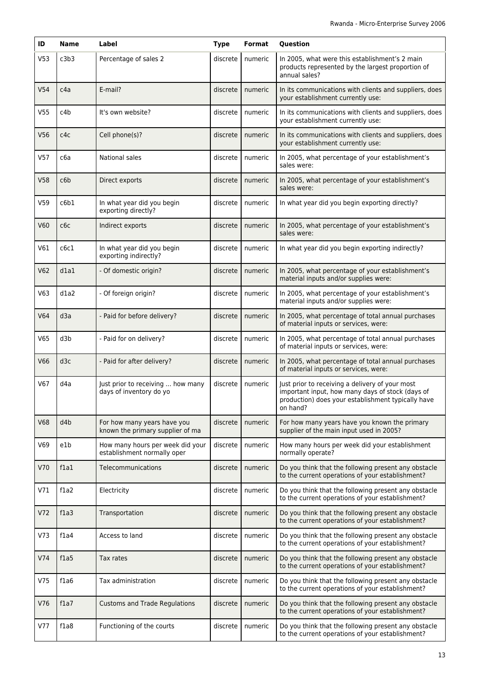| ID              | Name       | Label                                                           | <b>Type</b> | Format  | Question                                                                                                                                                              |
|-----------------|------------|-----------------------------------------------------------------|-------------|---------|-----------------------------------------------------------------------------------------------------------------------------------------------------------------------|
| V <sub>53</sub> | c3b3       | Percentage of sales 2                                           | discrete    | numeric | In 2005, what were this establishment's 2 main<br>products represented by the largest proportion of<br>annual sales?                                                  |
| V <sub>54</sub> | c4a        | E-mail?                                                         | discrete    | numeric | In its communications with clients and suppliers, does<br>your establishment currently use:                                                                           |
| V <sub>55</sub> | c4b        | It's own website?                                               | discrete    | numeric | In its communications with clients and suppliers, does<br>your establishment currently use:                                                                           |
| V56             | c4c        | Cell phone(s)?                                                  | discrete    | numeric | In its communications with clients and suppliers, does<br>your establishment currently use:                                                                           |
| V57             | сба        | National sales                                                  | discrete    | numeric | In 2005, what percentage of your establishment's<br>sales were:                                                                                                       |
| <b>V58</b>      | c6b        | Direct exports                                                  | discrete    | numeric | In 2005, what percentage of your establishment's<br>sales were:                                                                                                       |
| V <sub>59</sub> | c6b1       | In what year did you begin<br>exporting directly?               | discrete    | numeric | In what year did you begin exporting directly?                                                                                                                        |
| V60             | сбс        | Indirect exports                                                | discrete    | numeric | In 2005, what percentage of your establishment's<br>sales were:                                                                                                       |
| V61             | c6c1       | In what year did you begin<br>exporting indirectly?             | discrete    | numeric | In what year did you begin exporting indirectly?                                                                                                                      |
| V62             | d1a1       | - Of domestic origin?                                           | discrete    | numeric | In 2005, what percentage of your establishment's<br>material inputs and/or supplies were:                                                                             |
| V63             | d1a2       | - Of foreign origin?                                            | discrete    | numeric | In 2005, what percentage of your establishment's<br>material inputs and/or supplies were:                                                                             |
| V64             | d3a        | - Paid for before delivery?                                     | discrete    | numeric | In 2005, what percentage of total annual purchases<br>of material inputs or services, were:                                                                           |
| V65             | d3b        | - Paid for on delivery?                                         | discrete    | numeric | In 2005, what percentage of total annual purchases<br>of material inputs or services, were:                                                                           |
| <b>V66</b>      | d3c        | - Paid for after delivery?                                      | discrete    | numeric | In 2005, what percentage of total annual purchases<br>of material inputs or services, were:                                                                           |
| V67             | d4a        | Just prior to receiving  how many<br>days of inventory do yo    | discrete    | numeric | Just prior to receiving a delivery of your most<br>important input, how many days of stock (days of<br>production) does your establishment typically have<br>on hand? |
| <b>V68</b>      | d4b        | For how many years have you<br>known the primary supplier of ma | discrete    | numeric | For how many years have you known the primary<br>supplier of the main input used in 2005?                                                                             |
| V69             | e1b        | How many hours per week did your<br>establishment normally oper | discrete    | numeric | How many hours per week did your establishment<br>normally operate?                                                                                                   |
| V70             | flal       | Telecommunications                                              | discrete    | numeric | Do you think that the following present any obstacle<br>to the current operations of your establishment?                                                              |
| V71             | f1a2       | Electricity                                                     | discrete    | numeric | Do you think that the following present any obstacle<br>to the current operations of your establishment?                                                              |
| V <sub>72</sub> | f1a3       | Transportation                                                  | discrete    | numeric | Do you think that the following present any obstacle<br>to the current operations of your establishment?                                                              |
| V73             | f1a4       | Access to land                                                  | discrete    | numeric | Do you think that the following present any obstacle<br>to the current operations of your establishment?                                                              |
| V74             | f1a5       | Tax rates                                                       | discrete    | numeric | Do you think that the following present any obstacle<br>to the current operations of your establishment?                                                              |
| V75             | $f$ la $6$ | Tax administration                                              | discrete    | numeric | Do you think that the following present any obstacle<br>to the current operations of your establishment?                                                              |
| V76             | fla7       | <b>Customs and Trade Regulations</b>                            | discrete    | numeric | Do you think that the following present any obstacle<br>to the current operations of your establishment?                                                              |
| V77             | $f$ la $8$ | Functioning of the courts                                       | discrete    | numeric | Do you think that the following present any obstacle<br>to the current operations of your establishment?                                                              |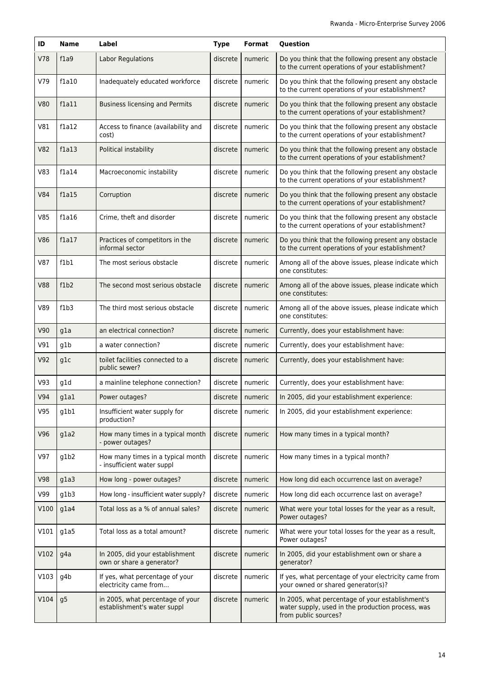| ID         | <b>Name</b>    | Label                                                           | <b>Type</b> | Format  | <b>Question</b>                                                                                                               |
|------------|----------------|-----------------------------------------------------------------|-------------|---------|-------------------------------------------------------------------------------------------------------------------------------|
| V78        | f1a9           | Labor Regulations                                               | discrete    | numeric | Do you think that the following present any obstacle<br>to the current operations of your establishment?                      |
| V79        | f1a10          | Inadequately educated workforce                                 | discrete    | numeric | Do you think that the following present any obstacle<br>to the current operations of your establishment?                      |
| V80        | f1a11          | <b>Business licensing and Permits</b>                           | discrete    | numeric | Do you think that the following present any obstacle<br>to the current operations of your establishment?                      |
| V81        | f1a12          | Access to finance (availability and<br>cost)                    | discrete    | numeric | Do you think that the following present any obstacle<br>to the current operations of your establishment?                      |
| <b>V82</b> | f1a13          | Political instability                                           | discrete    | numeric | Do you think that the following present any obstacle<br>to the current operations of your establishment?                      |
| V83        | f1a14          | Macroeconomic instability                                       | discrete    | numeric | Do you think that the following present any obstacle<br>to the current operations of your establishment?                      |
| <b>V84</b> | f1a15          | Corruption                                                      | discrete    | numeric | Do you think that the following present any obstacle<br>to the current operations of your establishment?                      |
| V85        | f1a16          | Crime, theft and disorder                                       | discrete    | numeric | Do you think that the following present any obstacle<br>to the current operations of your establishment?                      |
| V86        | f1a17          | Practices of competitors in the<br>informal sector              | discrete    | numeric | Do you think that the following present any obstacle<br>to the current operations of your establishment?                      |
| V87        | f1b1           | The most serious obstacle                                       | discrete    | numeric | Among all of the above issues, please indicate which<br>one constitutes:                                                      |
| <b>V88</b> | f1b2           | The second most serious obstacle                                | discrete    | numeric | Among all of the above issues, please indicate which<br>one constitutes:                                                      |
| V89        | f1b3           | The third most serious obstacle                                 | discrete    | numeric | Among all of the above issues, please indicate which<br>one constitutes:                                                      |
| V90        | g1a            | an electrical connection?                                       | discrete    | numeric | Currently, does your establishment have:                                                                                      |
| V91        | g1b            | a water connection?                                             | discrete    | numeric | Currently, does your establishment have:                                                                                      |
| V92        | g1c            | toilet facilities connected to a<br>public sewer?               | discrete    | numeric | Currently, does your establishment have:                                                                                      |
| V93        | q1d            | a mainline telephone connection?                                | discrete    | numeric | Currently, does your establishment have:                                                                                      |
| <b>V94</b> | glal           | Power outages?                                                  | discrete    | numeric | In 2005, did your establishment experience:                                                                                   |
| V95        | g1b1           | Insufficient water supply for<br>production?                    | discrete    | numeric | In 2005, did your establishment experience:                                                                                   |
| V96        | $q$ la $2$     | How many times in a typical month<br>- power outages?           | discrete    | numeric | How many times in a typical month?                                                                                            |
| V97        | g1b2           | How many times in a typical month<br>- insufficient water suppl | discrete    | numeric | How many times in a typical month?                                                                                            |
| V98        | $q$ la3        | How long - power outages?                                       | discrete    | numeric | How long did each occurrence last on average?                                                                                 |
| V99        | g1b3           | How long - insufficient water supply?                           | discrete    | numeric | How long did each occurrence last on average?                                                                                 |
| V100       | gla4           | Total loss as a % of annual sales?                              | discrete    | numeric | What were your total losses for the year as a result,<br>Power outages?                                                       |
| V101       | gla5           | Total loss as a total amount?                                   | discrete    | numeric | What were your total losses for the year as a result,<br>Power outages?                                                       |
| V102       | q4a            | In 2005, did your establishment<br>own or share a generator?    | discrete    | numeric | In 2005, did your establishment own or share a<br>generator?                                                                  |
| V103       | q4b            | If yes, what percentage of your<br>electricity came from        | discrete    | numeric | If yes, what percentage of your electricity came from<br>your owned or shared generator(s)?                                   |
| V104       | g <sub>5</sub> | in 2005, what percentage of your<br>establishment's water suppl | discrete    | numeric | In 2005, what percentage of your establishment's<br>water supply, used in the production process, was<br>from public sources? |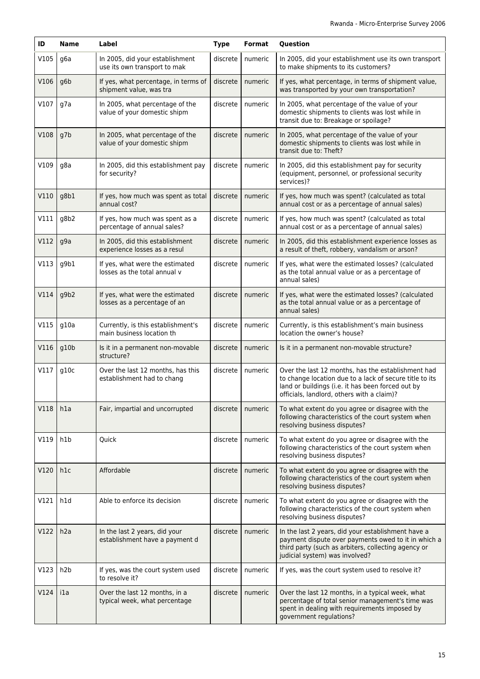| ID   | <b>Name</b>      | Label                                                           | <b>Type</b> | Format  | Question                                                                                                                                                                                                         |
|------|------------------|-----------------------------------------------------------------|-------------|---------|------------------------------------------------------------------------------------------------------------------------------------------------------------------------------------------------------------------|
| V105 | g6a              | In 2005, did your establishment<br>use its own transport to mak | discrete    | numeric | In 2005, did your establishment use its own transport<br>to make shipments to its customers?                                                                                                                     |
| V106 | q6b              | If yes, what percentage, in terms of<br>shipment value, was tra | discrete    | numeric | If yes, what percentage, in terms of shipment value,<br>was transported by your own transportation?                                                                                                              |
| V107 | q7a              | In 2005, what percentage of the<br>value of your domestic shipm | discrete    | numeric | In 2005, what percentage of the value of your<br>domestic shipments to clients was lost while in<br>transit due to: Breakage or spoilage?                                                                        |
| V108 | g7b              | In 2005, what percentage of the<br>value of your domestic shipm | discrete    | numeric | In 2005, what percentage of the value of your<br>domestic shipments to clients was lost while in<br>transit due to: Theft?                                                                                       |
| V109 | g8a              | In 2005, did this establishment pay<br>for security?            | discrete    | numeric | In 2005, did this establishment pay for security<br>(equipment, personnel, or professional security<br>services)?                                                                                                |
| V110 | g8b1             | If yes, how much was spent as total<br>annual cost?             | discrete    | numeric | If yes, how much was spent? (calculated as total<br>annual cost or as a percentage of annual sales)                                                                                                              |
| V111 | g8b2             | If yes, how much was spent as a<br>percentage of annual sales?  | discrete    | numeric | If yes, how much was spent? (calculated as total<br>annual cost or as a percentage of annual sales)                                                                                                              |
| V112 | q9a              | In 2005, did this establishment<br>experience losses as a resul | discrete    | numeric | In 2005, did this establishment experience losses as<br>a result of theft, robbery, vandalism or arson?                                                                                                          |
| V113 | g9b1             | If yes, what were the estimated<br>losses as the total annual y | discrete    | numeric | If yes, what were the estimated losses? (calculated<br>as the total annual value or as a percentage of<br>annual sales)                                                                                          |
| V114 | g9b2             | If yes, what were the estimated<br>losses as a percentage of an | discrete    | numeric | If yes, what were the estimated losses? (calculated<br>as the total annual value or as a percentage of<br>annual sales)                                                                                          |
| V115 | g10a             | Currently, is this establishment's<br>main business location th | discrete    | numeric | Currently, is this establishment's main business<br>location the owner's house?                                                                                                                                  |
| V116 | g10b             | Is it in a permanent non-movable<br>structure?                  | discrete    | numeric | Is it in a permanent non-movable structure?                                                                                                                                                                      |
| V117 | g10c             | Over the last 12 months, has this<br>establishment had to chang | discrete    | numeric | Over the last 12 months, has the establishment had<br>to change location due to a lack of secure title to its<br>land or buildings (i.e. it has been forced out by<br>officials, landlord, others with a claim)? |
| V118 | h1a              | Fair, impartial and uncorrupted                                 | discrete    | numeric | To what extent do you agree or disagree with the<br>following characteristics of the court system when<br>resolving business disputes?                                                                           |
| V119 | h1b              | Quick                                                           | discrete    | numeric | To what extent do you agree or disagree with the<br>following characteristics of the court system when<br>resolving business disputes?                                                                           |
| V120 | h1c              | Affordable                                                      | discrete    | numeric | To what extent do you agree or disagree with the<br>following characteristics of the court system when<br>resolving business disputes?                                                                           |
| V121 | h <sub>1</sub> d | Able to enforce its decision                                    | discrete    | numeric | To what extent do you agree or disagree with the<br>following characteristics of the court system when<br>resolving business disputes?                                                                           |
| V122 | h2a              | In the last 2 years, did your<br>establishment have a payment d | discrete    | numeric | In the last 2 years, did your establishment have a<br>payment dispute over payments owed to it in which a<br>third party (such as arbiters, collecting agency or<br>judicial system) was involved?               |
| V123 | h2b              | If yes, was the court system used<br>to resolve it?             | discrete    | numeric | If yes, was the court system used to resolve it?                                                                                                                                                                 |
| V124 | i1a              | Over the last 12 months, in a<br>typical week, what percentage  | discrete    | numeric | Over the last 12 months, in a typical week, what<br>percentage of total senior management's time was<br>spent in dealing with requirements imposed by<br>government regulations?                                 |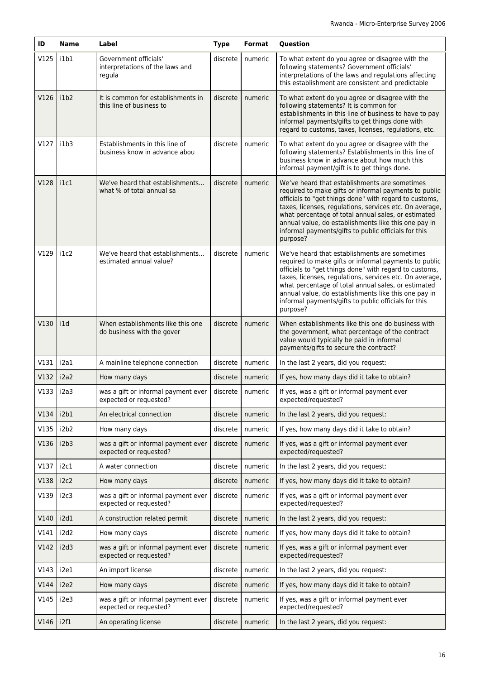| ID   | <b>Name</b> | Label                                                              | <b>Type</b> | Format  | Question                                                                                                                                                                                                                                                                                                                                                                                                       |
|------|-------------|--------------------------------------------------------------------|-------------|---------|----------------------------------------------------------------------------------------------------------------------------------------------------------------------------------------------------------------------------------------------------------------------------------------------------------------------------------------------------------------------------------------------------------------|
| V125 | i1b1        | Government officials'<br>interpretations of the laws and<br>regula | discrete    | numeric | To what extent do you agree or disagree with the<br>following statements? Government officials'<br>interpretations of the laws and regulations affecting<br>this establishment are consistent and predictable                                                                                                                                                                                                  |
| V126 | i1b2        | It is common for establishments in<br>this line of business to     | discrete    | numeric | To what extent do you agree or disagree with the<br>following statements? It is common for<br>establishments in this line of business to have to pay<br>informal payments/gifts to get things done with<br>regard to customs, taxes, licenses, regulations, etc.                                                                                                                                               |
| V127 | i1b3        | Establishments in this line of<br>business know in advance abou    | discrete    | numeric | To what extent do you agree or disagree with the<br>following statements? Establishments in this line of<br>business know in advance about how much this<br>informal payment/gift is to get things done.                                                                                                                                                                                                       |
| V128 | i1c1        | We've heard that establishments<br>what % of total annual sa       | discrete    | numeric | We've heard that establishments are sometimes<br>required to make gifts or informal payments to public<br>officials to "get things done" with regard to customs,<br>taxes, licenses, regulations, services etc. On average,<br>what percentage of total annual sales, or estimated<br>annual value, do establishments like this one pay in<br>informal payments/gifts to public officials for this<br>purpose? |
| V129 | i1c2        | We've heard that establishments<br>estimated annual value?         | discrete    | numeric | We've heard that establishments are sometimes<br>required to make gifts or informal payments to public<br>officials to "get things done" with regard to customs,<br>taxes, licenses, regulations, services etc. On average,<br>what percentage of total annual sales, or estimated<br>annual value, do establishments like this one pay in<br>informal payments/gifts to public officials for this<br>purpose? |
| V130 | i1d         | When establishments like this one<br>do business with the gover    | discrete    | numeric | When establishments like this one do business with<br>the government, what percentage of the contract<br>value would typically be paid in informal<br>payments/gifts to secure the contract?                                                                                                                                                                                                                   |
| V131 | i2a1        | A mainline telephone connection                                    | discrete    | numeric | In the last 2 years, did you request:                                                                                                                                                                                                                                                                                                                                                                          |
| V132 | i2a2        | How many days                                                      | discrete    | numeric | If yes, how many days did it take to obtain?                                                                                                                                                                                                                                                                                                                                                                   |
| V133 | i2a3        | was a gift or informal payment ever<br>expected or requested?      | discrete    | numeric | If yes, was a gift or informal payment ever<br>expected/requested?                                                                                                                                                                                                                                                                                                                                             |
| V134 | i2b1        | An electrical connection                                           | discrete    | numeric | In the last 2 years, did you request:                                                                                                                                                                                                                                                                                                                                                                          |
| V135 | i2b2        | How many days                                                      | discrete    | numeric | If yes, how many days did it take to obtain?                                                                                                                                                                                                                                                                                                                                                                   |
| V136 | i2b3        | was a gift or informal payment ever<br>expected or requested?      | discrete    | numeric | If yes, was a gift or informal payment ever<br>expected/requested?                                                                                                                                                                                                                                                                                                                                             |
| V137 | i2c1        | A water connection                                                 | discrete    | numeric | In the last 2 years, did you request:                                                                                                                                                                                                                                                                                                                                                                          |
| V138 | i2c2        | How many days                                                      | discrete    | numeric | If yes, how many days did it take to obtain?                                                                                                                                                                                                                                                                                                                                                                   |
| V139 | i2c3        | was a gift or informal payment ever<br>expected or requested?      | discrete    | numeric | If yes, was a gift or informal payment ever<br>expected/requested?                                                                                                                                                                                                                                                                                                                                             |
| V140 | i2d1        | A construction related permit                                      | discrete    | numeric | In the last 2 years, did you request:                                                                                                                                                                                                                                                                                                                                                                          |
| V141 | i2d2        | How many days                                                      | discrete    | numeric | If yes, how many days did it take to obtain?                                                                                                                                                                                                                                                                                                                                                                   |
| V142 | i2d3        | was a gift or informal payment ever<br>expected or requested?      | discrete    | numeric | If yes, was a gift or informal payment ever<br>expected/requested?                                                                                                                                                                                                                                                                                                                                             |
| V143 | i2e1        | An import license                                                  | discrete    | numeric | In the last 2 years, did you request:                                                                                                                                                                                                                                                                                                                                                                          |
| V144 | i2e2        | How many days                                                      | discrete    | numeric | If yes, how many days did it take to obtain?                                                                                                                                                                                                                                                                                                                                                                   |
| V145 | i2e3        | was a gift or informal payment ever<br>expected or requested?      | discrete    | numeric | If yes, was a gift or informal payment ever<br>expected/requested?                                                                                                                                                                                                                                                                                                                                             |
| V146 | i2f1        | An operating license                                               | discrete    | numeric | In the last 2 years, did you request:                                                                                                                                                                                                                                                                                                                                                                          |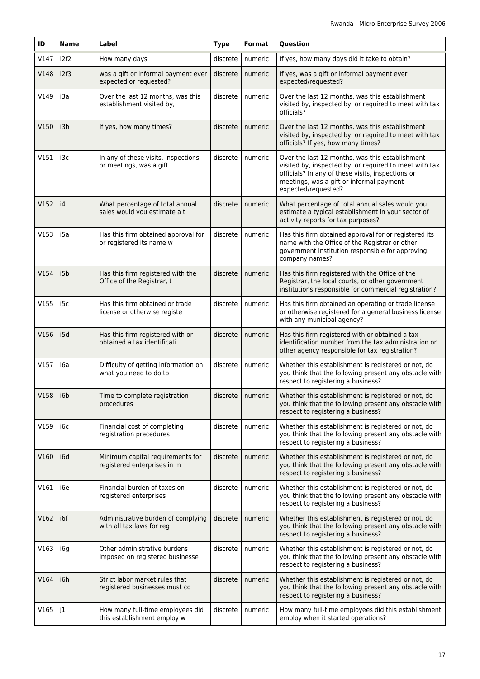| ID   | <b>Name</b> | Label                                                           | <b>Type</b> | Format  | Question                                                                                                                                                                                                                          |
|------|-------------|-----------------------------------------------------------------|-------------|---------|-----------------------------------------------------------------------------------------------------------------------------------------------------------------------------------------------------------------------------------|
| V147 | i2f2        | How many days                                                   | discrete    | numeric | If yes, how many days did it take to obtain?                                                                                                                                                                                      |
| V148 | i2f3        | was a gift or informal payment ever<br>expected or requested?   | discrete    | numeric | If yes, was a gift or informal payment ever<br>expected/requested?                                                                                                                                                                |
| V149 | i3a         | Over the last 12 months, was this<br>establishment visited by,  | discrete    | numeric | Over the last 12 months, was this establishment<br>visited by, inspected by, or required to meet with tax<br>officials?                                                                                                           |
| V150 | i3b         | If yes, how many times?                                         | discrete    | numeric | Over the last 12 months, was this establishment<br>visited by, inspected by, or required to meet with tax<br>officials? If yes, how many times?                                                                                   |
| V151 | i3c         | In any of these visits, inspections<br>or meetings, was a gift  | discrete    | numeric | Over the last 12 months, was this establishment<br>visited by, inspected by, or required to meet with tax<br>officials? In any of these visits, inspections or<br>meetings, was a gift or informal payment<br>expected/requested? |
| V152 | i4          | What percentage of total annual<br>sales would you estimate a t | discrete    | numeric | What percentage of total annual sales would you<br>estimate a typical establishment in your sector of<br>activity reports for tax purposes?                                                                                       |
| V153 | i5a         | Has this firm obtained approval for<br>or registered its name w | discrete    | numeric | Has this firm obtained approval for or registered its<br>name with the Office of the Registrar or other<br>government institution responsible for approving<br>company names?                                                     |
| V154 | i5b         | Has this firm registered with the<br>Office of the Registrar, t | discrete    | numeric | Has this firm registered with the Office of the<br>Registrar, the local courts, or other government<br>institutions responsible for commercial registration?                                                                      |
| V155 | i5c         | Has this firm obtained or trade<br>license or otherwise registe | discrete    | numeric | Has this firm obtained an operating or trade license<br>or otherwise registered for a general business license<br>with any municipal agency?                                                                                      |
| V156 | i5d         | Has this firm registered with or<br>obtained a tax identificati | discrete    | numeric | Has this firm registered with or obtained a tax<br>identification number from the tax administration or<br>other agency responsible for tax registration?                                                                         |
| V157 | i6a         | Difficulty of getting information on<br>what you need to do to  | discrete    | numeric | Whether this establishment is registered or not, do<br>you think that the following present any obstacle with<br>respect to registering a business?                                                                               |
| V158 | i6b         | Time to complete registration<br>procedures                     | discrete    | numeric | Whether this establishment is registered or not, do<br>you think that the following present any obstacle with<br>respect to registering a business?                                                                               |
| V159 | і6с         | Financial cost of completing<br>registration precedures         | discrete    | numeric | Whether this establishment is registered or not, do<br>you think that the following present any obstacle with<br>respect to registering a business?                                                                               |
| V160 | i6d         | Minimum capital requirements for<br>registered enterprises in m | discrete    | numeric | Whether this establishment is registered or not, do<br>you think that the following present any obstacle with<br>respect to registering a business?                                                                               |
| V161 | i6e         | Financial burden of taxes on<br>registered enterprises          | discrete    | numeric | Whether this establishment is registered or not, do<br>you think that the following present any obstacle with<br>respect to registering a business?                                                                               |
| V162 | i6f         | Administrative burden of complying<br>with all tax laws for reg | discrete    | numeric | Whether this establishment is registered or not, do<br>you think that the following present any obstacle with<br>respect to registering a business?                                                                               |
| V163 | i6g         | Other administrative burdens<br>imposed on registered businesse | discrete    | numeric | Whether this establishment is registered or not, do<br>you think that the following present any obstacle with<br>respect to registering a business?                                                                               |
| V164 | i6h         | Strict labor market rules that<br>registered businesses must co | discrete    | numeric | Whether this establishment is registered or not, do<br>you think that the following present any obstacle with<br>respect to registering a business?                                                                               |
| V165 | j1          | How many full-time employees did<br>this establishment employ w | discrete    | numeric | How many full-time employees did this establishment<br>employ when it started operations?                                                                                                                                         |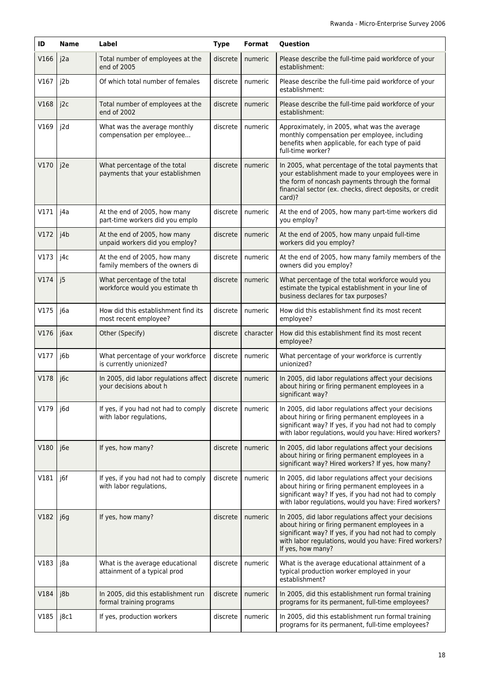| ID   | <b>Name</b> | Label                                                           | <b>Type</b> | Format    | Question                                                                                                                                                                                                                                        |
|------|-------------|-----------------------------------------------------------------|-------------|-----------|-------------------------------------------------------------------------------------------------------------------------------------------------------------------------------------------------------------------------------------------------|
| V166 | j2a         | Total number of employees at the<br>end of 2005                 | discrete    | numeric   | Please describe the full-time paid workforce of your<br>establishment:                                                                                                                                                                          |
| V167 | j2b         | Of which total number of females                                | discrete    | numeric   | Please describe the full-time paid workforce of your<br>establishment:                                                                                                                                                                          |
| V168 | i2c         | Total number of employees at the<br>end of 2002                 | discrete    | numeric   | Please describe the full-time paid workforce of your<br>establishment:                                                                                                                                                                          |
| V169 | j2d         | What was the average monthly<br>compensation per employee       | discrete    | numeric   | Approximately, in 2005, what was the average<br>monthly compensation per employee, including<br>benefits when applicable, for each type of paid<br>full-time worker?                                                                            |
| V170 | j2e         | What percentage of the total<br>payments that your establishmen | discrete    | numeric   | In 2005, what percentage of the total payments that<br>your establishment made to your employees were in<br>the form of noncash payments through the formal<br>financial sector (ex. checks, direct deposits, or credit<br>card)?               |
| V171 | j4a         | At the end of 2005, how many<br>part-time workers did you emplo | discrete    | numeric   | At the end of 2005, how many part-time workers did<br>you employ?                                                                                                                                                                               |
| V172 | j4b         | At the end of 2005, how many<br>unpaid workers did you employ?  | discrete    | numeric   | At the end of 2005, how many unpaid full-time<br>workers did you employ?                                                                                                                                                                        |
| V173 | j4c         | At the end of 2005, how many<br>family members of the owners di | discrete    | numeric   | At the end of 2005, how many family members of the<br>owners did you employ?                                                                                                                                                                    |
| V174 | j5          | What percentage of the total<br>workforce would you estimate th | discrete    | numeric   | What percentage of the total workforce would you<br>estimate the typical establishment in your line of<br>business declares for tax purposes?                                                                                                   |
| V175 | j6a         | How did this establishment find its<br>most recent employee?    | discrete    | numeric   | How did this establishment find its most recent<br>employee?                                                                                                                                                                                    |
| V176 | j6ax        | Other (Specify)                                                 | discrete    | character | How did this establishment find its most recent<br>employee?                                                                                                                                                                                    |
| V177 | j6b         | What percentage of your workforce<br>is currently unionized?    | discrete    | numeric   | What percentage of your workforce is currently<br>unionized?                                                                                                                                                                                    |
| V178 | j6c         | In 2005, did labor regulations affect<br>your decisions about h | discrete    | numeric   | In 2005, did labor regulations affect your decisions<br>about hiring or firing permanent employees in a<br>significant way?                                                                                                                     |
| V179 | j6d         | If yes, if you had not had to comply<br>with labor regulations, | discrete    | numeric   | In 2005, did labor regulations affect your decisions<br>about hiring or firing permanent employees in a<br>significant way? If yes, if you had not had to comply<br>with labor regulations, would you have: Hired workers?                      |
| V180 | j6e         | If yes, how many?                                               | discrete    | numeric   | In 2005, did labor regulations affect your decisions<br>about hiring or firing permanent employees in a<br>significant way? Hired workers? If yes, how many?                                                                                    |
| V181 | j6f         | If yes, if you had not had to comply<br>with labor regulations, | discrete    | numeric   | In 2005, did labor regulations affect your decisions<br>about hiring or firing permanent employees in a<br>significant way? If yes, if you had not had to comply<br>with labor regulations, would you have: Fired workers?                      |
| V182 | j6g         | If yes, how many?                                               | discrete    | numeric   | In 2005, did labor regulations affect your decisions<br>about hiring or firing permanent employees in a<br>significant way? If yes, if you had not had to comply<br>with labor regulations, would you have: Fired workers?<br>If yes, how many? |
| V183 | j8a         | What is the average educational<br>attainment of a typical prod | discrete    | numeric   | What is the average educational attainment of a<br>typical production worker employed in your<br>establishment?                                                                                                                                 |
| V184 | j8b         | In 2005, did this establishment run<br>formal training programs | discrete    | numeric   | In 2005, did this establishment run formal training<br>programs for its permanent, full-time employees?                                                                                                                                         |
| V185 | j8c1        | If yes, production workers                                      | discrete    | numeric   | In 2005, did this establishment run formal training<br>programs for its permanent, full-time employees?                                                                                                                                         |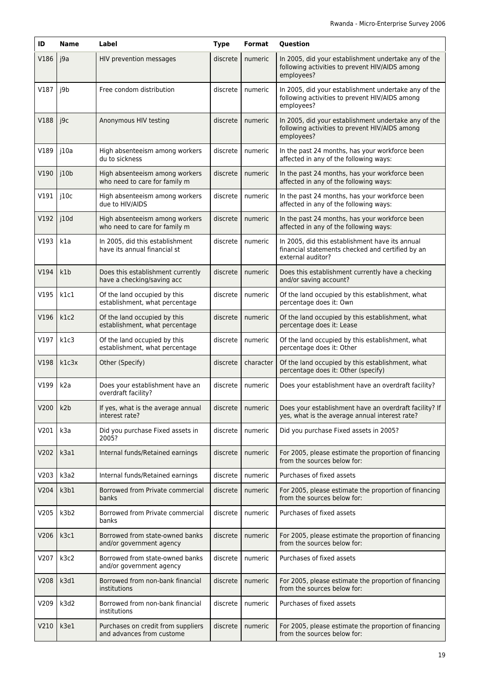| ID   | Name             | Label                                                           | <b>Type</b> | Format    | Question                                                                                                                 |
|------|------------------|-----------------------------------------------------------------|-------------|-----------|--------------------------------------------------------------------------------------------------------------------------|
| V186 | j9a              | HIV prevention messages                                         | discrete    | numeric   | In 2005, did your establishment undertake any of the<br>following activities to prevent HIV/AIDS among<br>employees?     |
| V187 | j9b              | Free condom distribution                                        | discrete    | numeric   | In 2005, did your establishment undertake any of the<br>following activities to prevent HIV/AIDS among<br>employees?     |
| V188 | j9c              | Anonymous HIV testing                                           | discrete    | numeric   | In 2005, did your establishment undertake any of the<br>following activities to prevent HIV/AIDS among<br>employees?     |
| V189 | j10a             | High absenteeism among workers<br>du to sickness                | discrete    | numeric   | In the past 24 months, has your workforce been<br>affected in any of the following ways:                                 |
| V190 | j10b             | High absenteeism among workers<br>who need to care for family m | discrete    | numeric   | In the past 24 months, has your workforce been<br>affected in any of the following ways:                                 |
| V191 | j10c             | High absenteeism among workers<br>due to HIV/AIDS               | discrete    | numeric   | In the past 24 months, has your workforce been<br>affected in any of the following ways:                                 |
| V192 | j10d             | High absenteeism among workers<br>who need to care for family m | discrete    | numeric   | In the past 24 months, has your workforce been<br>affected in any of the following ways:                                 |
| V193 | kla              | In 2005, did this establishment<br>have its annual financial st | discrete    | numeric   | In 2005, did this establishment have its annual<br>financial statements checked and certified by an<br>external auditor? |
| V194 | k1b              | Does this establishment currently<br>have a checking/saving acc | discrete    | numeric   | Does this establishment currently have a checking<br>and/or saving account?                                              |
| V195 | k1c1             | Of the land occupied by this<br>establishment, what percentage  | discrete    | numeric   | Of the land occupied by this establishment, what<br>percentage does it: Own                                              |
| V196 | k1c2             | Of the land occupied by this<br>establishment, what percentage  | discrete    | numeric   | Of the land occupied by this establishment, what<br>percentage does it: Lease                                            |
| V197 | k1c3             | Of the land occupied by this<br>establishment, what percentage  | discrete    | numeric   | Of the land occupied by this establishment, what<br>percentage does it: Other                                            |
| V198 | k1c3x            | Other (Specify)                                                 | discrete    | character | Of the land occupied by this establishment, what<br>percentage does it: Other (specify)                                  |
| V199 | k <sub>2</sub> a | Does your establishment have an<br>overdraft facility?          | discrete    | numeric   | Does your establishment have an overdraft facility?                                                                      |
| V200 | k2b              | If yes, what is the average annual<br>interest rate?            | discrete    | numeric   | Does your establishment have an overdraft facility? If<br>yes, what is the average annual interest rate?                 |
| V201 | k3a              | Did you purchase Fixed assets in<br>2005?                       | discrete    | numeric   | Did you purchase Fixed assets in 2005?                                                                                   |
| V202 | k3a1             | Internal funds/Retained earnings                                | discrete    | numeric   | For 2005, please estimate the proportion of financing<br>from the sources below for:                                     |
| V203 | k3a2             | Internal funds/Retained earnings                                | discrete    | numeric   | Purchases of fixed assets                                                                                                |
| V204 | k3b1             | Borrowed from Private commercial<br>banks                       | discrete    | numeric   | For 2005, please estimate the proportion of financing<br>from the sources below for:                                     |
| V205 | k3b2             | Borrowed from Private commercial<br>banks                       | discrete    | numeric   | Purchases of fixed assets                                                                                                |
| V206 | k3c1             | Borrowed from state-owned banks<br>and/or government agency     | discrete    | numeric   | For 2005, please estimate the proportion of financing<br>from the sources below for:                                     |
| V207 | k3c2             | Borrowed from state-owned banks<br>and/or government agency     | discrete    | numeric   | Purchases of fixed assets                                                                                                |
| V208 | k3d1             | Borrowed from non-bank financial<br>institutions                | discrete    | numeric   | For 2005, please estimate the proportion of financing<br>from the sources below for:                                     |
| V209 | k3d2             | Borrowed from non-bank financial<br>institutions                | discrete    | numeric   | Purchases of fixed assets                                                                                                |
| V210 | k3e1             | Purchases on credit from suppliers<br>and advances from custome | discrete    | numeric   | For 2005, please estimate the proportion of financing<br>from the sources below for:                                     |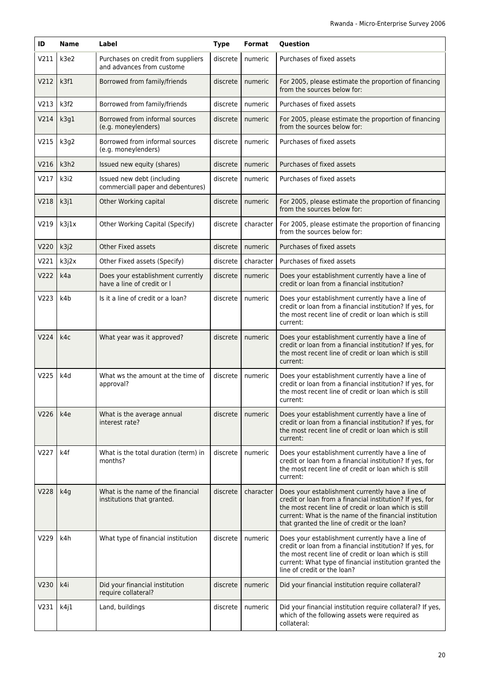| ID   | <b>Name</b> | Label                                                           | <b>Type</b> | <b>Format</b> | Question                                                                                                                                                                                                                                                                        |
|------|-------------|-----------------------------------------------------------------|-------------|---------------|---------------------------------------------------------------------------------------------------------------------------------------------------------------------------------------------------------------------------------------------------------------------------------|
| V211 | k3e2        | Purchases on credit from suppliers<br>and advances from custome | discrete    | numeric       | Purchases of fixed assets                                                                                                                                                                                                                                                       |
| V212 | k3f1        | Borrowed from family/friends                                    | discrete    | numeric       | For 2005, please estimate the proportion of financing<br>from the sources below for:                                                                                                                                                                                            |
| V213 | k3f2        | Borrowed from family/friends                                    | discrete    | numeric       | Purchases of fixed assets                                                                                                                                                                                                                                                       |
| V214 | k3g1        | Borrowed from informal sources<br>(e.g. moneylenders)           | discrete    | numeric       | For 2005, please estimate the proportion of financing<br>from the sources below for:                                                                                                                                                                                            |
| V215 | k3g2        | Borrowed from informal sources<br>(e.g. moneylenders)           | discrete    | numeric       | Purchases of fixed assets                                                                                                                                                                                                                                                       |
| V216 | k3h2        | Issued new equity (shares)                                      | discrete    | numeric       | Purchases of fixed assets                                                                                                                                                                                                                                                       |
| V217 | k3i2        | Issued new debt (including<br>commerciall paper and debentures) | discrete    | numeric       | Purchases of fixed assets                                                                                                                                                                                                                                                       |
| V218 | k3j1        | Other Working capital                                           | discrete    | numeric       | For 2005, please estimate the proportion of financing<br>from the sources below for:                                                                                                                                                                                            |
| V219 | k3j1x       | Other Working Capital (Specify)                                 | discrete    | character     | For 2005, please estimate the proportion of financing<br>from the sources below for:                                                                                                                                                                                            |
| V220 | k3j2        | <b>Other Fixed assets</b>                                       | discrete    | numeric       | Purchases of fixed assets                                                                                                                                                                                                                                                       |
| V221 | k3j2x       | Other Fixed assets (Specify)                                    | discrete    | character     | Purchases of fixed assets                                                                                                                                                                                                                                                       |
| V222 | k4a         | Does your establishment currently<br>have a line of credit or I | discrete    | numeric       | Does your establishment currently have a line of<br>credit or loan from a financial institution?                                                                                                                                                                                |
| V223 | k4b         | Is it a line of credit or a loan?                               | discrete    | numeric       | Does your establishment currently have a line of<br>credit or loan from a financial institution? If yes, for<br>the most recent line of credit or loan which is still<br>current:                                                                                               |
| V224 | k4c         | What year was it approved?                                      | discrete    | numeric       | Does your establishment currently have a line of<br>credit or loan from a financial institution? If yes, for<br>the most recent line of credit or loan which is still<br>current:                                                                                               |
| V225 | k4d         | What ws the amount at the time of<br>approval?                  | discrete    | numeric       | Does your establishment currently have a line of<br>credit or loan from a financial institution? If yes, for<br>the most recent line of credit or loan which is still<br>current:                                                                                               |
| V226 | k4e         | What is the average annual<br>interest rate?                    | discrete    | numeric       | Does your establishment currently have a line of<br>credit or loan from a financial institution? If yes, for<br>the most recent line of credit or loan which is still<br>current:                                                                                               |
| V227 | k4f         | What is the total duration (term) in<br>months?                 | discrete    | numeric       | Does your establishment currently have a line of<br>credit or loan from a financial institution? If yes, for<br>the most recent line of credit or loan which is still<br>current:                                                                                               |
| V228 | k4g         | What is the name of the financial<br>institutions that granted. | discrete    | character     | Does your establishment currently have a line of<br>credit or loan from a financial institution? If yes, for<br>the most recent line of credit or loan which is still<br>current: What is the name of the financial institution<br>that granted the line of credit or the loan? |
| V229 | k4h         | What type of financial institution                              | discrete    | numeric       | Does your establishment currently have a line of<br>credit or loan from a financial institution? If yes, for<br>the most recent line of credit or loan which is still<br>current: What type of financial institution granted the<br>line of credit or the loan?                 |
| V230 | k4i         | Did your financial institution<br>require collateral?           | discrete    | numeric       | Did your financial institution require collateral?                                                                                                                                                                                                                              |
| V231 | k4j1        | Land, buildings                                                 | discrete    | numeric       | Did your financial institution require collateral? If yes,<br>which of the following assets were required as<br>collateral:                                                                                                                                                     |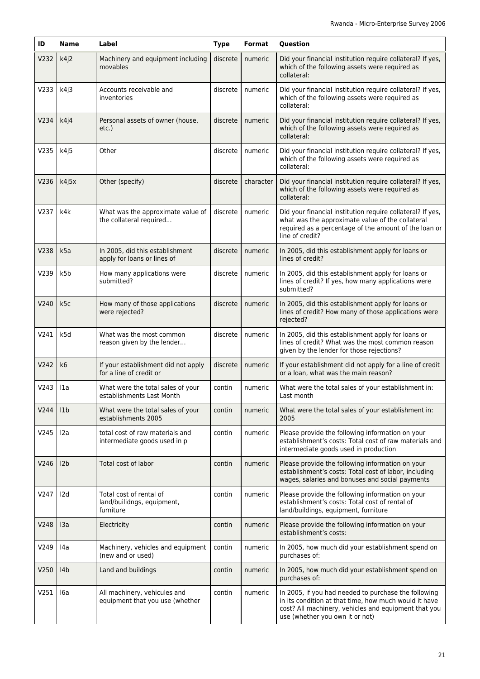| ID   | Name             | Label                                                              | <b>Type</b> | Format    | <b>Question</b>                                                                                                                                                                                          |
|------|------------------|--------------------------------------------------------------------|-------------|-----------|----------------------------------------------------------------------------------------------------------------------------------------------------------------------------------------------------------|
| V232 | k4j2             | Machinery and equipment including<br>movables                      | discrete    | numeric   | Did your financial institution require collateral? If yes,<br>which of the following assets were required as<br>collateral:                                                                              |
| V233 | k4j3             | Accounts receivable and<br>inventories                             | discrete    | numeric   | Did your financial institution require collateral? If yes,<br>which of the following assets were required as<br>collateral:                                                                              |
| V234 | k4j4             | Personal assets of owner (house,<br>$etc.$ )                       | discrete    | numeric   | Did your financial institution require collateral? If yes,<br>which of the following assets were required as<br>collateral:                                                                              |
| V235 | k4j5             | Other                                                              | discrete    | numeric   | Did your financial institution require collateral? If yes,<br>which of the following assets were required as<br>collateral:                                                                              |
| V236 | k4j5x            | Other (specify)                                                    | discrete    | character | Did your financial institution require collateral? If yes,<br>which of the following assets were required as<br>collateral:                                                                              |
| V237 | k4k              | What was the approximate value of<br>the collateral required       | discrete    | numeric   | Did your financial institution require collateral? If yes,<br>what was the approximate value of the collateral<br>required as a percentage of the amount of the loan or<br>line of credit?               |
| V238 | k5a              | In 2005, did this establishment<br>apply for loans or lines of     | discrete    | numeric   | In 2005, did this establishment apply for loans or<br>lines of credit?                                                                                                                                   |
| V239 | k5b              | How many applications were<br>submitted?                           | discrete    | numeric   | In 2005, did this establishment apply for loans or<br>lines of credit? If yes, how many applications were<br>submitted?                                                                                  |
| V240 | k5c              | How many of those applications<br>were rejected?                   | discrete    | numeric   | In 2005, did this establishment apply for loans or<br>lines of credit? How many of those applications were<br>rejected?                                                                                  |
| V241 | k5d              | What was the most common<br>reason given by the lender             | discrete    | numeric   | In 2005, did this establishment apply for loans or<br>lines of credit? What was the most common reason<br>given by the lender for those rejections?                                                      |
| V242 | k6               | If your establishment did not apply<br>for a line of credit or     | discrete    | numeric   | If your establishment did not apply for a line of credit<br>or a loan, what was the main reason?                                                                                                         |
| V243 | l1a              | What were the total sales of your<br>establishments Last Month     | contin      | numeric   | What were the total sales of your establishment in:<br>Last month                                                                                                                                        |
| V244 | 11 <sub>b</sub>  | What were the total sales of your<br>establishments 2005           | contin      | numeric   | What were the total sales of your establishment in:<br>2005                                                                                                                                              |
| V245 | 12a              | total cost of raw materials and<br>intermediate goods used in p    | contin      | numeric   | Please provide the following information on your<br>establishment's costs: Total cost of raw materials and<br>intermediate goods used in production                                                      |
| V246 | 12 <sub>b</sub>  | Total cost of labor                                                | contin      | numeric   | Please provide the following information on your<br>establishment's costs: Total cost of labor, including<br>wages, salaries and bonuses and social payments                                             |
| V247 | I <sub>2</sub> d | Total cost of rental of<br>land/builidngs, equipment,<br>furniture | contin      | numeric   | Please provide the following information on your<br>establishment's costs: Total cost of rental of<br>land/buildings, equipment, furniture                                                               |
| V248 | 13a              | Electricity                                                        | contin      | numeric   | Please provide the following information on your<br>establishment's costs:                                                                                                                               |
| V249 | l4a              | Machinery, vehicles and equipment<br>(new and or used)             | contin      | numeric   | In 2005, how much did your establishment spend on<br>purchases of:                                                                                                                                       |
| V250 | I4b              | Land and buildings                                                 | contin      | numeric   | In 2005, how much did your establishment spend on<br>purchases of:                                                                                                                                       |
| V251 | I6a              | All machinery, vehicules and<br>equipment that you use (whether    | contin      | numeric   | In 2005, if you had needed to purchase the following<br>in its condition at that time, how much would it have<br>cost? All machinery, vehicles and equipment that you<br>use (whether you own it or not) |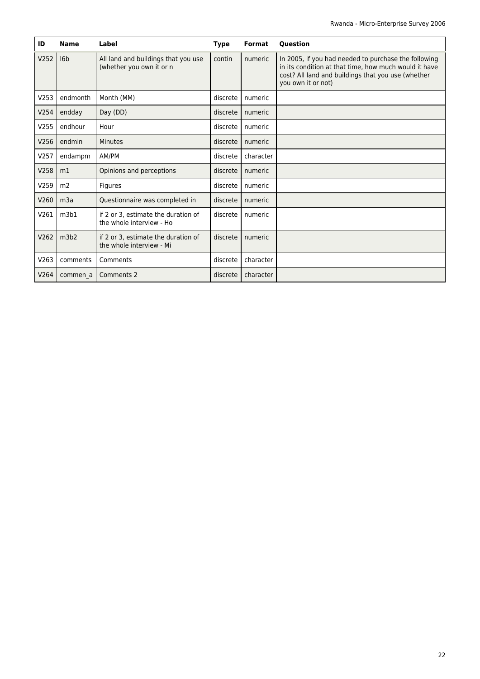| ID   | <b>Name</b>     | Label                                                           | <b>Type</b> | Format    | <b>Question</b>                                                                                                                                                                           |
|------|-----------------|-----------------------------------------------------------------|-------------|-----------|-------------------------------------------------------------------------------------------------------------------------------------------------------------------------------------------|
| V252 | 16 <sub>b</sub> | All land and buildings that you use<br>(whether you own it or n | contin      | numeric   | In 2005, if you had needed to purchase the following<br>in its condition at that time, how much would it have<br>cost? All land and buildings that you use (whether<br>you own it or not) |
| V253 | endmonth        | Month (MM)                                                      | discrete    | numeric   |                                                                                                                                                                                           |
| V254 | endday          | Day (DD)                                                        | discrete    | numeric   |                                                                                                                                                                                           |
| V255 | endhour         | Hour                                                            | discrete    | numeric   |                                                                                                                                                                                           |
| V256 | endmin          | <b>Minutes</b>                                                  | discrete    | numeric   |                                                                                                                                                                                           |
| V257 | endampm         | AM/PM                                                           | discrete    | character |                                                                                                                                                                                           |
| V258 | m1              | Opinions and perceptions                                        | discrete    | numeric   |                                                                                                                                                                                           |
| V259 | m <sub>2</sub>  | Figures                                                         | discrete    | numeric   |                                                                                                                                                                                           |
| V260 | m <sub>3a</sub> | Questionnaire was completed in                                  | discrete    | numeric   |                                                                                                                                                                                           |
| V261 | m3b1            | if 2 or 3, estimate the duration of<br>the whole interview - Ho | discrete    | numeric   |                                                                                                                                                                                           |
| V262 | m3b2            | if 2 or 3, estimate the duration of<br>the whole interview - Mi | discrete    | numeric   |                                                                                                                                                                                           |
| V263 | comments        | Comments                                                        | discrete    | character |                                                                                                                                                                                           |
| V264 | commen a        | Comments 2                                                      | discrete    | character |                                                                                                                                                                                           |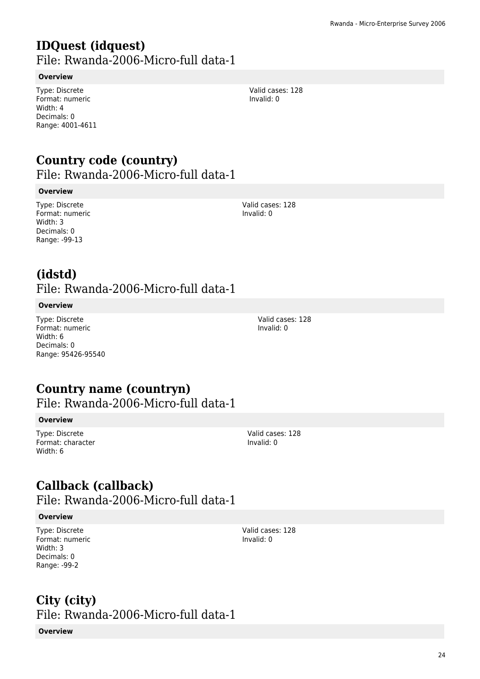# **IDQuest (idquest)**

File: Rwanda-2006-Micro-full data-1

### **Overview**

Type: Discrete Format: numeric Width: 4 Decimals: 0 Range: 4001-4611

# **Country code (country)**

File: Rwanda-2006-Micro-full data-1

### **Overview**

Type: Discrete Format: numeric Width: 3 Decimals: 0 Range: -99-13

# **(idstd)**  File: Rwanda-2006-Micro-full data-1

### **Overview**

Type: Discrete Format: numeric Width: 6 Decimals: 0 Range: 95426-95540

# **Country name (countryn)**

File: Rwanda-2006-Micro-full data-1

### **Overview**

Type: Discrete Format: character Width: 6

# **Callback (callback)**

File: Rwanda-2006-Micro-full data-1

### **Overview**

Type: Discrete Format: numeric Width: 3 Decimals: 0 Range: -99-2

### **City (city)**  File: Rwanda-2006-Micro-full data-1

### **Overview**

Valid cases: 128 Invalid: 0

Valid cases: 128 Invalid: 0

> Valid cases: 128 Invalid: 0

Valid cases: 128 Invalid: 0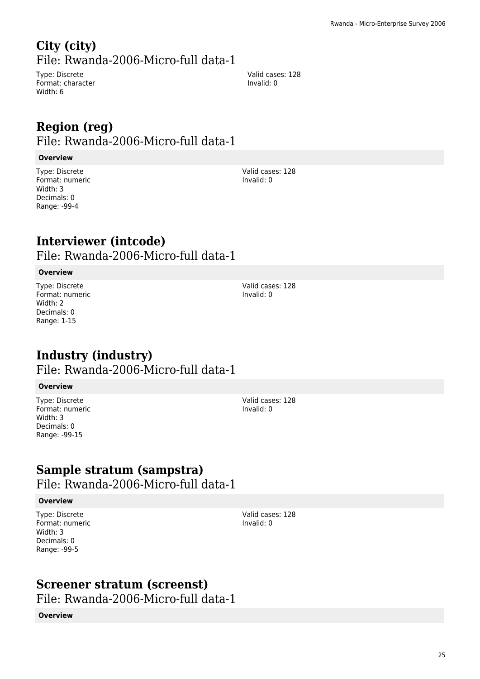# **City (city)**  File: Rwanda-2006-Micro-full data-1

Type: Discrete Format: character Width: 6

# **Region (reg)**  File: Rwanda-2006-Micro-full data-1

### **Overview**

Type: Discrete Format: numeric Width: 3 Decimals: 0 Range: -99-4

## **Interviewer (intcode)**  File: Rwanda-2006-Micro-full data-1

### **Overview**

Type: Discrete Format: numeric Width: 2 Decimals: 0 Range: 1-15

## **Industry (industry)**  File: Rwanda-2006-Micro-full data-1

### **Overview**

Type: Discrete Format: numeric Width: 3 Decimals: 0 Range: -99-15

# **Sample stratum (sampstra)**

File: Rwanda-2006-Micro-full data-1

### **Overview**

Type: Discrete Format: numeric Width: 3 Decimals: 0 Range: -99-5

### Valid cases: 128 Invalid: 0

# **Screener stratum (screenst)**

File: Rwanda-2006-Micro-full data-1

### **Overview**

Valid cases: 128 Invalid: 0

Valid cases: 128 Invalid: 0

Valid cases: 128 Invalid: 0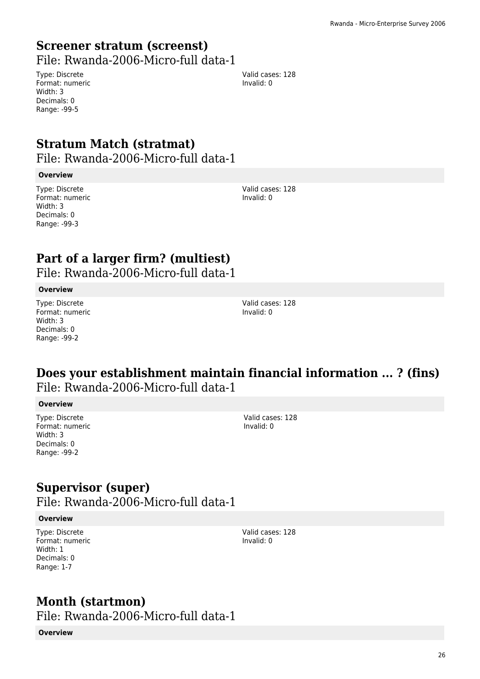## **Screener stratum (screenst)**

File: Rwanda-2006-Micro-full data-1

Type: Discrete Format: numeric Width: 3 Decimals: 0 Range: -99-5

Valid cases: 128 Invalid: 0

# **Stratum Match (stratmat)**

File: Rwanda-2006-Micro-full data-1

### **Overview**

Type: Discrete Format: numeric Width: 3 Decimals: 0 Range: -99-3

Valid cases: 128 Invalid: 0

# **Part of a larger firm? (multiest)**

File: Rwanda-2006-Micro-full data-1

### **Overview**

Type: Discrete Format: numeric Width: 3 Decimals: 0 Range: -99-2

Valid cases: 128 Invalid: 0

### **Does your establishment maintain financial information ... ? (fins)**  File: Rwanda-2006-Micro-full data-1

### **Overview**

Type: Discrete Format: numeric Width: 3 Decimals: 0 Range: -99-2

Valid cases: 128 Invalid: 0

# **Supervisor (super)**

File: Rwanda-2006-Micro-full data-1

### **Overview**

Type: Discrete Format: numeric Width: 1 Decimals: 0 Range: 1-7

Valid cases: 128 Invalid: 0

## **Month (startmon)**

File: Rwanda-2006-Micro-full data-1

### **Overview**

26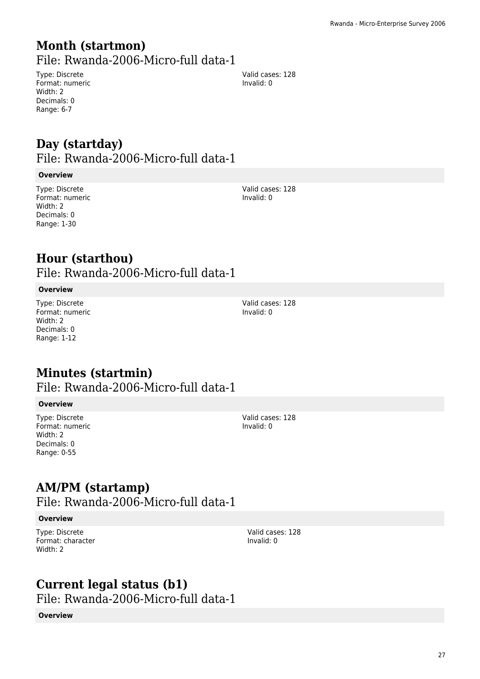### **Month (startmon)**  File: Rwanda-2006-Micro-full data-1

Type: Discrete Format: numeric Width: 2 Decimals: 0 Range: 6-7

**Day (startday)** 

File: Rwanda-2006-Micro-full data-1

### **Overview**

Type: Discrete Format: numeric Width: 2 Decimals: 0 Range: 1-30

#### Valid cases: 128 Invalid: 0

Valid cases: 128 Invalid: 0

# **Hour (starthou)**

File: Rwanda-2006-Micro-full data-1

### **Overview**

Type: Discrete Format: numeric Width: 2 Decimals: 0 Range: 1-12

Valid cases: 128 Invalid: 0

# **Minutes (startmin)**

File: Rwanda-2006-Micro-full data-1

### **Overview**

Type: Discrete Format: numeric Width: 2 Decimals: 0 Range: 0-55

Valid cases: 128 Invalid: 0

# **AM/PM (startamp)**

File: Rwanda-2006-Micro-full data-1

### **Overview**

Type: Discrete Format: character Width: 2

# **Current legal status (b1)**

File: Rwanda-2006-Micro-full data-1

**Overview**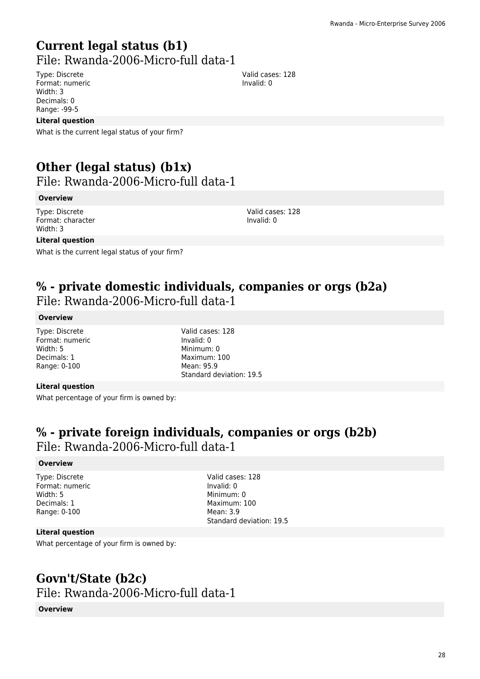### **Current legal status (b1)**  File: Rwanda-2006-Micro-full data-1

Type: Discrete Format: numeric Width: 3 Decimals: 0 Range: -99-5

### **Literal question**

What is the current legal status of your firm?

# **Other (legal status) (b1x)**

File: Rwanda-2006-Micro-full data-1

#### **Overview**

Type: Discrete Format: character Width: 3

### **Literal question**

What is the current legal status of your firm?

#### Valid cases: 128 Invalid: 0

Valid cases: 128 Invalid: 0

### **% - private domestic individuals, companies or orgs (b2a)**  File: Rwanda-2006-Micro-full data-1

### **Overview**

| Type: Discrete  |
|-----------------|
| Format: numeric |
| Width: 5        |
| Decimals: 1     |
| Range: 0-100    |

Valid cases: 128 Invalid: 0 Minimum: 0 Maximum: 100 Mean: 95.9 Standard deviation: 19.5

#### **Literal question**

What percentage of your firm is owned by:

# **% - private foreign individuals, companies or orgs (b2b)**

File: Rwanda-2006-Micro-full data-1

#### **Overview**

Type: Discrete Format: numeric Width: 5 Decimals: 1 Range: 0-100

Valid cases: 128 Invalid: 0 Minimum: 0 Maximum: 100 Mean: 3.9 Standard deviation: 19.5

### **Literal question**

What percentage of your firm is owned by:

### **Govn't/State (b2c)**  File: Rwanda-2006-Micro-full data-1

#### **Overview**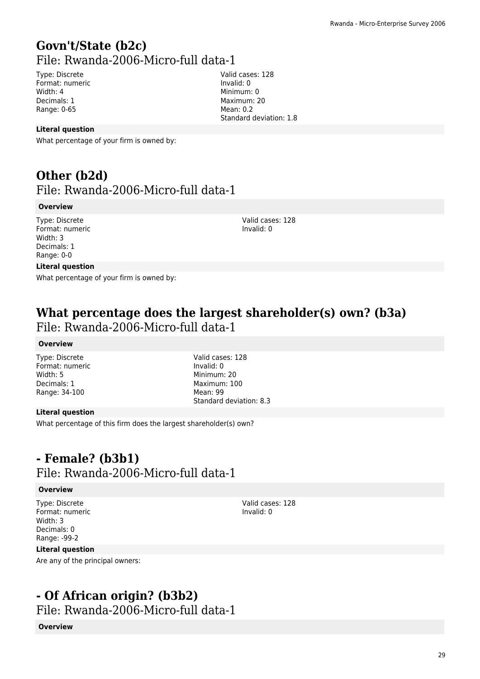# **Govn't/State (b2c)**  File: Rwanda-2006-Micro-full data-1

Type: Discrete Format: numeric Width: 4 Decimals: 1 Range: 0-65

Valid cases: 128 Invalid: 0 Minimum: 0 Maximum: 20 Mean: 0.2 Standard deviation: 1.8

### **Literal question**

What percentage of your firm is owned by:

# **Other (b2d)**  File: Rwanda-2006-Micro-full data-1

### **Overview**

Type: Discrete Format: numeric Width: 3 Decimals: 1 Range: 0-0

Valid cases: 128 Invalid: 0

### **Literal question**

What percentage of your firm is owned by:

## **What percentage does the largest shareholder(s) own? (b3a)**  File: Rwanda-2006-Micro-full data-1

#### **Overview**

Type: Discrete Format: numeric Width: 5 Decimals: 1 Range: 34-100

Valid cases: 128 Invalid: 0 Minimum: 20 Maximum: 100 Mean: 99 Standard deviation: 8.3

#### **Literal question**

What percentage of this firm does the largest shareholder(s) own?

# **- Female? (b3b1)**  File: Rwanda-2006-Micro-full data-1

### **Overview**

Type: Discrete Format: numeric Width: 3 Decimals: 0 Range: -99-2

Valid cases: 128 Invalid: 0

#### **Literal question**

Are any of the principal owners:

# **- Of African origin? (b3b2)**

File: Rwanda-2006-Micro-full data-1

#### **Overview**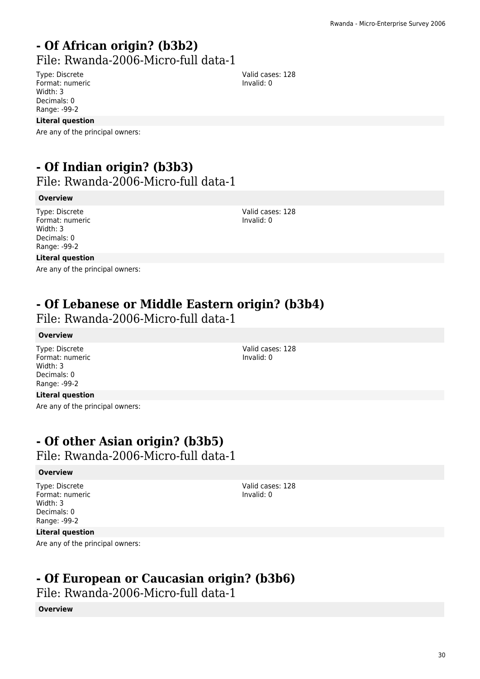### **- Of African origin? (b3b2)**  File: Rwanda-2006-Micro-full data-1

Type: Discrete Format: numeric Width: 3 Decimals: 0 Range: -99-2

### **Literal question**

Are any of the principal owners:

# **- Of Indian origin? (b3b3)**

File: Rwanda-2006-Micro-full data-1

### **Overview**

Type: Discrete Format: numeric Width: 3 Decimals: 0 Range: -99-2

### **Literal question**

Are any of the principal owners:

# **- Of Lebanese or Middle Eastern origin? (b3b4)**

File: Rwanda-2006-Micro-full data-1

### **Overview**

Type: Discrete Format: numeric Width: 3 Decimals: 0 Range: -99-2

### **Literal question**

Are any of the principal owners:

## **- Of other Asian origin? (b3b5)**

File: Rwanda-2006-Micro-full data-1

### **Overview**

Type: Discrete Format: numeric Width: 3 Decimals: 0 Range: -99-2 **Literal question** Valid cases: 128 Invalid: 0

### Are any of the principal owners:

## **- Of European or Caucasian origin? (b3b6)**

File: Rwanda-2006-Micro-full data-1

### **Overview**

Valid cases: 128 Invalid: 0

Valid cases: 128 Invalid: 0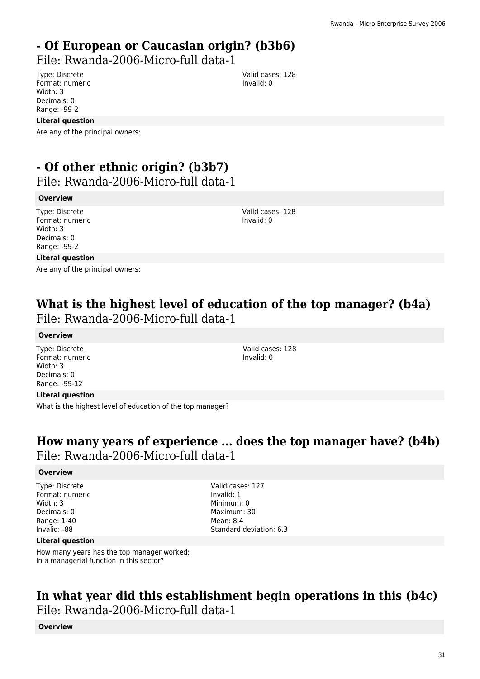# **- Of European or Caucasian origin? (b3b6)**

File: Rwanda-2006-Micro-full data-1

Type: Discrete Format: numeric Width: 3 Decimals: 0 Range: -99-2

### **Literal question**

Are any of the principal owners:

# **- Of other ethnic origin? (b3b7)**

File: Rwanda-2006-Micro-full data-1

### **Overview**

Type: Discrete Format: numeric Width: 3 Decimals: 0 Range: -99-2

### **Literal question**

Are any of the principal owners:

# **What is the highest level of education of the top manager? (b4a)**  File: Rwanda-2006-Micro-full data-1

### **Overview**

Type: Discrete Format: numeric Width: 3 Decimals: 0 Range: -99-12

### **Literal question**

What is the highest level of education of the top manager?

### **How many years of experience ... does the top manager have? (b4b)**  File: Rwanda-2006-Micro-full data-1

### **Overview**

Type: Discrete Format: numeric Width: 3 Decimals: 0 Range: 1-40 Invalid: -88

Valid cases: 127 Invalid: 1 Minimum: 0 Maximum: 30 Mean: 8.4 Standard deviation: 6.3

### **Literal question**

How many years has the top manager worked: In a managerial function in this sector?

### **In what year did this establishment begin operations in this (b4c)**  File: Rwanda-2006-Micro-full data-1

**Overview**

Valid cases: 128 Invalid: 0

Valid cases: 128 Invalid: 0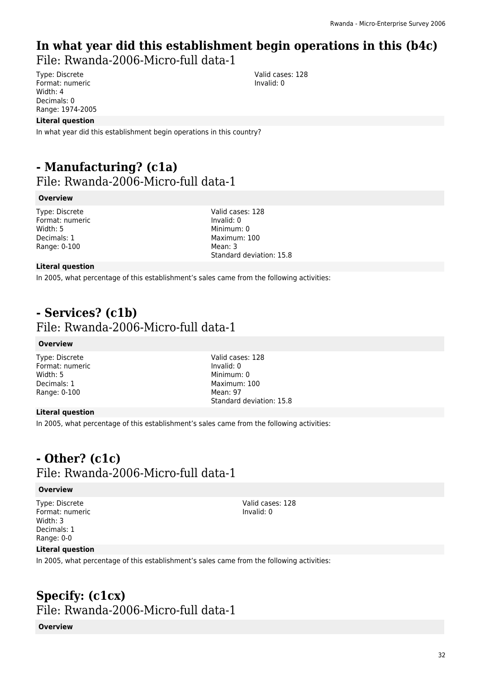# **In what year did this establishment begin operations in this (b4c)**

File: Rwanda-2006-Micro-full data-1

Type: Discrete Format: numeric Width: 4 Decimals: 0 Range: 1974-2005 Valid cases: 128 Invalid: 0

### **Literal question**

In what year did this establishment begin operations in this country?

### **- Manufacturing? (c1a)**  File: Rwanda-2006-Micro-full data-1

#### **Overview**

Type: Discrete Format: numeric Width: 5 Decimals: 1 Range: 0-100

Valid cases: 128 Invalid: 0 Minimum: 0 Maximum: 100 Mean: 3 Standard deviation: 15.8

#### **Literal question**

In 2005, what percentage of this establishment's sales came from the following activities:

## **- Services? (c1b)**  File: Rwanda-2006-Micro-full data-1

#### **Overview**

Type: Discrete Format: numeric Width: 5 Decimals: 1 Range: 0-100

Valid cases: 128 Invalid: 0 Minimum: 0 Maximum: 100 Mean: 97 Standard deviation: 15.8

#### **Literal question**

In 2005, what percentage of this establishment's sales came from the following activities:

## **- Other? (c1c)**  File: Rwanda-2006-Micro-full data-1

#### **Overview**

Type: Discrete Format: numeric Width: 3 Decimals: 1 Range: 0-0

Valid cases: 128 Invalid: 0

#### **Literal question**

In 2005, what percentage of this establishment's sales came from the following activities:

### **Specify: (c1cx)**  File: Rwanda-2006-Micro-full data-1

#### **Overview**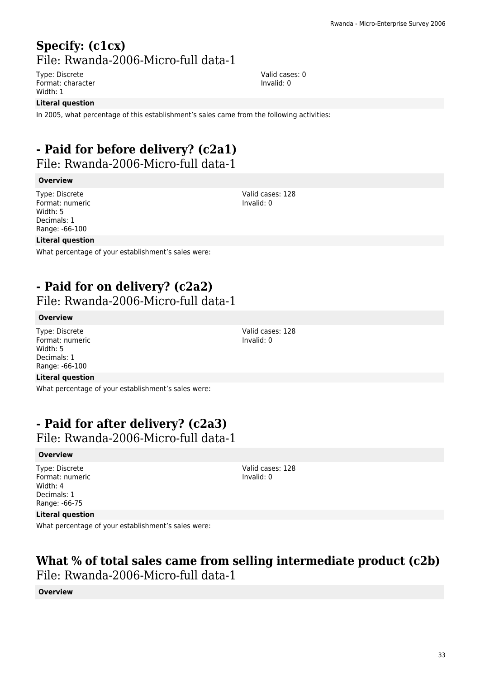# **Specify: (c1cx)**  File: Rwanda-2006-Micro-full data-1

Type: Discrete Format: character Width: 1

### **Literal question**

In 2005, what percentage of this establishment's sales came from the following activities:

# **- Paid for before delivery? (c2a1)**

File: Rwanda-2006-Micro-full data-1

### **Overview**

Type: Discrete Format: numeric Width: 5 Decimals: 1 Range: -66-100

### **Literal question**

What percentage of your establishment's sales were:

# **- Paid for on delivery? (c2a2)**

File: Rwanda-2006-Micro-full data-1

### **Overview**

Type: Discrete Format: numeric Width: 5 Decimals: 1 Range: -66-100

### **Literal question**

What percentage of your establishment's sales were:

# **- Paid for after delivery? (c2a3)**

File: Rwanda-2006-Micro-full data-1

### **Overview**

Type: Discrete Format: numeric Width: 4 Decimals: 1 Range: -66-75

### **Literal question**

What percentage of your establishment's sales were:

## **What % of total sales came from selling intermediate product (c2b)**  File: Rwanda-2006-Micro-full data-1

### **Overview**

Valid cases: 0 Invalid: 0

Invalid: 0

Valid cases: 128 Invalid: 0

Valid cases: 128 Invalid: 0

Valid cases: 128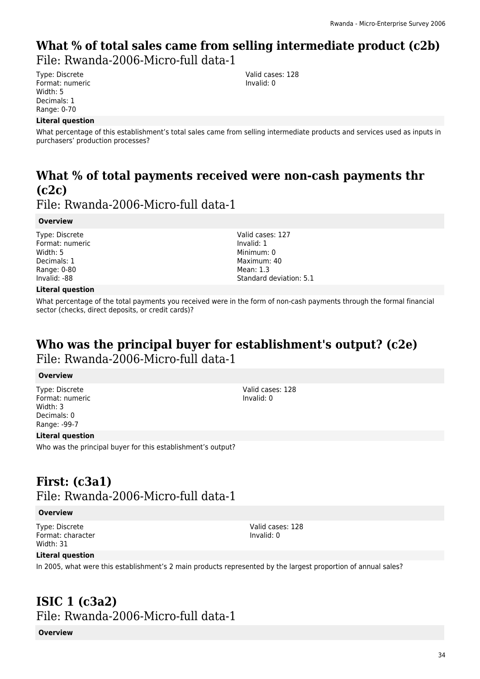# **What % of total sales came from selling intermediate product (c2b)**

File: Rwanda-2006-Micro-full data-1

Type: Discrete Format: numeric Width: 5 Decimals: 1 Range: 0-70

### **Literal question**

What percentage of this establishment's total sales came from selling intermediate products and services used as inputs in purchasers' production processes?

# **What % of total payments received were non-cash payments thr (c2c)**

# File: Rwanda-2006-Micro-full data-1

**Overview**

Type: Discrete Format: numeric Width: 5 Decimals: 1 Range: 0-80 Invalid: -88

### **Literal question**

What percentage of the total payments you received were in the form of non-cash payments through the formal financial sector (checks, direct deposits, or credit cards)?

## **Who was the principal buyer for establishment's output? (c2e)**  File: Rwanda-2006-Micro-full data-1

#### **Overview**

Type: Discrete Format: numeric Width: 3 Decimals: 0 Range: -99-7

**Literal question**

Who was the principal buyer for this establishment's output?

## **First: (c3a1)**  File: Rwanda-2006-Micro-full data-1

#### **Overview**

Type: Discrete Format: character Width: 31

Valid cases: 128 Invalid: 0

### **Literal question**

In 2005, what were this establishment's 2 main products represented by the largest proportion of annual sales?

## **ISIC 1 (c3a2)**  File: Rwanda-2006-Micro-full data-1

**Overview**

Valid cases: 127 Invalid: 1 Minimum: 0 Maximum: 40 Mean: 1.3 Standard deviation: 5.1

Valid cases: 128 Invalid: 0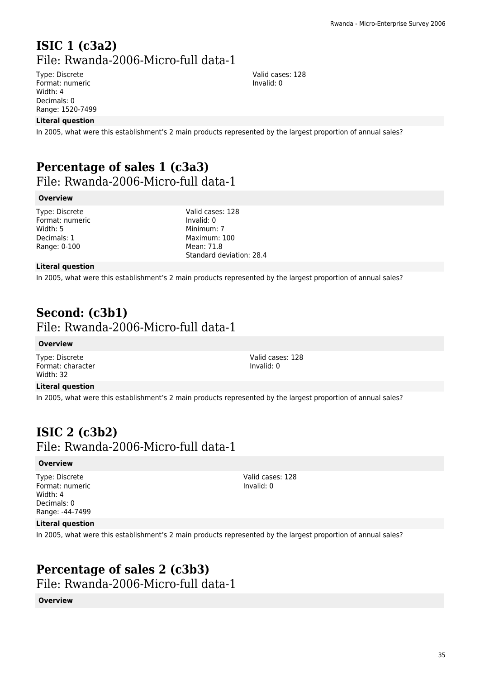## **ISIC 1 (c3a2)**  File: Rwanda-2006-Micro-full data-1

Type: Discrete Format: numeric Width: 4 Decimals: 0 Range: 1520-7499

#### **Literal question**

In 2005, what were this establishment's 2 main products represented by the largest proportion of annual sales?

# **Percentage of sales 1 (c3a3)**

File: Rwanda-2006-Micro-full data-1

### **Overview**

Type: Discrete Format: numeric Width: 5 Decimals: 1 Range: 0-100

Valid cases: 128 Invalid: 0 Minimum: 7 Maximum: 100 Mean: 71.8 Standard deviation: 28.4

#### **Literal question**

In 2005, what were this establishment's 2 main products represented by the largest proportion of annual sales?

### **Second: (c3b1)**  File: Rwanda-2006-Micro-full data-1

#### **Overview**

Type: Discrete Format: character Width: 32

Valid cases: 128 Invalid: 0

### **Literal question**

In 2005, what were this establishment's 2 main products represented by the largest proportion of annual sales?

### **ISIC 2 (c3b2)**  File: Rwanda-2006-Micro-full data-1

### **Overview**

Type: Discrete Format: numeric Width: 4 Decimals: 0 Range: -44-7499

Valid cases: 128 Invalid: 0

#### **Literal question**

In 2005, what were this establishment's 2 main products represented by the largest proportion of annual sales?

## **Percentage of sales 2 (c3b3)**

File: Rwanda-2006-Micro-full data-1

#### **Overview**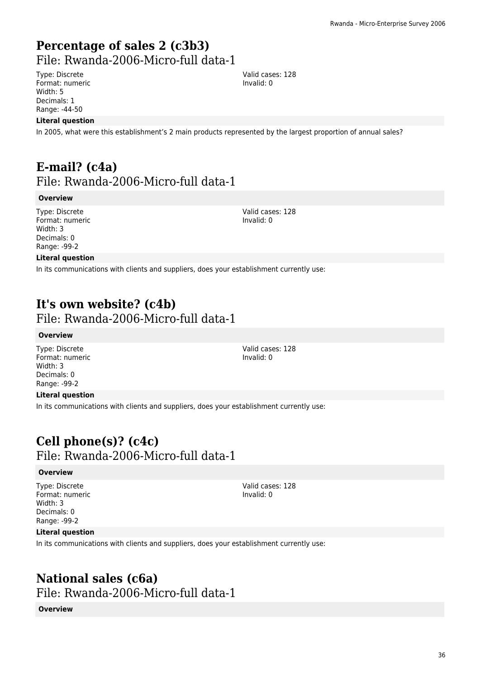# **Percentage of sales 2 (c3b3)**

File: Rwanda-2006-Micro-full data-1

Type: Discrete Format: numeric Width: 5 Decimals: 1 Range: -44-50

### **Literal question**

In 2005, what were this establishment's 2 main products represented by the largest proportion of annual sales?

## **E-mail? (c4a)**  File: Rwanda-2006-Micro-full data-1

#### **Overview**

Type: Discrete Format: numeric Width: 3 Decimals: 0 Range: -99-2

Valid cases: 128 Invalid: 0

Valid cases: 128 Invalid: 0

### **Literal question**

In its communications with clients and suppliers, does your establishment currently use:

# **It's own website? (c4b)**

File: Rwanda-2006-Micro-full data-1

#### **Overview**

Type: Discrete Format: numeric Width: 3 Decimals: 0 Range: -99-2

### **Literal question**

In its communications with clients and suppliers, does your establishment currently use:

# **Cell phone(s)? (c4c)**

File: Rwanda-2006-Micro-full data-1

#### **Overview**

Type: Discrete Format: numeric Width: 3 Decimals: 0 Range: -99-2

Valid cases: 128 Invalid: 0

### **Literal question**

In its communications with clients and suppliers, does your establishment currently use:

# **National sales (c6a)**

File: Rwanda-2006-Micro-full data-1

#### **Overview**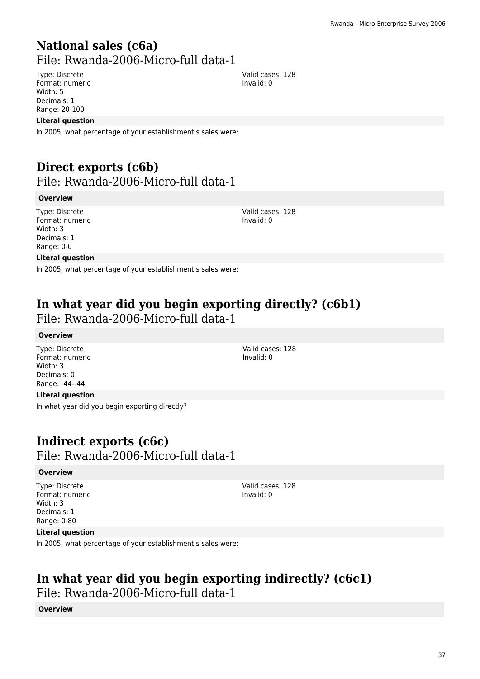### **National sales (c6a)**  File: Rwanda-2006-Micro-full data-1

Type: Discrete Format: numeric Width: 5 Decimals: 1 Range: 20-100

#### **Literal question**

In 2005, what percentage of your establishment's sales were:

### **Direct exports (c6b)**  File: Rwanda-2006-Micro-full data-1

#### **Overview**

Type: Discrete Format: numeric Width: 3 Decimals: 1 Range: 0-0

Valid cases: 128 Invalid: 0

Valid cases: 128 Invalid: 0

#### **Literal question**

In 2005, what percentage of your establishment's sales were:

## **In what year did you begin exporting directly? (c6b1)**

File: Rwanda-2006-Micro-full data-1

#### **Overview**

Type: Discrete Format: numeric Width: 3 Decimals: 0 Range: -44--44

#### **Literal question**

In what year did you begin exporting directly?

### **Indirect exports (c6c)**

File: Rwanda-2006-Micro-full data-1

#### **Overview**

Type: Discrete Format: numeric Width: 3 Decimals: 1 Range: 0-80

Valid cases: 128 Invalid: 0

#### **Literal question**

In 2005, what percentage of your establishment's sales were:

### **In what year did you begin exporting indirectly? (c6c1)**

File: Rwanda-2006-Micro-full data-1

#### **Overview**

Invalid: 0

Valid cases: 128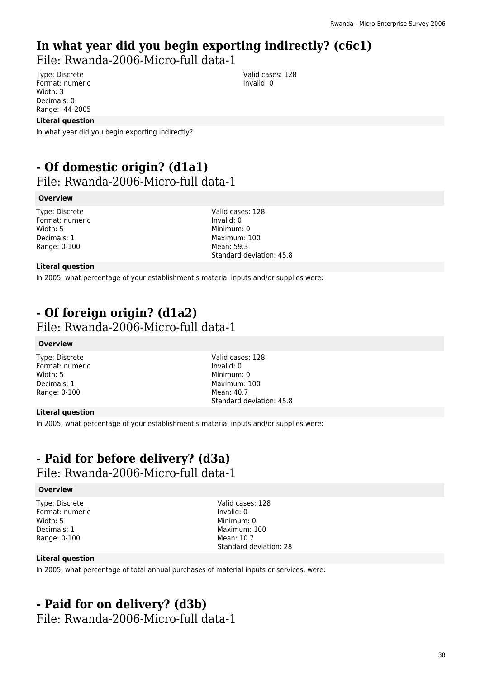## **In what year did you begin exporting indirectly? (c6c1)**

File: Rwanda-2006-Micro-full data-1

Type: Discrete Format: numeric Width: 3 Decimals: 0 Range: -44-2005

Valid cases: 128 Invalid: 0

#### **Literal question**

In what year did you begin exporting indirectly?

## **- Of domestic origin? (d1a1)**

File: Rwanda-2006-Micro-full data-1

#### **Overview**

Type: Discrete Format: numeric Width: 5 Decimals: 1 Range: 0-100

Valid cases: 128 Invalid: 0 Minimum: 0 Maximum: 100 Mean: 59.3 Standard deviation: 45.8

#### **Literal question**

In 2005, what percentage of your establishment's material inputs and/or supplies were:

## **- Of foreign origin? (d1a2)**

File: Rwanda-2006-Micro-full data-1

#### **Overview**

Type: Discrete Format: numeric Width: 5 Decimals: 1 Range: 0-100

Valid cases: 128 Invalid: 0 Minimum: 0 Maximum: 100 Mean: 40.7 Standard deviation: 45.8

#### **Literal question**

In 2005, what percentage of your establishment's material inputs and/or supplies were:

### **- Paid for before delivery? (d3a)**  File: Rwanda-2006-Micro-full data-1

#### **Overview**

Type: Discrete Format: numeric Width: 5 Decimals: 1 Range: 0-100

Valid cases: 128 Invalid: 0 Minimum: 0 Maximum: 100 Mean: 10.7 Standard deviation: 28

#### **Literal question**

In 2005, what percentage of total annual purchases of material inputs or services, were:

### **- Paid for on delivery? (d3b)**

File: Rwanda-2006-Micro-full data-1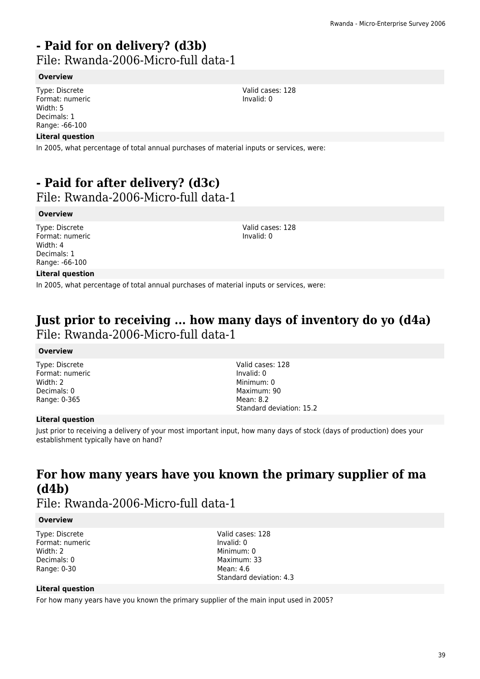## **- Paid for on delivery? (d3b)**

File: Rwanda-2006-Micro-full data-1

#### **Overview**

Type: Discrete Format: numeric Width: 5 Decimals: 1 Range: -66-100

#### **Literal question**

In 2005, what percentage of total annual purchases of material inputs or services, were:

## **- Paid for after delivery? (d3c)**

File: Rwanda-2006-Micro-full data-1

#### **Overview**

Type: Discrete Format: numeric Width: 4 Decimals: 1 Range: -66-100

Valid cases: 128 Invalid: 0

Valid cases: 128 Invalid: 0

#### **Literal question**

In 2005, what percentage of total annual purchases of material inputs or services, were:

### **Just prior to receiving ... how many days of inventory do yo (d4a)**  File: Rwanda-2006-Micro-full data-1

#### **Overview**

Type: Discrete Format: numeric Width: 2 Decimals: 0 Range: 0-365

Valid cases: 128 Invalid: 0 Minimum: 0 Maximum: 90 Mean: 8.2 Standard deviation: 15.2

#### **Literal question**

Just prior to receiving a delivery of your most important input, how many days of stock (days of production) does your establishment typically have on hand?

## **For how many years have you known the primary supplier of ma (d4b)**

File: Rwanda-2006-Micro-full data-1

#### **Overview**

Type: Discrete Format: numeric Width: 2 Decimals: 0 Range: 0-30

Valid cases: 128 Invalid: 0 Minimum: 0 Maximum: 33 Mean: 4.6 Standard deviation: 4.3

#### **Literal question**

For how many years have you known the primary supplier of the main input used in 2005?

39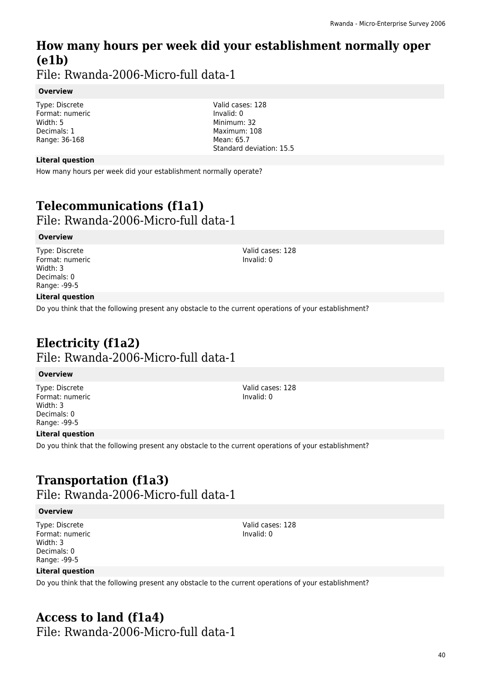## **How many hours per week did your establishment normally oper (e1b)**

File: Rwanda-2006-Micro-full data-1

#### **Overview**

Type: Discrete Format: numeric Width: 5 Decimals: 1 Range: 36-168

Valid cases: 128 Invalid: 0 Minimum: 32 Maximum: 108 Mean: 65.7 Standard deviation: 15.5

#### **Literal question**

How many hours per week did your establishment normally operate?

## **Telecommunications (f1a1)**

File: Rwanda-2006-Micro-full data-1

#### **Overview**

Type: Discrete Format: numeric Width: 3 Decimals: 0 Range: -99-5

Valid cases: 128 Invalid: 0

Valid cases: 128 Invalid: 0

#### **Literal question**

Do you think that the following present any obstacle to the current operations of your establishment?

## **Electricity (f1a2)**  File: Rwanda-2006-Micro-full data-1

#### **Overview**

Type: Discrete Format: numeric Width: 3 Decimals: 0 Range: -99-5

#### **Literal question**

Do you think that the following present any obstacle to the current operations of your establishment?

### **Transportation (f1a3)**  File: Rwanda-2006-Micro-full data-1

#### **Overview**

Type: Discrete Format: numeric Width: 3 Decimals: 0 Range: -99-5

Valid cases: 128 Invalid: 0

#### **Literal question**

Do you think that the following present any obstacle to the current operations of your establishment?

### **Access to land (f1a4)**

File: Rwanda-2006-Micro-full data-1

40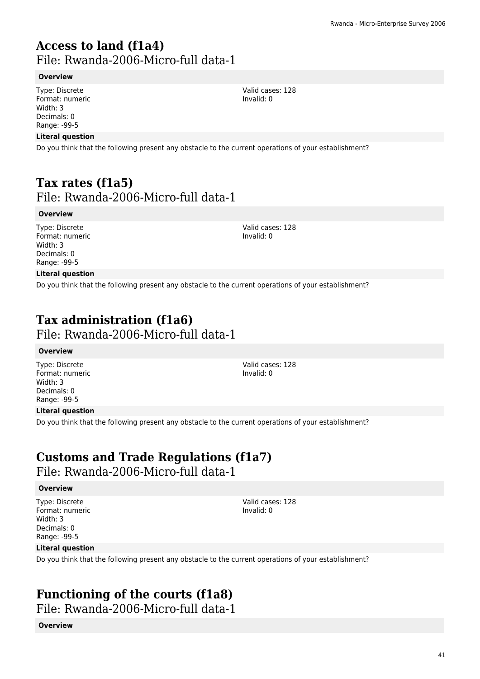# **Access to land (f1a4)**

File: Rwanda-2006-Micro-full data-1

#### **Overview**

Type: Discrete Format: numeric Width: 3 Decimals: 0 Range: -99-5

#### **Literal question**

Do you think that the following present any obstacle to the current operations of your establishment?

### **Tax rates (f1a5)**  File: Rwanda-2006-Micro-full data-1

#### **Overview**

Type: Discrete Format: numeric Width: 3 Decimals: 0 Range: -99-5

Valid cases: 128 Invalid: 0

#### **Literal question**

Do you think that the following present any obstacle to the current operations of your establishment?

## **Tax administration (f1a6)**

File: Rwanda-2006-Micro-full data-1

#### **Overview**

Type: Discrete Format: numeric Width: 3 Decimals: 0 Range: -99-5

Valid cases: 128 Invalid: 0

#### **Literal question**

Do you think that the following present any obstacle to the current operations of your establishment?

## **Customs and Trade Regulations (f1a7)**

File: Rwanda-2006-Micro-full data-1

#### **Overview**

Type: Discrete Format: numeric Width: 3 Decimals: 0 Range: -99-5

Valid cases: 128 Invalid: 0

#### **Literal question**

Do you think that the following present any obstacle to the current operations of your establishment?

### **Functioning of the courts (f1a8)**

File: Rwanda-2006-Micro-full data-1

#### **Overview**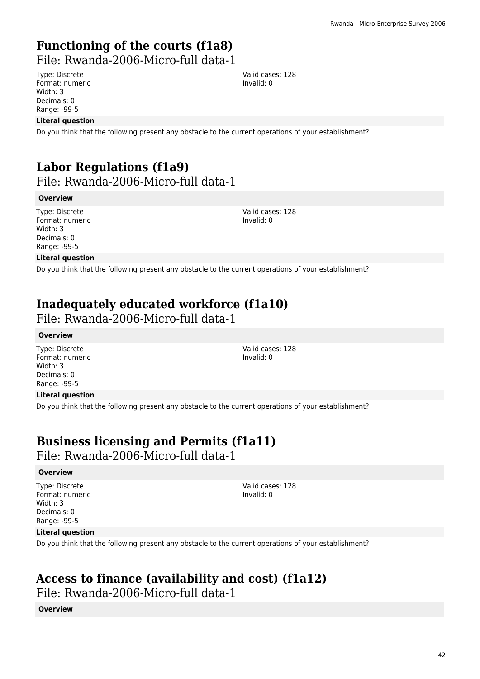## **Functioning of the courts (f1a8)**

File: Rwanda-2006-Micro-full data-1

Type: Discrete Format: numeric Width: 3 Decimals: 0 Range: -99-5

#### **Literal question**

Do you think that the following present any obstacle to the current operations of your establishment?

### **Labor Regulations (f1a9)**  File: Rwanda-2006-Micro-full data-1

#### **Overview**

Type: Discrete Format: numeric Width: 3 Decimals: 0 Range: -99-5

Valid cases: 128 Invalid: 0

Valid cases: 128 Invalid: 0

#### **Literal question**

Do you think that the following present any obstacle to the current operations of your establishment?

### **Inadequately educated workforce (f1a10)**

File: Rwanda-2006-Micro-full data-1

#### **Overview**

Type: Discrete Format: numeric Width: 3 Decimals: 0 Range: -99-5

#### **Literal question**

Do you think that the following present any obstacle to the current operations of your establishment?

### **Business licensing and Permits (f1a11)**

File: Rwanda-2006-Micro-full data-1

#### **Overview**

Type: Discrete Format: numeric Width: 3 Decimals: 0 Range: -99-5

Valid cases: 128 Invalid: 0

#### **Literal question**

Do you think that the following present any obstacle to the current operations of your establishment?

### **Access to finance (availability and cost) (f1a12)**

File: Rwanda-2006-Micro-full data-1

#### **Overview**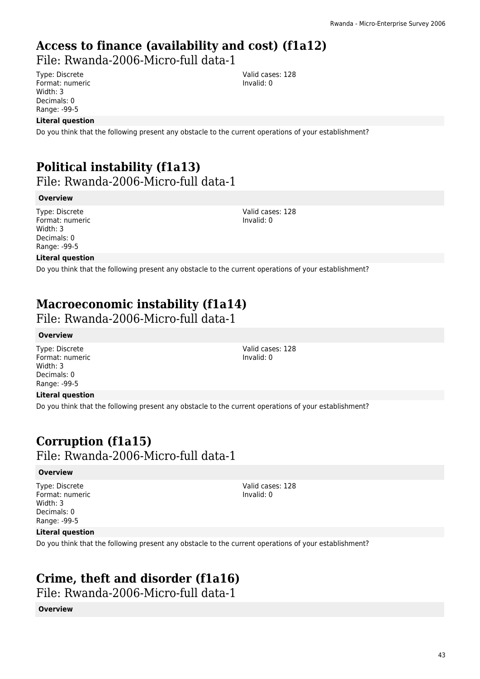## **Access to finance (availability and cost) (f1a12)**

File: Rwanda-2006-Micro-full data-1

Type: Discrete Format: numeric Width: 3 Decimals: 0 Range: -99-5

#### **Literal question**

Do you think that the following present any obstacle to the current operations of your establishment?

### **Political instability (f1a13)**  File: Rwanda-2006-Micro-full data-1

#### **Overview**

Type: Discrete Format: numeric Width: 3 Decimals: 0 Range: -99-5

Valid cases: 128 Invalid: 0

Valid cases: 128 Invalid: 0

#### **Literal question**

Do you think that the following present any obstacle to the current operations of your establishment?

## **Macroeconomic instability (f1a14)**

File: Rwanda-2006-Micro-full data-1

#### **Overview**

Type: Discrete Format: numeric Width: 3 Decimals: 0 Range: -99-5

#### **Literal question**

Do you think that the following present any obstacle to the current operations of your establishment?

# **Corruption (f1a15)**

File: Rwanda-2006-Micro-full data-1

#### **Overview**

Type: Discrete Format: numeric Width: 3 Decimals: 0 Range: -99-5

Valid cases: 128 Invalid: 0

#### **Literal question**

Do you think that the following present any obstacle to the current operations of your establishment?

## **Crime, theft and disorder (f1a16)**

File: Rwanda-2006-Micro-full data-1

#### **Overview**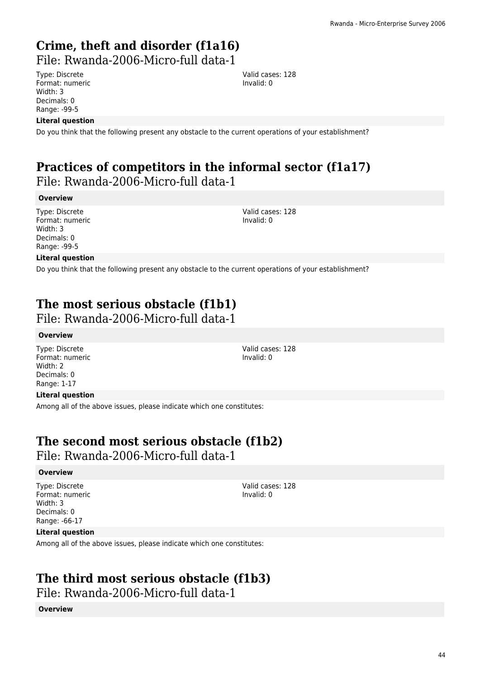## **Crime, theft and disorder (f1a16)**

File: Rwanda-2006-Micro-full data-1

Type: Discrete Format: numeric Width: 3 Decimals: 0 Range: -99-5

#### **Literal question**

Do you think that the following present any obstacle to the current operations of your establishment?

### **Practices of competitors in the informal sector (f1a17)**  File: Rwanda-2006-Micro-full data-1

#### **Overview**

Type: Discrete Format: numeric Width: 3 Decimals: 0 Range: -99-5

Valid cases: 128 Invalid: 0

Valid cases: 128 Invalid: 0

#### **Literal question**

Do you think that the following present any obstacle to the current operations of your establishment?

### **The most serious obstacle (f1b1)**

File: Rwanda-2006-Micro-full data-1

#### **Overview**

Type: Discrete Format: numeric Width: 2 Decimals: 0 Range: 1-17

#### **Literal question**

Among all of the above issues, please indicate which one constitutes:

### **The second most serious obstacle (f1b2)**

File: Rwanda-2006-Micro-full data-1

#### **Overview**

Type: Discrete Format: numeric Width: 3 Decimals: 0 Range: -66-17

Valid cases: 128 Invalid: 0

#### **Literal question**

Among all of the above issues, please indicate which one constitutes:

### **The third most serious obstacle (f1b3)**

File: Rwanda-2006-Micro-full data-1

#### **Overview**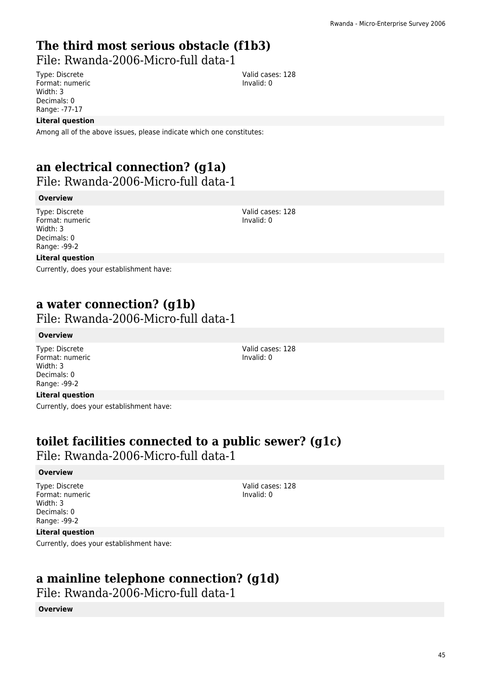## **The third most serious obstacle (f1b3)**

File: Rwanda-2006-Micro-full data-1

Type: Discrete Format: numeric Width: 3 Decimals: 0 Range: -77-17

#### **Literal question**

Among all of the above issues, please indicate which one constitutes:

## **an electrical connection? (g1a)**

File: Rwanda-2006-Micro-full data-1

#### **Overview**

Type: Discrete Format: numeric Width: 3 Decimals: 0 Range: -99-2

#### **Literal question**

Currently, does your establishment have:

### **a water connection? (g1b)**

File: Rwanda-2006-Micro-full data-1

#### **Overview**

Type: Discrete Format: numeric Width: 3 Decimals: 0 Range: -99-2

#### **Literal question**

Currently, does your establishment have:

### **toilet facilities connected to a public sewer? (g1c)**

File: Rwanda-2006-Micro-full data-1

#### **Overview**

Type: Discrete Format: numeric Width: 3 Decimals: 0 Range: -99-2

**Literal question**

Currently, does your establishment have:

### **a mainline telephone connection? (g1d)**

File: Rwanda-2006-Micro-full data-1

#### **Overview**

Valid cases: 128 Invalid: 0

Valid cases: 128 Invalid: 0

Valid cases: 128 Invalid: 0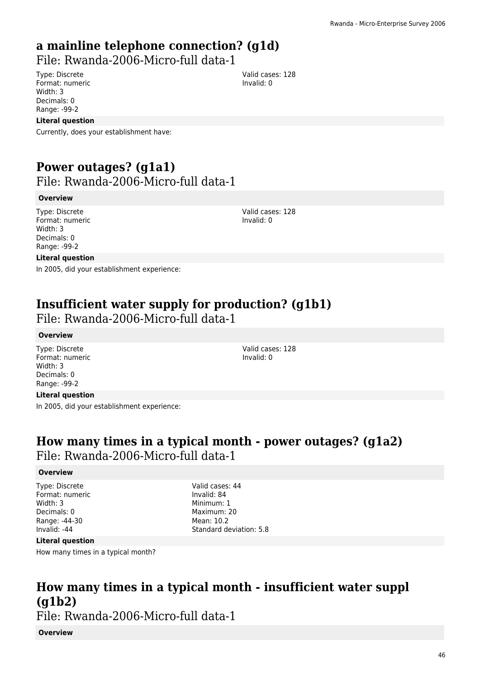## **a mainline telephone connection? (g1d)**

File: Rwanda-2006-Micro-full data-1

Type: Discrete Format: numeric Width: 3 Decimals: 0 Range: -99-2

#### **Literal question**

Currently, does your establishment have:

### **Power outages? (g1a1)**  File: Rwanda-2006-Micro-full data-1

#### **Overview**

Type: Discrete Format: numeric Width: 3 Decimals: 0 Range: -99-2

Valid cases: 128 Invalid: 0

Valid cases: 128 Invalid: 0

### **Literal question**

In 2005, did your establishment experience:

## **Insufficient water supply for production? (g1b1)**

File: Rwanda-2006-Micro-full data-1

#### **Overview**

Type: Discrete Format: numeric Width: 3 Decimals: 0 Range: -99-2

#### **Literal question**

In 2005, did your establishment experience:

### **How many times in a typical month - power outages? (g1a2)**  File: Rwanda-2006-Micro-full data-1

#### **Overview**

Type: Discrete Format: numeric Width: 3 Decimals: 0 Range: -44-30 Invalid: -44

Valid cases: 44 Invalid: 84 Minimum: 1 Maximum: 20 Mean: 10.2 Standard deviation: 5.8

#### **Literal question**

How many times in a typical month?

### **How many times in a typical month - insufficient water suppl (g1b2)**

File: Rwanda-2006-Micro-full data-1

**Overview**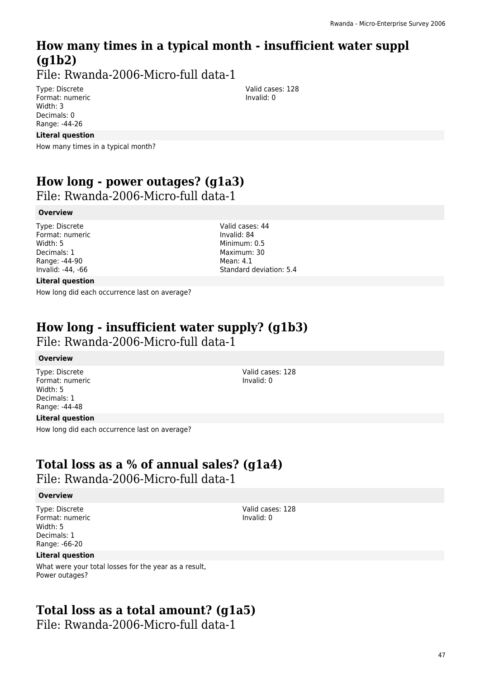## **How many times in a typical month - insufficient water suppl (g1b2)**

File: Rwanda-2006-Micro-full data-1

Type: Discrete Format: numeric Width: 3 Decimals: 0 Range: -44-26

#### **Literal question**

How many times in a typical month?

## **How long - power outages? (g1a3)**

File: Rwanda-2006-Micro-full data-1

#### **Overview**

Type: Discrete Format: numeric Width: 5 Decimals: 1 Range: -44-90 Invalid: -44, -66

#### **Literal question**

How long did each occurrence last on average?

## **How long - insufficient water supply? (g1b3)**

File: Rwanda-2006-Micro-full data-1

#### **Overview**

Type: Discrete Format: numeric Width: 5 Decimals: 1 Range: -44-48

#### **Literal question**

How long did each occurrence last on average?

# **Total loss as a % of annual sales? (g1a4)**

File: Rwanda-2006-Micro-full data-1

#### **Overview**

Type: Discrete Format: numeric Width: 5 Decimals: 1 Range: -66-20

Valid cases: 128 Invalid: 0

#### **Literal question**

What were your total losses for the year as a result, Power outages?

### **Total loss as a total amount? (g1a5)**

File: Rwanda-2006-Micro-full data-1

Valid cases: 128 Invalid: 0

Valid cases: 44 Invalid: 84 Minimum: 0.5 Maximum: 30 Mean: 4.1

Standard deviation: 5.4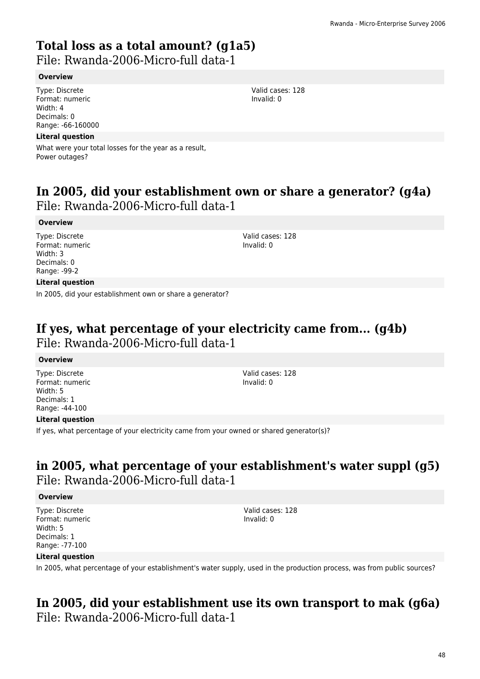## **Total loss as a total amount? (g1a5)**

File: Rwanda-2006-Micro-full data-1

#### **Overview**

Type: Discrete Format: numeric Width: 4 Decimals: 0 Range: -66-160000

#### **Literal question**

What were your total losses for the year as a result, Power outages?

### **In 2005, did your establishment own or share a generator? (g4a)**  File: Rwanda-2006-Micro-full data-1

#### **Overview**

Type: Discrete Format: numeric Width: 3 Decimals: 0 Range: -99-2

Valid cases: 128 Invalid: 0

Valid cases: 128 Invalid: 0

#### **Literal question**

In 2005, did your establishment own or share a generator?

### **If yes, what percentage of your electricity came from... (g4b)**  File: Rwanda-2006-Micro-full data-1

#### **Overview**

Type: Discrete Format: numeric Width: 5 Decimals: 1 Range: -44-100

#### **Literal question**

If yes, what percentage of your electricity came from your owned or shared generator(s)?

### **in 2005, what percentage of your establishment's water suppl (g5)**  File: Rwanda-2006-Micro-full data-1

#### **Overview**

Type: Discrete Format: numeric Width: 5 Decimals: 1 Range: -77-100

Valid cases: 128 Invalid: 0

#### **Literal question**

In 2005, what percentage of your establishment's water supply, used in the production process, was from public sources?

### **In 2005, did your establishment use its own transport to mak (g6a)**  File: Rwanda-2006-Micro-full data-1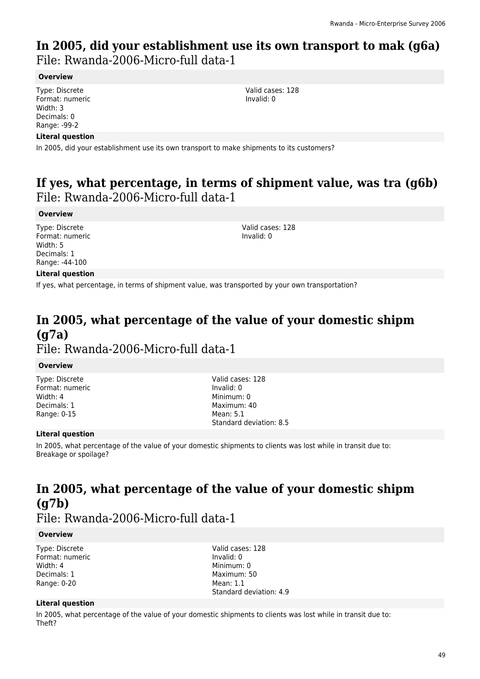### **In 2005, did your establishment use its own transport to mak (g6a)**  File: Rwanda-2006-Micro-full data-1

#### **Overview**

Type: Discrete Format: numeric Width: 3 Decimals: 0 Range: -99-2

#### **Literal question**

In 2005, did your establishment use its own transport to make shipments to its customers?

### **If yes, what percentage, in terms of shipment value, was tra (g6b)**  File: Rwanda-2006-Micro-full data-1

#### **Overview**

Type: Discrete Format: numeric Width: 5 Decimals: 1 Range: -44-100

Valid cases: 128 Invalid: 0

#### **Literal question**

If yes, what percentage, in terms of shipment value, was transported by your own transportation?

### **In 2005, what percentage of the value of your domestic shipm (g7a)**  File: Rwanda-2006-Micro-full data-1

#### **Overview**

Type: Discrete Format: numeric Width: 4 Decimals: 1 Range: 0-15

Valid cases: 128 Invalid: 0 Minimum: 0 Maximum: 40 Mean: 5.1 Standard deviation: 8.5

#### **Literal question**

In 2005, what percentage of the value of your domestic shipments to clients was lost while in transit due to: Breakage or spoilage?

## **In 2005, what percentage of the value of your domestic shipm (g7b)**

File: Rwanda-2006-Micro-full data-1

#### **Overview**

Type: Discrete Format: numeric Width: 4 Decimals: 1 Range: 0-20

Valid cases: 128 Invalid: 0 Minimum: 0 Maximum: 50 Mean: 11 Standard deviation: 4.9

#### **Literal question**

In 2005, what percentage of the value of your domestic shipments to clients was lost while in transit due to: Theft?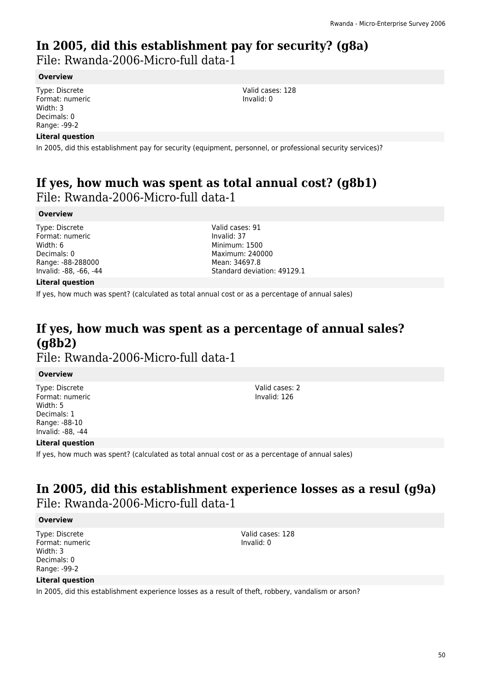### **In 2005, did this establishment pay for security? (g8a)**

File: Rwanda-2006-Micro-full data-1

#### **Overview**

Type: Discrete Format: numeric Width: 3 Decimals: 0 Range: -99-2

#### **Literal question**

In 2005, did this establishment pay for security (equipment, personnel, or professional security services)?

## **If yes, how much was spent as total annual cost? (g8b1)**  File: Rwanda-2006-Micro-full data-1

#### **Overview**

Type: Discrete Format: numeric Width: 6 Decimals: 0 Range: -88-288000 Invalid: -88, -66, -44

Valid cases: 91 Invalid: 37 Minimum: 1500 Maximum: 240000 Mean: 34697.8 Standard deviation: 49129.1

Valid cases: 128 Invalid: 0

#### **Literal question**

If yes, how much was spent? (calculated as total annual cost or as a percentage of annual sales)

### **If yes, how much was spent as a percentage of annual sales? (g8b2)**  File: Rwanda-2006-Micro-full data-1

#### **Overview**

Type: Discrete Format: numeric Width: 5 Decimals: 1 Range: -88-10 Invalid: -88, -44

Valid cases: 2 Invalid: 126

#### **Literal question**

If yes, how much was spent? (calculated as total annual cost or as a percentage of annual sales)

### **In 2005, did this establishment experience losses as a resul (g9a)**  File: Rwanda-2006-Micro-full data-1

#### **Overview**

Type: Discrete Format: numeric Width: 3 Decimals: 0 Range: -99-2

Valid cases: 128 Invalid: 0

#### **Literal question**

In 2005, did this establishment experience losses as a result of theft, robbery, vandalism or arson?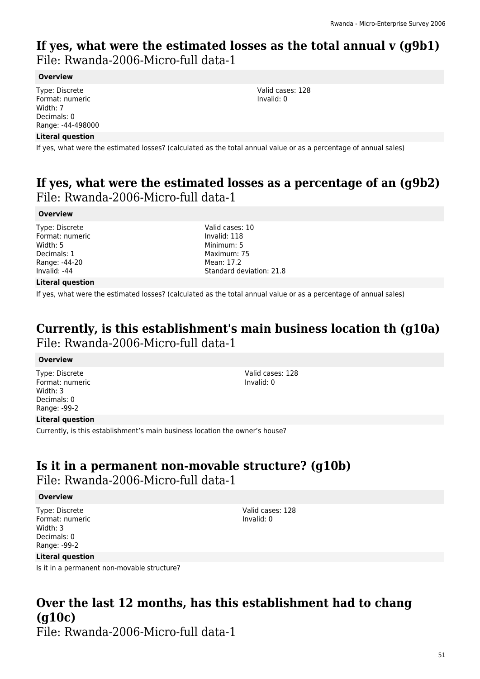### **If yes, what were the estimated losses as the total annual v (g9b1)**  File: Rwanda-2006-Micro-full data-1

#### **Overview**

Type: Discrete Format: numeric Width: 7 Decimals: 0 Range: -44-498000

#### **Literal question**

If yes, what were the estimated losses? (calculated as the total annual value or as a percentage of annual sales)

### **If yes, what were the estimated losses as a percentage of an (g9b2)**  File: Rwanda-2006-Micro-full data-1

#### **Overview**

Type: Discrete Format: numeric Width: 5 Decimals: 1 Range: -44-20 Invalid: -44

Valid cases: 10 Invalid: 118 Minimum: 5 Maximum: 75 Mean: 17.2 Standard deviation: 21.8

#### **Literal question**

If yes, what were the estimated losses? (calculated as the total annual value or as a percentage of annual sales)

### **Currently, is this establishment's main business location th (g10a)**  File: Rwanda-2006-Micro-full data-1

#### **Overview**

Type: Discrete Format: numeric Width: 3 Decimals: 0 Range: -99-2

#### **Literal question**

Currently, is this establishment's main business location the owner's house?

### **Is it in a permanent non-movable structure? (g10b)**  File: Rwanda-2006-Micro-full data-1

#### **Overview**

Type: Discrete Format: numeric Width: 3 Decimals: 0 Range: -99-2

**Literal question**

Is it in a permanent non-movable structure?

### **Over the last 12 months, has this establishment had to chang (g10c)**

File: Rwanda-2006-Micro-full data-1

Valid cases: 128 Invalid: 0

Valid cases: 128 Invalid: 0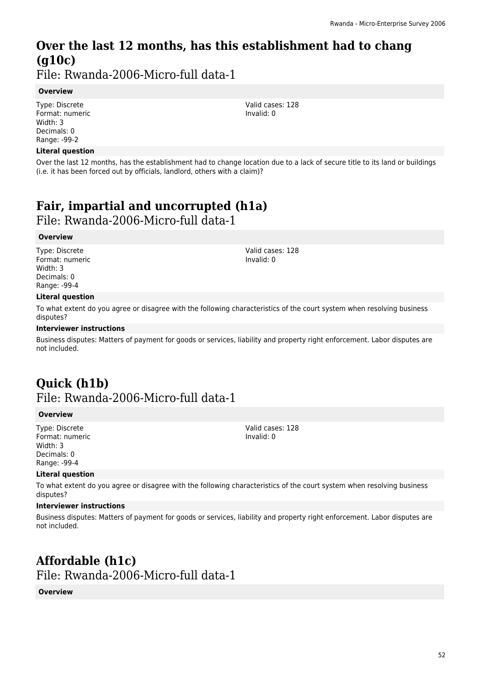## **Over the last 12 months, has this establishment had to chang (g10c)**

File: Rwanda-2006-Micro-full data-1

#### **Overview**

Type: Discrete Format: numeric Width: 3 Decimals: 0 Range: -99-2

#### **Literal question**

Over the last 12 months, has the establishment had to change location due to a lack of secure title to its land or buildings (i.e. it has been forced out by officials, landlord, others with a claim)?

## **Fair, impartial and uncorrupted (h1a)**

File: Rwanda-2006-Micro-full data-1

#### **Overview**

Type: Discrete Format: numeric Width: 3 Decimals: 0 Range: -99-4

**Literal question**

To what extent do you agree or disagree with the following characteristics of the court system when resolving business disputes?

#### **Interviewer instructions**

Business disputes: Matters of payment for goods or services, liability and property right enforcement. Labor disputes are not included.

### **Quick (h1b)**  File: Rwanda-2006-Micro-full data-1

#### **Overview**

Type: Discrete Format: numeric Width: 3 Decimals: 0 Range: -99-4

#### **Literal question**

To what extent do you agree or disagree with the following characteristics of the court system when resolving business disputes?

#### **Interviewer instructions**

Business disputes: Matters of payment for goods or services, liability and property right enforcement. Labor disputes are not included.

### **Affordable (h1c)**  File: Rwanda-2006-Micro-full data-1

#### **Overview**

Valid cases: 128 Invalid: 0

Valid cases: 128 Invalid: 0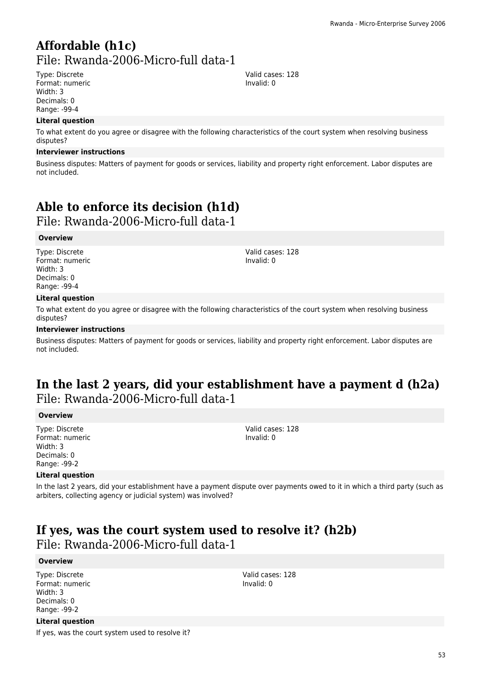### **Affordable (h1c)**  File: Rwanda-2006-Micro-full data-1

Type: Discrete Format: numeric Width: 3 Decimals: 0 Range: -99-4

#### **Literal question**

To what extent do you agree or disagree with the following characteristics of the court system when resolving business disputes?

#### **Interviewer instructions**

Business disputes: Matters of payment for goods or services, liability and property right enforcement. Labor disputes are not included.

## **Able to enforce its decision (h1d)**

File: Rwanda-2006-Micro-full data-1

#### **Overview**

Type: Discrete Format: numeric Width: 3 Decimals: 0 Range: -99-4

#### Valid cases: 128 Invalid: 0

Valid cases: 128 Invalid: 0

#### **Literal question**

To what extent do you agree or disagree with the following characteristics of the court system when resolving business disputes?

#### **Interviewer instructions**

Business disputes: Matters of payment for goods or services, liability and property right enforcement. Labor disputes are not included.

### **In the last 2 years, did your establishment have a payment d (h2a)**  File: Rwanda-2006-Micro-full data-1

#### **Overview**

Type: Discrete Format: numeric Width: 3 Decimals: 0 Range: -99-2

#### Valid cases: 128 Invalid: 0

#### **Literal question**

In the last 2 years, did your establishment have a payment dispute over payments owed to it in which a third party (such as arbiters, collecting agency or judicial system) was involved?

### **If yes, was the court system used to resolve it? (h2b)**  File: Rwanda-2006-Micro-full data-1

#### **Overview**

Type: Discrete Format: numeric Width: 3 Decimals: 0 Range: -99-2

Valid cases: 128 Invalid: 0

#### **Literal question**

If yes, was the court system used to resolve it?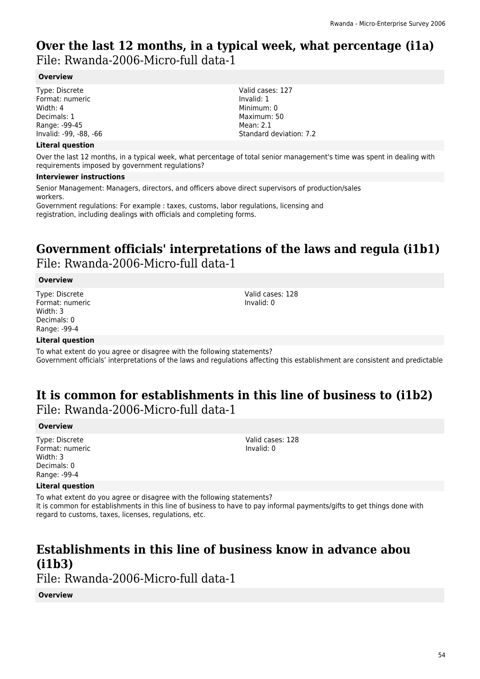### **Over the last 12 months, in a typical week, what percentage (i1a)**  File: Rwanda-2006-Micro-full data-1

#### **Overview**

Type: Discrete Format: numeric Width: 4 Decimals: 1 Range: -99-45 Invalid: -99, -88, -66

Valid cases: 127 Invalid: 1 Minimum: 0 Maximum: 50 Mean: 2.1 Standard deviation: 7.2

#### **Literal question**

Over the last 12 months, in a typical week, what percentage of total senior management's time was spent in dealing with requirements imposed by government regulations?

#### **Interviewer instructions**

Senior Management: Managers, directors, and officers above direct supervisors of production/sales workers.

Government regulations: For example : taxes, customs, labor regulations, licensing and registration, including dealings with officials and completing forms.

### **Government officials' interpretations of the laws and regula (i1b1)**  File: Rwanda-2006-Micro-full data-1

#### **Overview**

Type: Discrete Format: numeric Width: 3 Decimals: 0 Range: -99-4

Valid cases: 128 Invalid: 0

Valid cases: 128 Invalid: 0

#### **Literal question**

To what extent do you agree or disagree with the following statements? Government officials' interpretations of the laws and regulations affecting this establishment are consistent and predictable

### **It is common for establishments in this line of business to (i1b2)**  File: Rwanda-2006-Micro-full data-1

#### **Overview**

Type: Discrete Format: numeric Width: 3 Decimals: 0 Range: -99-4

#### **Literal question**

To what extent do you agree or disagree with the following statements? It is common for establishments in this line of business to have to pay informal payments/gifts to get things done with regard to customs, taxes, licenses, regulations, etc.

## **Establishments in this line of business know in advance abou (i1b3)**

File: Rwanda-2006-Micro-full data-1

**Overview**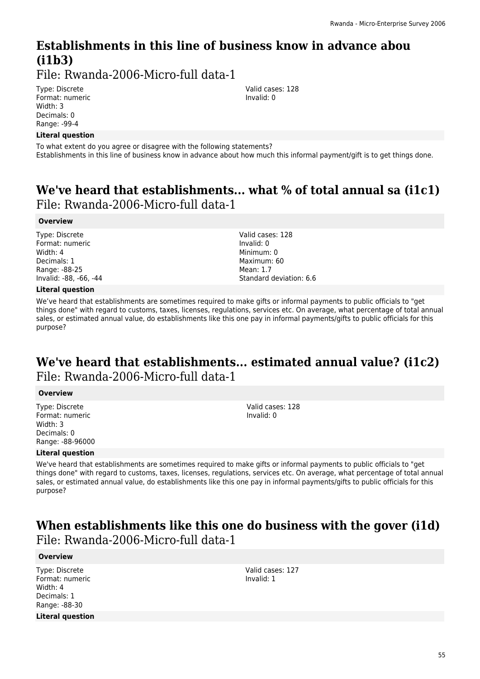## **Establishments in this line of business know in advance abou (i1b3)**

File: Rwanda-2006-Micro-full data-1

Type: Discrete Format: numeric Width: 3 Decimals: 0 Range: -99-4

#### **Literal question**

To what extent do you agree or disagree with the following statements? Establishments in this line of business know in advance about how much this informal payment/gift is to get things done.

### **We've heard that establishments... what % of total annual sa (i1c1)**  File: Rwanda-2006-Micro-full data-1

#### **Overview**

Type: Discrete Format: numeric Width: 4 Decimals: 1 Range: -88-25 Invalid: -88, -66, -44

#### **Literal question**

Valid cases: 128 Invalid: 0 Minimum: 0 Maximum: 60 Mean: 1.7 Standard deviation: 6.6

Valid cases: 128 Invalid: 0

We've heard that establishments are sometimes required to make gifts or informal payments to public officials to "get things done" with regard to customs, taxes, licenses, regulations, services etc. On average, what percentage of total annual sales, or estimated annual value, do establishments like this one pay in informal payments/gifts to public officials for this purpose?

### **We've heard that establishments... estimated annual value? (i1c2)**  File: Rwanda-2006-Micro-full data-1

#### **Overview**

Type: Discrete Format: numeric Width: 3 Decimals: 0 Range: -88-96000 Valid cases: 128 Invalid: 0

#### **Literal question**

We've heard that establishments are sometimes required to make gifts or informal payments to public officials to "get things done" with regard to customs, taxes, licenses, regulations, services etc. On average, what percentage of total annual sales, or estimated annual value, do establishments like this one pay in informal payments/gifts to public officials for this purpose?

### **When establishments like this one do business with the gover (i1d)**  File: Rwanda-2006-Micro-full data-1

#### **Overview**

Type: Discrete Format: numeric Width: 4 Decimals: 1 Range: -88-30 **Literal question** Valid cases: 127 Invalid: 1

55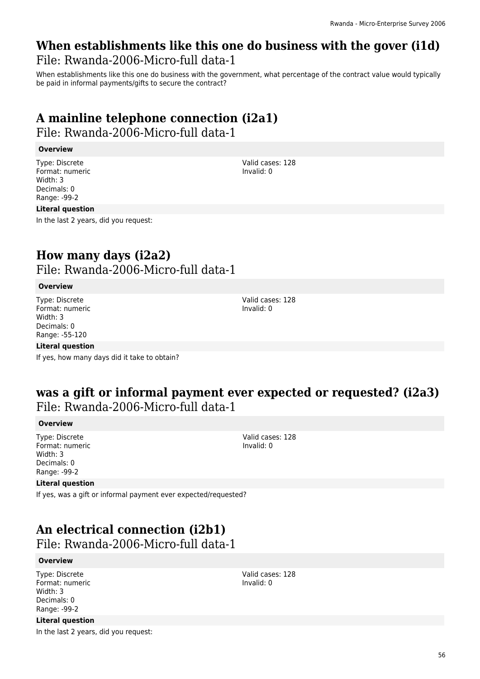### **When establishments like this one do business with the gover (i1d)**  File: Rwanda-2006-Micro-full data-1

When establishments like this one do business with the government, what percentage of the contract value would typically be paid in informal payments/gifts to secure the contract?

## **A mainline telephone connection (i2a1)**

File: Rwanda-2006-Micro-full data-1

#### **Overview**

Type: Discrete Format: numeric Width: 3 Decimals: 0 Range: -99-2

#### **Literal question**

In the last 2 years, did you request:

### **How many days (i2a2)**  File: Rwanda-2006-Micro-full data-1

#### **Overview**

Type: Discrete Format: numeric Width: 3 Decimals: 0 Range: -55-120

#### **Literal question**

If yes, how many days did it take to obtain?

### **was a gift or informal payment ever expected or requested? (i2a3)**  File: Rwanda-2006-Micro-full data-1

#### **Overview**

Type: Discrete Format: numeric Width: 3 Decimals: 0 Range: -99-2

#### **Literal question**

If yes, was a gift or informal payment ever expected/requested?

## **An electrical connection (i2b1)**

File: Rwanda-2006-Micro-full data-1

#### **Overview**

Type: Discrete Format: numeric Width: 3 Decimals: 0 Range: -99-2

Valid cases: 128 Invalid: 0

**Literal question** In the last 2 years, did you request:

Valid cases: 128 Invalid: 0

Valid cases: 128 Invalid: 0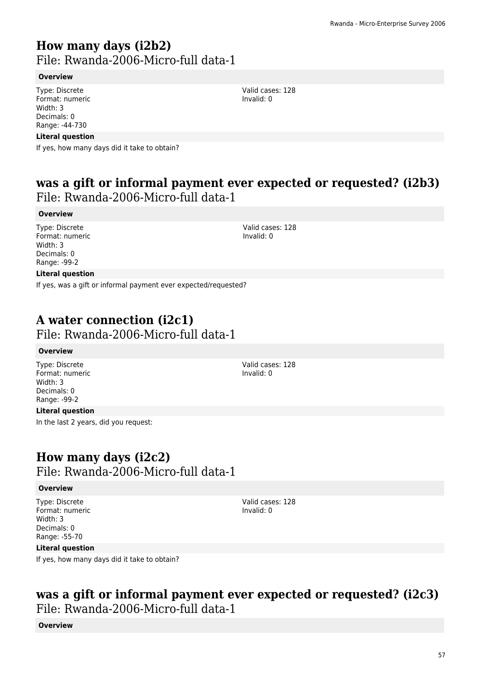### **How many days (i2b2)**  File: Rwanda-2006-Micro-full data-1

#### **Overview**

Type: Discrete Format: numeric Width: 3 Decimals: 0 Range: -44-730

#### **Literal question**

If yes, how many days did it take to obtain?

### **was a gift or informal payment ever expected or requested? (i2b3)**  File: Rwanda-2006-Micro-full data-1

#### **Overview**

Type: Discrete Format: numeric Width: 3 Decimals: 0 Range: -99-2

Valid cases: 128 Invalid: 0

Valid cases: 128 Invalid: 0

#### **Literal question**

If yes, was a gift or informal payment ever expected/requested?

## **A water connection (i2c1)**

File: Rwanda-2006-Micro-full data-1

#### **Overview**

Type: Discrete Format: numeric Width: 3 Decimals: 0 Range: -99-2

#### **Literal question**

In the last 2 years, did you request:

### **How many days (i2c2)**  File: Rwanda-2006-Micro-full data-1

#### **Overview**

Type: Discrete Format: numeric Width: 3 Decimals: 0 Range: -55-70

Valid cases: 128 Invalid: 0

#### **Literal question**

If yes, how many days did it take to obtain?

### **was a gift or informal payment ever expected or requested? (i2c3)**  File: Rwanda-2006-Micro-full data-1

**Overview**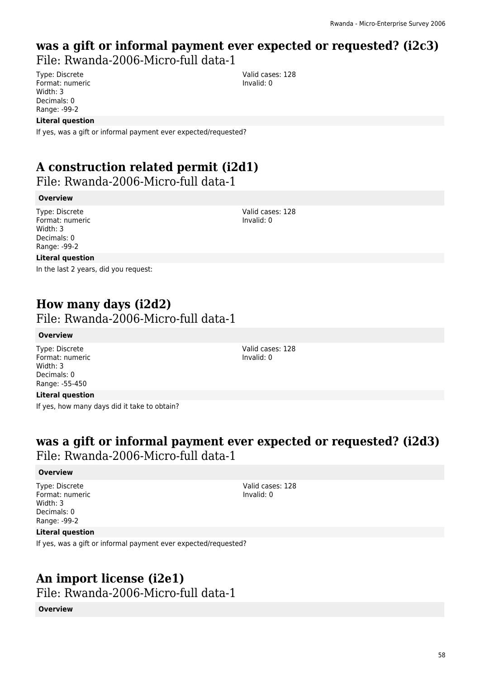## **was a gift or informal payment ever expected or requested? (i2c3)**

File: Rwanda-2006-Micro-full data-1

Type: Discrete Format: numeric Width: 3 Decimals: 0 Range: -99-2

#### **Literal question**

If yes, was a gift or informal payment ever expected/requested?

## **A construction related permit (i2d1)**

File: Rwanda-2006-Micro-full data-1

#### **Overview**

Type: Discrete Format: numeric Width: 3 Decimals: 0 Range: -99-2

#### **Literal question**

In the last 2 years, did you request:

## **How many days (i2d2)**

File: Rwanda-2006-Micro-full data-1

#### **Overview**

Type: Discrete Format: numeric Width: 3 Decimals: 0 Range: -55-450

#### **Literal question**

If yes, how many days did it take to obtain?

### **was a gift or informal payment ever expected or requested? (i2d3)**  File: Rwanda-2006-Micro-full data-1

#### **Overview**

Type: Discrete Format: numeric Width: 3 Decimals: 0 Range: -99-2

Valid cases: 128 Invalid: 0

#### **Literal question**

If yes, was a gift or informal payment ever expected/requested?

### **An import license (i2e1)**

File: Rwanda-2006-Micro-full data-1

#### **Overview**

Valid cases: 128 Invalid: 0

Valid cases: 128 Invalid: 0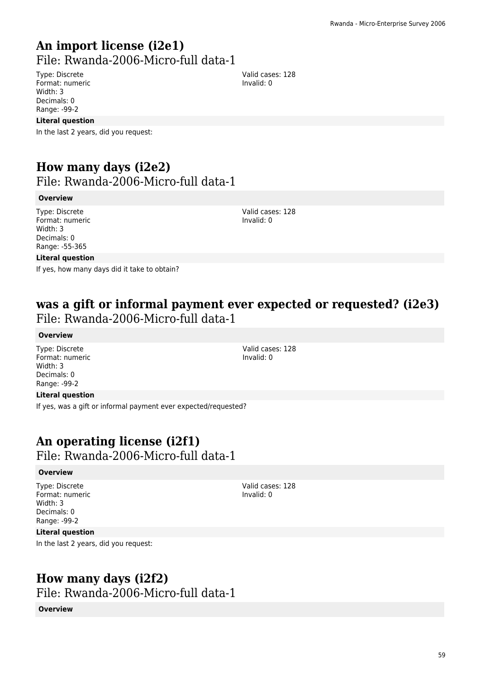### **An import license (i2e1)**  File: Rwanda-2006-Micro-full data-1

Type: Discrete Format: numeric Width: 3 Decimals: 0 Range: -99-2

#### **Literal question**

In the last 2 years, did you request:

### **How many days (i2e2)**  File: Rwanda-2006-Micro-full data-1

#### **Overview**

Type: Discrete Format: numeric Width: 3 Decimals: 0 Range: -55-365

#### **Literal question**

If yes, how many days did it take to obtain?

### **was a gift or informal payment ever expected or requested? (i2e3)**  File: Rwanda-2006-Micro-full data-1

#### **Overview**

Type: Discrete Format: numeric Width: 3 Decimals: 0 Range: -99-2

#### **Literal question**

If yes, was a gift or informal payment ever expected/requested?

### **An operating license (i2f1)**

File: Rwanda-2006-Micro-full data-1

#### **Overview**

Type: Discrete Format: numeric Width: 3 Decimals: 0 Range: -99-2

**Literal question**

In the last 2 years, did you request:

### **How many days (i2f2)**

File: Rwanda-2006-Micro-full data-1

#### **Overview**

Valid cases: 128 Invalid: 0

Valid cases: 128

Valid cases: 128 Invalid: 0

Invalid: 0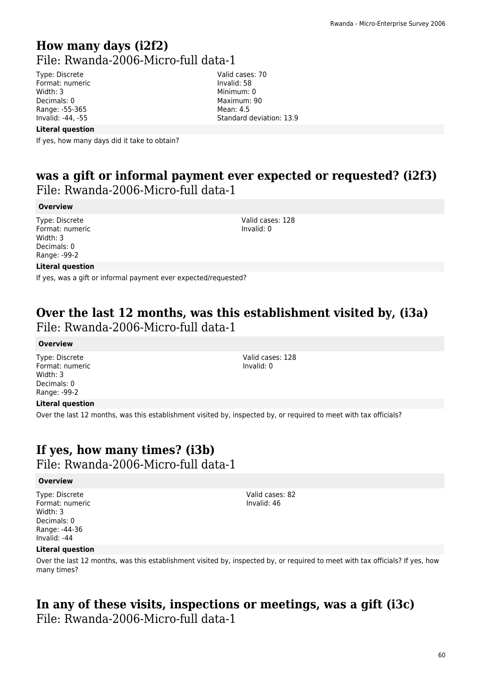### **How many days (i2f2)**  File: Rwanda-2006-Micro-full data-1

Type: Discrete Format: numeric Width: 3 Decimals: 0 Range: -55-365 Invalid: -44, -55

Valid cases: 70 Invalid: 58 Minimum: 0 Maximum: 90 Mean: 4.5 Standard deviation: 13.9

#### **Literal question**

If yes, how many days did it take to obtain?

### **was a gift or informal payment ever expected or requested? (i2f3)**  File: Rwanda-2006-Micro-full data-1

#### **Overview**

Type: Discrete Format: numeric Width: 3 Decimals: 0 Range: -99-2

Valid cases: 128 Invalid: 0

Valid cases: 128 Invalid: 0

#### **Literal question**

If yes, was a gift or informal payment ever expected/requested?

### **Over the last 12 months, was this establishment visited by, (i3a)**  File: Rwanda-2006-Micro-full data-1

#### **Overview**

Type: Discrete Format: numeric Width: 3 Decimals: 0 Range: -99-2

#### **Literal question**

Over the last 12 months, was this establishment visited by, inspected by, or required to meet with tax officials?

### **If yes, how many times? (i3b)**  File: Rwanda-2006-Micro-full data-1

#### **Overview**

Type: Discrete Format: numeric Width: 3 Decimals: 0 Range: -44-36 Invalid: -44

Valid cases: 82 Invalid: 46

#### **Literal question**

Over the last 12 months, was this establishment visited by, inspected by, or required to meet with tax officials? If yes, how many times?

### **In any of these visits, inspections or meetings, was a gift (i3c)**  File: Rwanda-2006-Micro-full data-1

60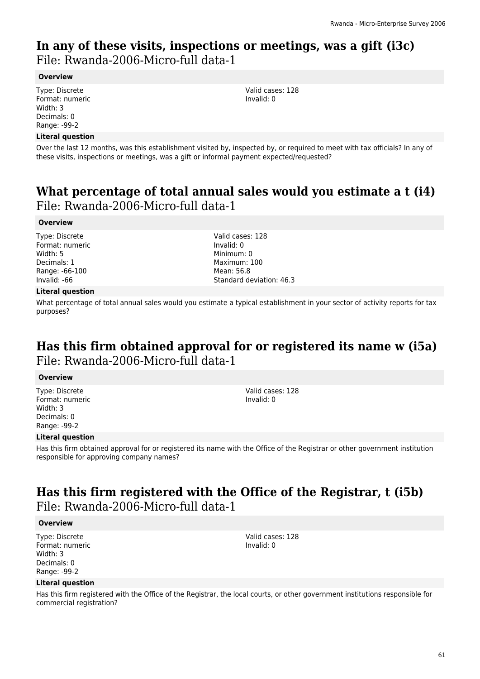### **In any of these visits, inspections or meetings, was a gift (i3c)**  File: Rwanda-2006-Micro-full data-1

#### **Overview**

Type: Discrete Format: numeric Width: 3 Decimals: 0 Range: -99-2

#### **Literal question**

Valid cases: 128 Invalid: 0

Over the last 12 months, was this establishment visited by, inspected by, or required to meet with tax officials? In any of these visits, inspections or meetings, was a gift or informal payment expected/requested?

### **What percentage of total annual sales would you estimate a t (i4)**  File: Rwanda-2006-Micro-full data-1

Valid cases: 128 Invalid: 0 Minimum: 0 Maximum: 100 Mean: 56.8

#### **Overview**

Type: Discrete Format: numeric Width: 5 Decimals: 1 Range: -66-100 Invalid: -66

#### **Literal question**

What percentage of total annual sales would you estimate a typical establishment in your sector of activity reports for tax purposes?

Standard deviation: 46.3

### **Has this firm obtained approval for or registered its name w (i5a)**  File: Rwanda-2006-Micro-full data-1

#### **Overview**

Type: Discrete Format: numeric Width: 3 Decimals: 0 Range: -99-2

Valid cases: 128 Invalid: 0

#### **Literal question**

Has this firm obtained approval for or registered its name with the Office of the Registrar or other government institution responsible for approving company names?

### **Has this firm registered with the Office of the Registrar, t (i5b)**  File: Rwanda-2006-Micro-full data-1

#### **Overview**

Type: Discrete Format: numeric Width: 3 Decimals: 0 Range: -99-2

Valid cases: 128 Invalid: 0

#### **Literal question**

Has this firm registered with the Office of the Registrar, the local courts, or other government institutions responsible for commercial registration?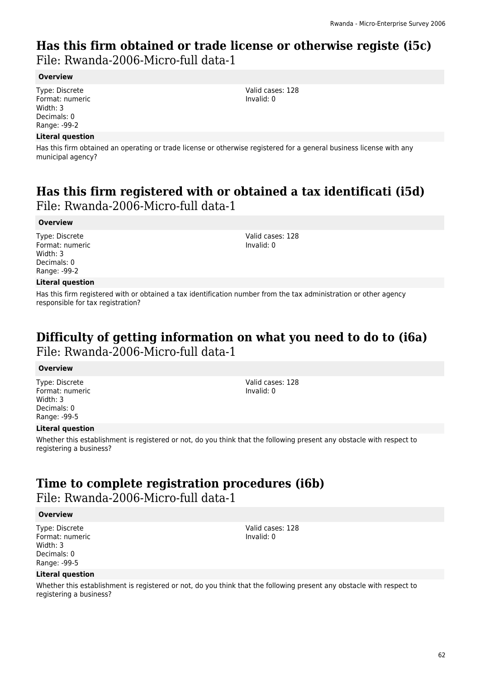# **Has this firm obtained or trade license or otherwise registe (i5c)**

File: Rwanda-2006-Micro-full data-1

#### **Overview**

Type: Discrete Format: numeric Width: 3 Decimals: 0 Range: -99-2

#### **Literal question**

Has this firm obtained an operating or trade license or otherwise registered for a general business license with any municipal agency?

### **Has this firm registered with or obtained a tax identificati (i5d)**  File: Rwanda-2006-Micro-full data-1

#### **Overview**

Type: Discrete Format: numeric Width: 3 Decimals: 0 Range: -99-2

#### **Literal question**

Has this firm registered with or obtained a tax identification number from the tax administration or other agency responsible for tax registration?

### **Difficulty of getting information on what you need to do to (i6a)**  File: Rwanda-2006-Micro-full data-1

#### **Overview**

Type: Discrete Format: numeric Width: 3 Decimals: 0 Range: -99-5

Valid cases: 128 Invalid: 0

#### **Literal question**

Whether this establishment is registered or not, do you think that the following present any obstacle with respect to registering a business?

## **Time to complete registration procedures (i6b)**

File: Rwanda-2006-Micro-full data-1

#### **Overview**

Type: Discrete Format: numeric Width: 3 Decimals: 0 Range: -99-5

Valid cases: 128 Invalid: 0

#### **Literal question**

Whether this establishment is registered or not, do you think that the following present any obstacle with respect to registering a business?

Valid cases: 128 Invalid: 0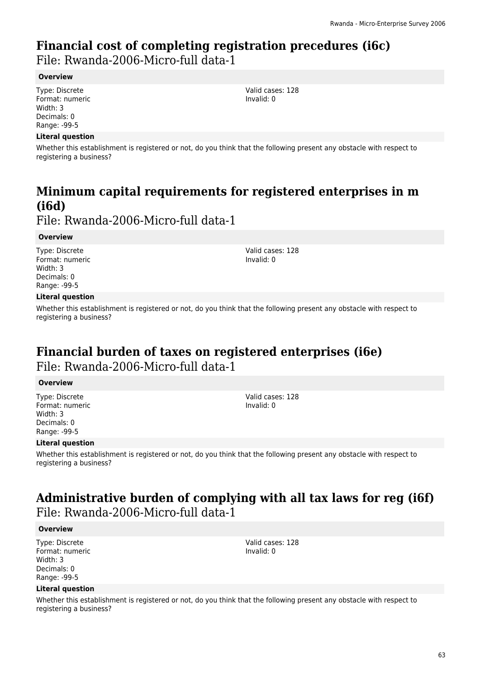### **Financial cost of completing registration precedures (i6c)**

File: Rwanda-2006-Micro-full data-1

#### **Overview**

Type: Discrete Format: numeric Width: 3 Decimals: 0 Range: -99-5

#### **Literal question**

Whether this establishment is registered or not, do you think that the following present any obstacle with respect to registering a business?

## **Minimum capital requirements for registered enterprises in m (i6d)**

File: Rwanda-2006-Micro-full data-1

#### **Overview**

Type: Discrete Format: numeric Width: 3 Decimals: 0 Range: -99-5

Valid cases: 128 Invalid: 0

#### **Literal question**

Whether this establishment is registered or not, do you think that the following present any obstacle with respect to registering a business?

### **Financial burden of taxes on registered enterprises (i6e)**  File: Rwanda-2006-Micro-full data-1

#### **Overview**

Type: Discrete Format: numeric Width: 3 Decimals: 0 Range: -99-5

**Literal question**

Whether this establishment is registered or not, do you think that the following present any obstacle with respect to registering a business?

### **Administrative burden of complying with all tax laws for reg (i6f)**  File: Rwanda-2006-Micro-full data-1

#### **Overview**

Type: Discrete Format: numeric Width: 3 Decimals: 0 Range: -99-5

#### **Literal question**

Whether this establishment is registered or not, do you think that the following present any obstacle with respect to registering a business?

Valid cases: 128 Invalid: 0

Valid cases: 128 Invalid: 0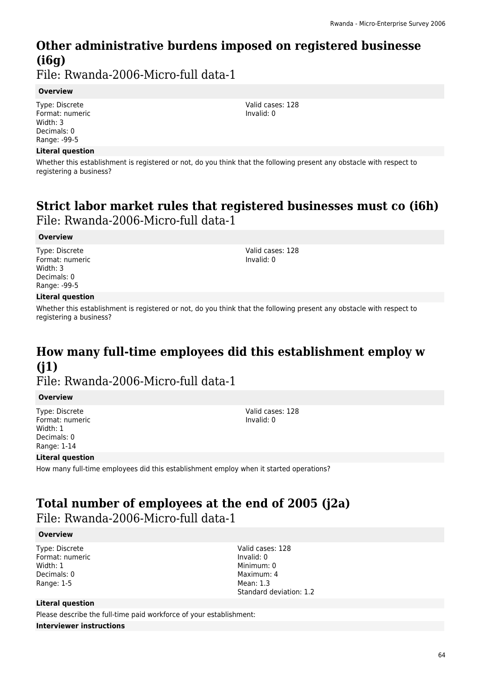## **Other administrative burdens imposed on registered businesse (i6g)**

File: Rwanda-2006-Micro-full data-1

#### **Overview**

Type: Discrete Format: numeric Width: 3 Decimals: 0 Range: -99-5

#### **Literal question**

Whether this establishment is registered or not, do you think that the following present any obstacle with respect to registering a business?

### **Strict labor market rules that registered businesses must co (i6h)**  File: Rwanda-2006-Micro-full data-1

#### **Overview**

Type: Discrete Format: numeric Width: 3 Decimals: 0 Range: -99-5

### **Literal question**

Whether this establishment is registered or not, do you think that the following present any obstacle with respect to registering a business?

## **How many full-time employees did this establishment employ w (j1)**

File: Rwanda-2006-Micro-full data-1

#### **Overview**

Type: Discrete Format: numeric Width: 1 Decimals: 0 Range: 1-14

Valid cases: 128 Invalid: 0

#### **Literal question**

How many full-time employees did this establishment employ when it started operations?

# **Total number of employees at the end of 2005 (j2a)**

File: Rwanda-2006-Micro-full data-1

#### **Overview**

Type: Discrete Format: numeric Width: 1 Decimals: 0 Range: 1-5

Valid cases: 128 Invalid: 0 Minimum: 0 Maximum: 4 Mean: 1.3 Standard deviation: 1.2

#### **Literal question**

Please describe the full-time paid workforce of your establishment:

#### **Interviewer instructions**

Valid cases: 128 Invalid: 0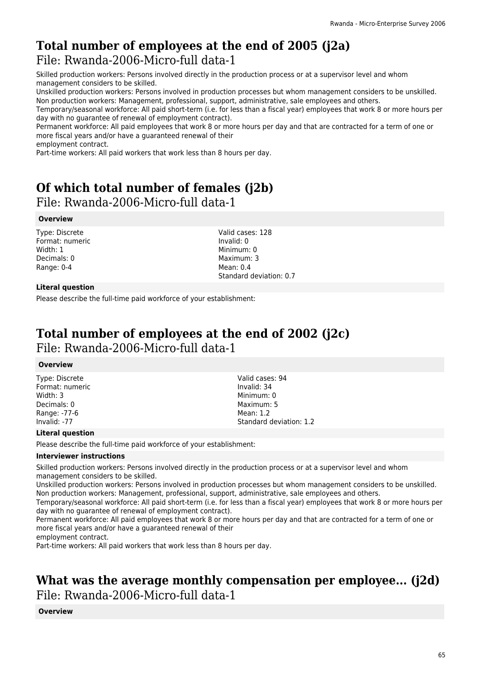### **Total number of employees at the end of 2005 (j2a)**  File: Rwanda-2006-Micro-full data-1

Skilled production workers: Persons involved directly in the production process or at a supervisor level and whom management considers to be skilled.

Unskilled production workers: Persons involved in production processes but whom management considers to be unskilled. Non production workers: Management, professional, support, administrative, sale employees and others.

Temporary/seasonal workforce: All paid short-term (i.e. for less than a fiscal year) employees that work 8 or more hours per day with no guarantee of renewal of employment contract).

Permanent workforce: All paid employees that work 8 or more hours per day and that are contracted for a term of one or more fiscal years and/or have a guaranteed renewal of their

employment contract.

Part-time workers: All paid workers that work less than 8 hours per day.

## **Of which total number of females (j2b)**

File: Rwanda-2006-Micro-full data-1

#### **Overview**

Type: Discrete Format: numeric Width: 1 Decimals: 0 Range: 0-4

Valid cases: 128 Invalid: 0 Minimum: 0 Maximum: 3 Mean: 0.4 Standard deviation: 0.7

#### **Literal question**

Please describe the full-time paid workforce of your establishment:

## **Total number of employees at the end of 2002 (j2c)**

File: Rwanda-2006-Micro-full data-1

#### **Overview**

Type: Discrete Format: numeric Width: 3 Decimals: 0 Range: -77-6 Invalid: -77

Valid cases: 94 Invalid: 34 Minimum: 0 Maximum: 5 Mean: 1.2 Standard deviation: 1.2

#### **Literal question**

Please describe the full-time paid workforce of your establishment:

#### **Interviewer instructions**

Skilled production workers: Persons involved directly in the production process or at a supervisor level and whom management considers to be skilled.

Unskilled production workers: Persons involved in production processes but whom management considers to be unskilled. Non production workers: Management, professional, support, administrative, sale employees and others.

Temporary/seasonal workforce: All paid short-term (i.e. for less than a fiscal year) employees that work 8 or more hours per day with no guarantee of renewal of employment contract).

Permanent workforce: All paid employees that work 8 or more hours per day and that are contracted for a term of one or more fiscal years and/or have a guaranteed renewal of their

employment contract.

Part-time workers: All paid workers that work less than 8 hours per day.

### **What was the average monthly compensation per employee... (j2d)**  File: Rwanda-2006-Micro-full data-1

**Overview**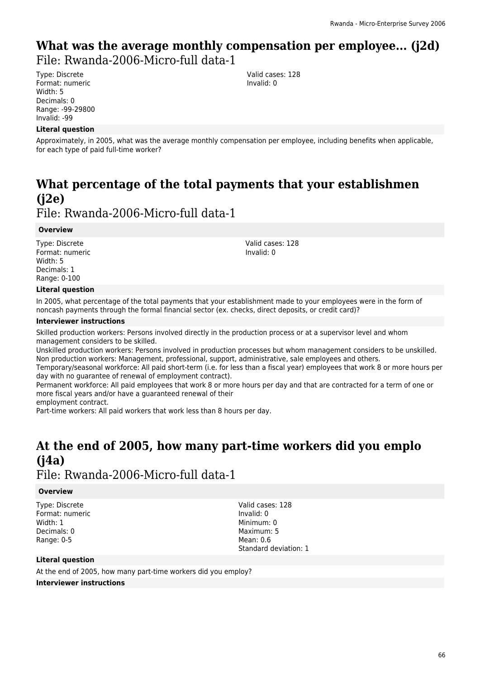### **What was the average monthly compensation per employee... (j2d)**  File: Rwanda-2006-Micro-full data-1

Type: Discrete Format: numeric Width: 5 Decimals: 0 Range: -99-29800 Invalid: -99

#### **Literal question**

Valid cases: 128 Invalid: 0

Approximately, in 2005, what was the average monthly compensation per employee, including benefits when applicable, for each type of paid full-time worker?

## **What percentage of the total payments that your establishmen (j2e)**

File: Rwanda-2006-Micro-full data-1

#### **Overview**

Type: Discrete Format: numeric Width: 5 Decimals: 1 Range: 0-100

Valid cases: 128 Invalid: 0

#### **Literal question**

In 2005, what percentage of the total payments that your establishment made to your employees were in the form of noncash payments through the formal financial sector (ex. checks, direct deposits, or credit card)?

#### **Interviewer instructions**

Skilled production workers: Persons involved directly in the production process or at a supervisor level and whom management considers to be skilled.

Unskilled production workers: Persons involved in production processes but whom management considers to be unskilled. Non production workers: Management, professional, support, administrative, sale employees and others.

Temporary/seasonal workforce: All paid short-term (i.e. for less than a fiscal year) employees that work 8 or more hours per day with no guarantee of renewal of employment contract).

Permanent workforce: All paid employees that work 8 or more hours per day and that are contracted for a term of one or more fiscal years and/or have a guaranteed renewal of their

employment contract.

Part-time workers: All paid workers that work less than 8 hours per day.

## **At the end of 2005, how many part-time workers did you emplo (j4a)**

File: Rwanda-2006-Micro-full data-1

#### **Overview**

Type: Discrete Format: numeric Width: 1 Decimals: 0 Range: 0-5

Valid cases: 128 Invalid: 0 Minimum: 0 Maximum: 5  $M$ aan: 0.6 Standard deviation: 1

#### **Literal question**

At the end of 2005, how many part-time workers did you employ?

#### **Interviewer instructions**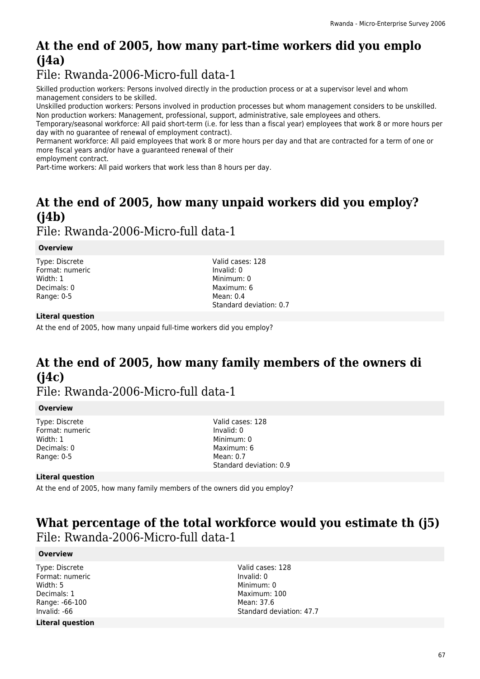## **At the end of 2005, how many part-time workers did you emplo (j4a)**

## File: Rwanda-2006-Micro-full data-1

Skilled production workers: Persons involved directly in the production process or at a supervisor level and whom management considers to be skilled.

Unskilled production workers: Persons involved in production processes but whom management considers to be unskilled. Non production workers: Management, professional, support, administrative, sale employees and others.

Temporary/seasonal workforce: All paid short-term (i.e. for less than a fiscal year) employees that work 8 or more hours per day with no guarantee of renewal of employment contract).

Permanent workforce: All paid employees that work 8 or more hours per day and that are contracted for a term of one or more fiscal years and/or have a guaranteed renewal of their

employment contract.

Part-time workers: All paid workers that work less than 8 hours per day.

## **At the end of 2005, how many unpaid workers did you employ? (j4b)**

File: Rwanda-2006-Micro-full data-1

#### **Overview**

Type: Discrete Format: numeric Width: 1 Decimals: 0 Range: 0-5

Valid cases: 128 Invalid: 0 Minimum: 0 Maximum: 6 Mean: 0.4 Standard deviation: 0.7

#### **Literal question**

At the end of 2005, how many unpaid full-time workers did you employ?

## **At the end of 2005, how many family members of the owners di (j4c)**

File: Rwanda-2006-Micro-full data-1

#### **Overview**

Type: Discrete Format: numeric Width: 1 Decimals: 0 Range: 0-5

Valid cases: 128 Invalid: 0 Minimum: 0 Maximum: 6 Mean: 0.7 Standard deviation: 0.9

#### **Literal question**

At the end of 2005, how many family members of the owners did you employ?

### **What percentage of the total workforce would you estimate th (j5)**  File: Rwanda-2006-Micro-full data-1

#### **Overview**

Type: Discrete Format: numeric Width: 5 Decimals: 1 Range: -66-100 Invalid: -66

**Literal question**

Valid cases: 128 Invalid: 0 Minimum: 0 Maximum: 100 Mean: 37.6 Standard deviation: 47.7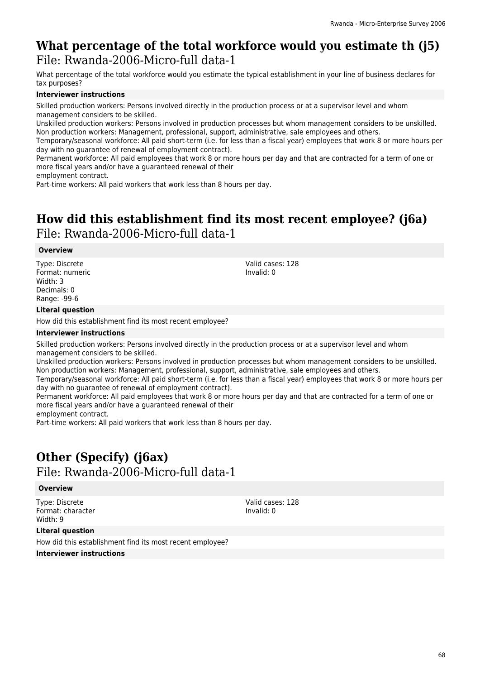### **What percentage of the total workforce would you estimate th (j5)**  File: Rwanda-2006-Micro-full data-1

What percentage of the total workforce would you estimate the typical establishment in your line of business declares for tax purposes?

#### **Interviewer instructions**

Skilled production workers: Persons involved directly in the production process or at a supervisor level and whom management considers to be skilled.

Unskilled production workers: Persons involved in production processes but whom management considers to be unskilled. Non production workers: Management, professional, support, administrative, sale employees and others.

Temporary/seasonal workforce: All paid short-term (i.e. for less than a fiscal year) employees that work 8 or more hours per day with no guarantee of renewal of employment contract).

Permanent workforce: All paid employees that work 8 or more hours per day and that are contracted for a term of one or more fiscal years and/or have a guaranteed renewal of their

employment contract.

Part-time workers: All paid workers that work less than 8 hours per day.

### **How did this establishment find its most recent employee? (j6a)**  File: Rwanda-2006-Micro-full data-1

#### **Overview**

Type: Discrete Format: numeric Width: 3 Decimals: 0 Range: -99-6

Valid cases: 128 Invalid: 0

#### **Literal question**

How did this establishment find its most recent employee?

#### **Interviewer instructions**

Skilled production workers: Persons involved directly in the production process or at a supervisor level and whom management considers to be skilled.

Unskilled production workers: Persons involved in production processes but whom management considers to be unskilled. Non production workers: Management, professional, support, administrative, sale employees and others.

Temporary/seasonal workforce: All paid short-term (i.e. for less than a fiscal year) employees that work 8 or more hours per day with no guarantee of renewal of employment contract).

Permanent workforce: All paid employees that work 8 or more hours per day and that are contracted for a term of one or more fiscal years and/or have a guaranteed renewal of their

employment contract.

Part-time workers: All paid workers that work less than 8 hours per day.

## **Other (Specify) (j6ax)**  File: Rwanda-2006-Micro-full data-1

#### **Overview**

Type: Discrete Format: character Width: 9

Valid cases: 128 Invalid: 0

#### **Literal question**

How did this establishment find its most recent employee?

**Interviewer instructions**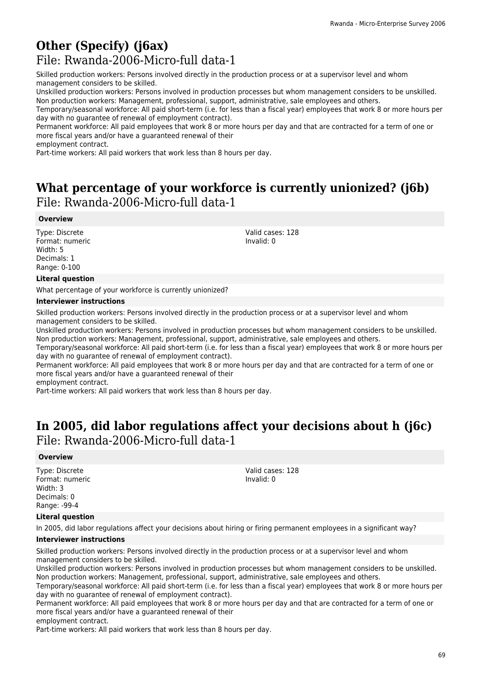### **Other (Specify) (j6ax)**  File: Rwanda-2006-Micro-full data-1

Skilled production workers: Persons involved directly in the production process or at a supervisor level and whom management considers to be skilled.

Unskilled production workers: Persons involved in production processes but whom management considers to be unskilled. Non production workers: Management, professional, support, administrative, sale employees and others.

Temporary/seasonal workforce: All paid short-term (i.e. for less than a fiscal year) employees that work 8 or more hours per day with no guarantee of renewal of employment contract).

Permanent workforce: All paid employees that work 8 or more hours per day and that are contracted for a term of one or more fiscal years and/or have a guaranteed renewal of their

employment contract.

Part-time workers: All paid workers that work less than 8 hours per day.

### **What percentage of your workforce is currently unionized? (j6b)**  File: Rwanda-2006-Micro-full data-1

#### **Overview**

Type: Discrete Format: numeric Width: 5 Decimals: 1 Range: 0-100

Valid cases: 128 Invalid: 0

#### **Literal question**

What percentage of your workforce is currently unionized?

#### **Interviewer instructions**

Skilled production workers: Persons involved directly in the production process or at a supervisor level and whom management considers to be skilled.

Unskilled production workers: Persons involved in production processes but whom management considers to be unskilled. Non production workers: Management, professional, support, administrative, sale employees and others.

Temporary/seasonal workforce: All paid short-term (i.e. for less than a fiscal year) employees that work 8 or more hours per day with no guarantee of renewal of employment contract).

Permanent workforce: All paid employees that work 8 or more hours per day and that are contracted for a term of one or more fiscal years and/or have a guaranteed renewal of their

employment contract.

Part-time workers: All paid workers that work less than 8 hours per day.

### **In 2005, did labor regulations affect your decisions about h (j6c)**  File: Rwanda-2006-Micro-full data-1

#### **Overview**

Type: Discrete Format: numeric Width: 3 Decimals: 0 Range: -99-4

Valid cases: 128 Invalid: 0

#### **Literal question**

In 2005, did labor regulations affect your decisions about hiring or firing permanent employees in a significant way?

#### **Interviewer instructions**

Skilled production workers: Persons involved directly in the production process or at a supervisor level and whom management considers to be skilled.

Unskilled production workers: Persons involved in production processes but whom management considers to be unskilled. Non production workers: Management, professional, support, administrative, sale employees and others.

Temporary/seasonal workforce: All paid short-term (i.e. for less than a fiscal year) employees that work 8 or more hours per day with no guarantee of renewal of employment contract).

Permanent workforce: All paid employees that work 8 or more hours per day and that are contracted for a term of one or more fiscal years and/or have a guaranteed renewal of their

employment contract.

Part-time workers: All paid workers that work less than 8 hours per day.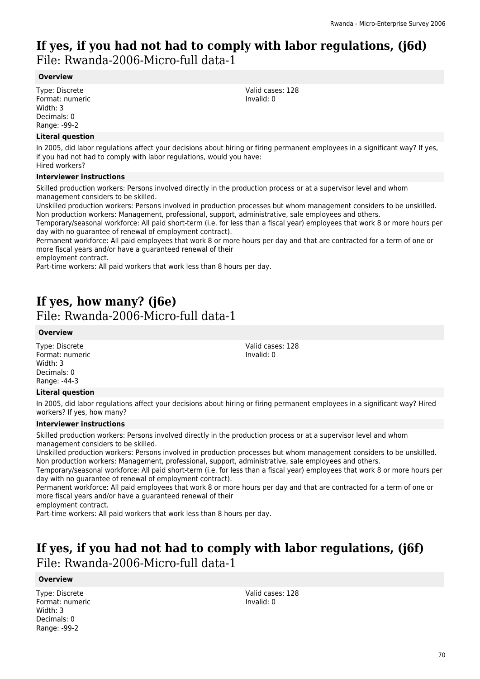### **If yes, if you had not had to comply with labor regulations, (j6d)**  File: Rwanda-2006-Micro-full data-1

#### **Overview**

Type: Discrete Format: numeric Width: 3 Decimals: 0 Range: -99-2

#### **Literal question**

In 2005, did labor regulations affect your decisions about hiring or firing permanent employees in a significant way? If yes, if you had not had to comply with labor regulations, would you have: Hired workers?

#### **Interviewer instructions**

Skilled production workers: Persons involved directly in the production process or at a supervisor level and whom management considers to be skilled.

Unskilled production workers: Persons involved in production processes but whom management considers to be unskilled. Non production workers: Management, professional, support, administrative, sale employees and others.

Temporary/seasonal workforce: All paid short-term (i.e. for less than a fiscal year) employees that work 8 or more hours per day with no guarantee of renewal of employment contract).

Permanent workforce: All paid employees that work 8 or more hours per day and that are contracted for a term of one or more fiscal years and/or have a guaranteed renewal of their

employment contract.

Part-time workers: All paid workers that work less than 8 hours per day.

### **If yes, how many? (j6e)**

File: Rwanda-2006-Micro-full data-1

#### **Overview**

Type: Discrete Format: numeric Width: 3 Decimals: 0 Range: -44-3

#### **Literal question**

In 2005, did labor regulations affect your decisions about hiring or firing permanent employees in a significant way? Hired workers? If yes, how many?

#### **Interviewer instructions**

Skilled production workers: Persons involved directly in the production process or at a supervisor level and whom management considers to be skilled.

Unskilled production workers: Persons involved in production processes but whom management considers to be unskilled. Non production workers: Management, professional, support, administrative, sale employees and others.

Temporary/seasonal workforce: All paid short-term (i.e. for less than a fiscal year) employees that work 8 or more hours per day with no guarantee of renewal of employment contract).

Permanent workforce: All paid employees that work 8 or more hours per day and that are contracted for a term of one or more fiscal years and/or have a guaranteed renewal of their

employment contract.

Part-time workers: All paid workers that work less than 8 hours per day.

### **If yes, if you had not had to comply with labor regulations, (j6f)**  File: Rwanda-2006-Micro-full data-1

#### **Overview**

Type: Discrete Format: numeric Width: 3 Decimals: 0 Range: -99-2

Valid cases: 128 Invalid: 0

Valid cases: 128 Invalid: 0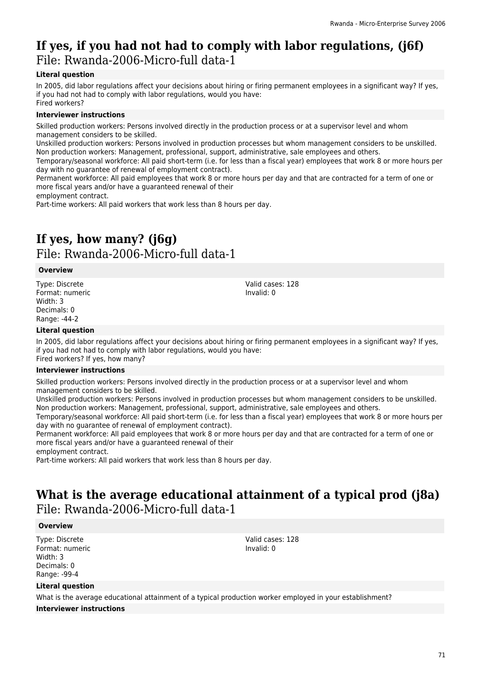### **If yes, if you had not had to comply with labor regulations, (j6f)**  File: Rwanda-2006-Micro-full data-1

#### **Literal question**

In 2005, did labor regulations affect your decisions about hiring or firing permanent employees in a significant way? If yes, if you had not had to comply with labor regulations, would you have: Fired workers?

#### **Interviewer instructions**

Skilled production workers: Persons involved directly in the production process or at a supervisor level and whom management considers to be skilled.

Unskilled production workers: Persons involved in production processes but whom management considers to be unskilled. Non production workers: Management, professional, support, administrative, sale employees and others.

Temporary/seasonal workforce: All paid short-term (i.e. for less than a fiscal year) employees that work 8 or more hours per day with no guarantee of renewal of employment contract).

Permanent workforce: All paid employees that work 8 or more hours per day and that are contracted for a term of one or more fiscal years and/or have a guaranteed renewal of their

employment contract.

Part-time workers: All paid workers that work less than 8 hours per day.

### **If yes, how many? (j6g)**  File: Rwanda-2006-Micro-full data-1

#### **Overview**

Type: Discrete Format: numeric Width: 3 Decimals: 0 Range: -44-2

Valid cases: 128 Invalid: 0

#### **Literal question**

In 2005, did labor regulations affect your decisions about hiring or firing permanent employees in a significant way? If yes, if you had not had to comply with labor regulations, would you have: Fired workers? If yes, how many?

#### **Interviewer instructions**

Skilled production workers: Persons involved directly in the production process or at a supervisor level and whom management considers to be skilled.

Unskilled production workers: Persons involved in production processes but whom management considers to be unskilled. Non production workers: Management, professional, support, administrative, sale employees and others.

Temporary/seasonal workforce: All paid short-term (i.e. for less than a fiscal year) employees that work 8 or more hours per day with no guarantee of renewal of employment contract).

Permanent workforce: All paid employees that work 8 or more hours per day and that are contracted for a term of one or more fiscal years and/or have a guaranteed renewal of their

employment contract.

Part-time workers: All paid workers that work less than 8 hours per day.

### **What is the average educational attainment of a typical prod (j8a)**  File: Rwanda-2006-Micro-full data-1

#### **Overview**

Type: Discrete Format: numeric Width: 3 Decimals: 0 Range: -99-4

Valid cases: 128 Invalid: 0

#### **Literal question**

What is the average educational attainment of a typical production worker employed in your establishment?

#### **Interviewer instructions**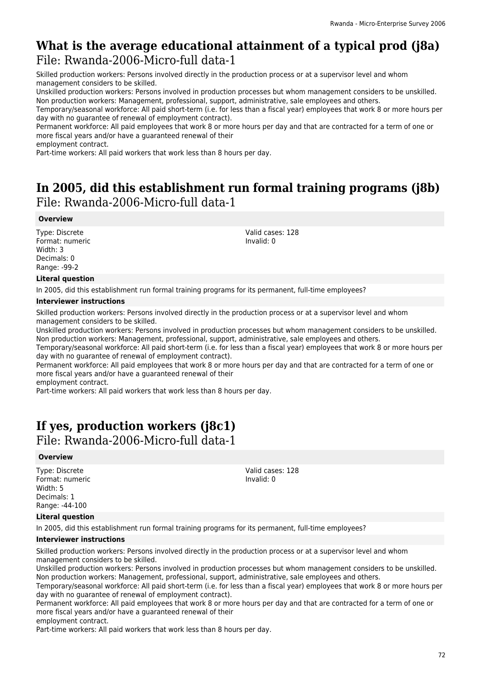### **What is the average educational attainment of a typical prod (j8a)**  File: Rwanda-2006-Micro-full data-1

Skilled production workers: Persons involved directly in the production process or at a supervisor level and whom management considers to be skilled.

Unskilled production workers: Persons involved in production processes but whom management considers to be unskilled. Non production workers: Management, professional, support, administrative, sale employees and others.

Temporary/seasonal workforce: All paid short-term (i.e. for less than a fiscal year) employees that work 8 or more hours per day with no guarantee of renewal of employment contract).

Permanent workforce: All paid employees that work 8 or more hours per day and that are contracted for a term of one or more fiscal years and/or have a guaranteed renewal of their

employment contract.

Part-time workers: All paid workers that work less than 8 hours per day.

### **In 2005, did this establishment run formal training programs (j8b)**  File: Rwanda-2006-Micro-full data-1

#### **Overview**

Type: Discrete Format: numeric Width: 3 Decimals: 0 Range: -99-2

Valid cases: 128 Invalid: 0

#### **Literal question**

In 2005, did this establishment run formal training programs for its permanent, full-time employees?

#### **Interviewer instructions**

Skilled production workers: Persons involved directly in the production process or at a supervisor level and whom management considers to be skilled.

Unskilled production workers: Persons involved in production processes but whom management considers to be unskilled. Non production workers: Management, professional, support, administrative, sale employees and others.

Temporary/seasonal workforce: All paid short-term (i.e. for less than a fiscal year) employees that work 8 or more hours per day with no guarantee of renewal of employment contract).

Permanent workforce: All paid employees that work 8 or more hours per day and that are contracted for a term of one or more fiscal years and/or have a guaranteed renewal of their

employment contract.

Part-time workers: All paid workers that work less than 8 hours per day.

## **If yes, production workers (j8c1)**

File: Rwanda-2006-Micro-full data-1

#### **Overview**

Type: Discrete Format: numeric Width: 5 Decimals: 1 Range: -44-100

Valid cases: 128 Invalid: 0

#### **Literal question**

In 2005, did this establishment run formal training programs for its permanent, full-time employees?

#### **Interviewer instructions**

Skilled production workers: Persons involved directly in the production process or at a supervisor level and whom management considers to be skilled.

Unskilled production workers: Persons involved in production processes but whom management considers to be unskilled. Non production workers: Management, professional, support, administrative, sale employees and others.

Temporary/seasonal workforce: All paid short-term (i.e. for less than a fiscal year) employees that work 8 or more hours per day with no guarantee of renewal of employment contract).

Permanent workforce: All paid employees that work 8 or more hours per day and that are contracted for a term of one or more fiscal years and/or have a guaranteed renewal of their

employment contract.

Part-time workers: All paid workers that work less than 8 hours per day.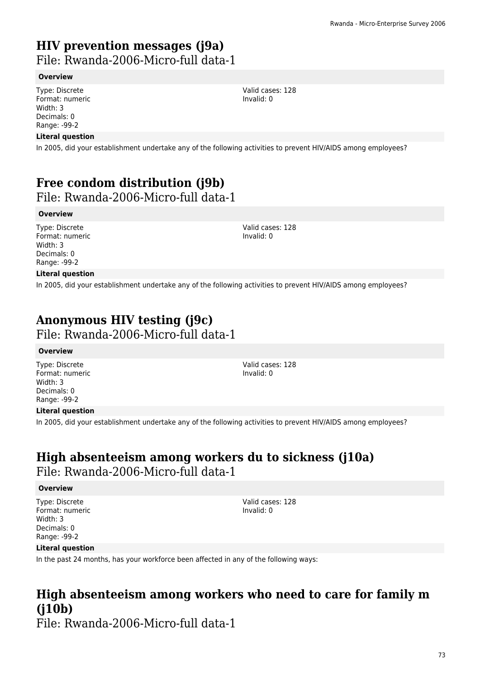# **HIV prevention messages (j9a)**

File: Rwanda-2006-Micro-full data-1

### **Overview**

Type: Discrete Format: numeric Width: 3 Decimals: 0 Range: -99-2

### **Literal question**

In 2005, did your establishment undertake any of the following activities to prevent HIV/AIDS among employees?

# **Free condom distribution (j9b)**

File: Rwanda-2006-Micro-full data-1

### **Overview**

Type: Discrete Format: numeric Width: 3 Decimals: 0 Range: -99-2

Valid cases: 128 Invalid: 0

Valid cases: 128 Invalid: 0

### **Literal question**

In 2005, did your establishment undertake any of the following activities to prevent HIV/AIDS among employees?

# **Anonymous HIV testing (j9c)**

File: Rwanda-2006-Micro-full data-1

### **Overview**

Type: Discrete Format: numeric Width: 3 Decimals: 0 Range: -99-2

Valid cases: 128 Invalid: 0

### **Literal question**

In 2005, did your establishment undertake any of the following activities to prevent HIV/AIDS among employees?

# **High absenteeism among workers du to sickness (j10a)**

File: Rwanda-2006-Micro-full data-1

### **Overview**

Type: Discrete Format: numeric Width: 3 Decimals: 0 Range: -99-2

Valid cases: 128 Invalid: 0

### **Literal question**

In the past 24 months, has your workforce been affected in any of the following ways:

# **High absenteeism among workers who need to care for family m (j10b)**

File: Rwanda-2006-Micro-full data-1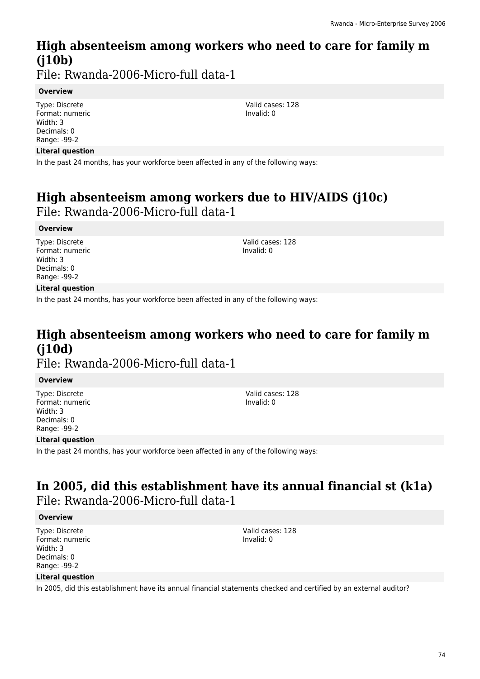### **High absenteeism among workers who need to care for family m (j10b)**

File: Rwanda-2006-Micro-full data-1

### **Overview**

Type: Discrete Format: numeric Width: 3 Decimals: 0 Range: -99-2

#### **Literal question**

In the past 24 months, has your workforce been affected in any of the following ways:

### **High absenteeism among workers due to HIV/AIDS (j10c)**  File: Rwanda-2006-Micro-full data-1

### **Overview**

Type: Discrete Format: numeric Width: 3 Decimals: 0 Range: -99-2

Valid cases: 128 Invalid: 0

#### **Literal question**

In the past 24 months, has your workforce been affected in any of the following ways:

# **High absenteeism among workers who need to care for family m (j10d)**

File: Rwanda-2006-Micro-full data-1

#### **Overview**

Type: Discrete Format: numeric Width: 3 Decimals: 0 Range: -99-2

Valid cases: 128 Invalid: 0

### **Literal question**

In the past 24 months, has your workforce been affected in any of the following ways:

### **In 2005, did this establishment have its annual financial st (k1a)**  File: Rwanda-2006-Micro-full data-1

#### **Overview**

Type: Discrete Format: numeric Width: 3 Decimals: 0 Range: -99-2

Valid cases: 128 Invalid: 0

#### **Literal question**

In 2005, did this establishment have its annual financial statements checked and certified by an external auditor?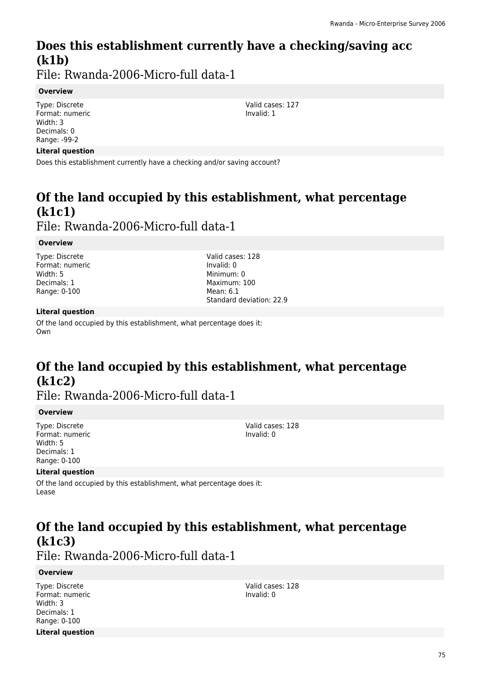# **Does this establishment currently have a checking/saving acc (k1b)**

File: Rwanda-2006-Micro-full data-1

### **Overview**

Type: Discrete Format: numeric Width: 3 Decimals: 0 Range: -99-2

#### **Literal question**

Does this establishment currently have a checking and/or saving account?

# **Of the land occupied by this establishment, what percentage (k1c1)**

File: Rwanda-2006-Micro-full data-1

### **Overview**

Type: Discrete Format: numeric Width: 5 Decimals: 1 Range: 0-100

Valid cases: 128 Invalid: 0 Minimum: 0 Maximum: 100 Mean: 6.1 Standard deviation: 22.9

#### **Literal question**

Of the land occupied by this establishment, what percentage does it: Own

# **Of the land occupied by this establishment, what percentage (k1c2)**

File: Rwanda-2006-Micro-full data-1

#### **Overview**

Type: Discrete Format: numeric Width: 5 Decimals: 1 Range: 0-100

Valid cases: 128 Invalid: 0

### **Literal question**

Of the land occupied by this establishment, what percentage does it: Lease

# **Of the land occupied by this establishment, what percentage (k1c3)**

File: Rwanda-2006-Micro-full data-1

### **Overview**

Type: Discrete Format: numeric Width: 3 Decimals: 1 Range: 0-100 **Literal question** Valid cases: 128 Invalid: 0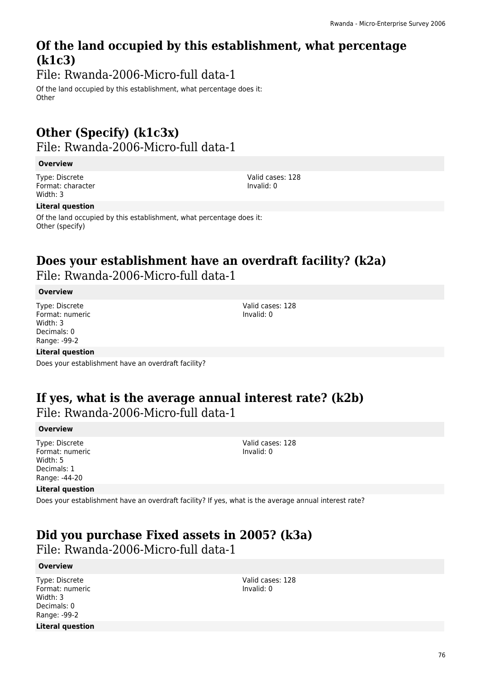# **Of the land occupied by this establishment, what percentage (k1c3)**

File: Rwanda-2006-Micro-full data-1

Of the land occupied by this establishment, what percentage does it: **Other** 

# **Other (Specify) (k1c3x)**  File: Rwanda-2006-Micro-full data-1

### **Overview**

Type: Discrete Format: character Width: 3

Valid cases: 128 Invalid: 0

### **Literal question**

Of the land occupied by this establishment, what percentage does it: Other (specify)

### **Does your establishment have an overdraft facility? (k2a)**  File: Rwanda-2006-Micro-full data-1

### **Overview**

Type: Discrete Format: numeric Width: 3 Decimals: 0 Range: -99-2

### **Literal question**

Does your establishment have an overdraft facility?

### **If yes, what is the average annual interest rate? (k2b)**  File: Rwanda-2006-Micro-full data-1

### **Overview**

Type: Discrete Format: numeric Width: 5 Decimals: 1 Range: -44-20

### **Literal question**

Does your establishment have an overdraft facility? If yes, what is the average annual interest rate?

### **Did you purchase Fixed assets in 2005? (k3a)**

File: Rwanda-2006-Micro-full data-1

### **Overview**

Type: Discrete Format: numeric Width: 3 Decimals: 0 Range: -99-2 **Literal question** Valid cases: 128 Invalid: 0

Valid cases: 128 Invalid: 0

#### Valid cases: 128 Invalid: 0

76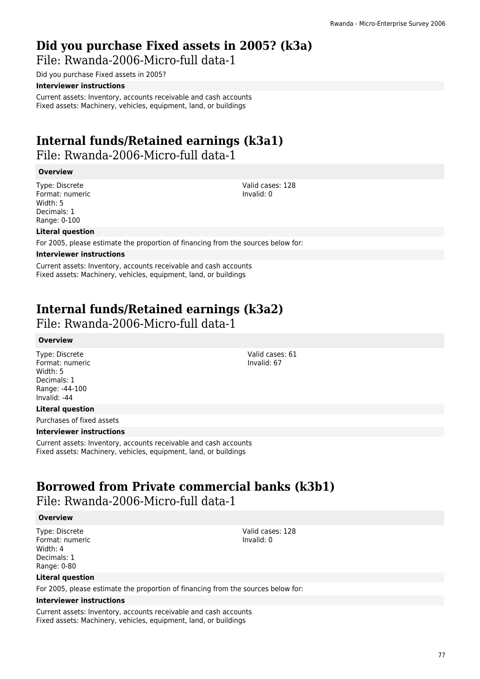# **Did you purchase Fixed assets in 2005? (k3a)**

File: Rwanda-2006-Micro-full data-1

Did you purchase Fixed assets in 2005?

#### **Interviewer instructions**

Current assets: Inventory, accounts receivable and cash accounts Fixed assets: Machinery, vehicles, equipment, land, or buildings

# **Internal funds/Retained earnings (k3a1)**

File: Rwanda-2006-Micro-full data-1

### **Overview**

Type: Discrete Format: numeric Width: 5 Decimals: 1 Range: 0-100

Valid cases: 128 Invalid: 0

### **Literal question**

For 2005, please estimate the proportion of financing from the sources below for:

#### **Interviewer instructions**

Current assets: Inventory, accounts receivable and cash accounts Fixed assets: Machinery, vehicles, equipment, land, or buildings

# **Internal funds/Retained earnings (k3a2)**

File: Rwanda-2006-Micro-full data-1

### **Overview**

Type: Discrete Format: numeric Width: 5 Decimals: 1 Range: -44-100 Invalid: -44

#### **Literal question**

Purchases of fixed assets

#### **Interviewer instructions**

Current assets: Inventory, accounts receivable and cash accounts Fixed assets: Machinery, vehicles, equipment, land, or buildings

### **Borrowed from Private commercial banks (k3b1)**

File: Rwanda-2006-Micro-full data-1

#### **Overview**

Type: Discrete Format: numeric Width: 4 Decimals: 1 Range: 0-80

Valid cases: 128 Invalid: 0

#### **Literal question**

For 2005, please estimate the proportion of financing from the sources below for:

#### **Interviewer instructions**

Current assets: Inventory, accounts receivable and cash accounts Fixed assets: Machinery, vehicles, equipment, land, or buildings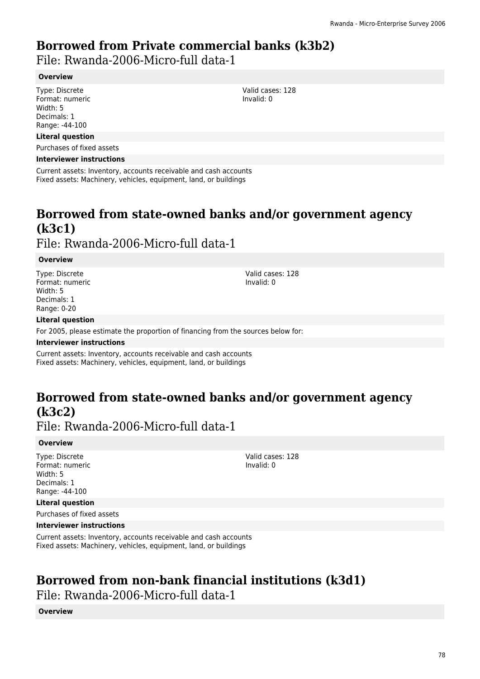### **Borrowed from Private commercial banks (k3b2)**

File: Rwanda-2006-Micro-full data-1

### **Overview**

Type: Discrete Format: numeric Width: 5 Decimals: 1 Range: -44-100

### **Literal question**

Purchases of fixed assets

#### **Interviewer instructions**

Current assets: Inventory, accounts receivable and cash accounts Fixed assets: Machinery, vehicles, equipment, land, or buildings

### **Borrowed from state-owned banks and/or government agency (k3c1)**  File: Rwanda-2006-Micro-full data-1

#### **Overview**

Type: Discrete Format: numeric Width: 5 Decimals: 1 Range: 0-20

Valid cases: 128 Invalid: 0

### **Literal question**

For 2005, please estimate the proportion of financing from the sources below for:

#### **Interviewer instructions**

Current assets: Inventory, accounts receivable and cash accounts Fixed assets: Machinery, vehicles, equipment, land, or buildings

# **Borrowed from state-owned banks and/or government agency (k3c2)**

File: Rwanda-2006-Micro-full data-1

#### **Overview**

Type: Discrete Format: numeric Width: 5 Decimals: 1 Range: -44-100

**Literal question**

Purchases of fixed assets

#### **Interviewer instructions**

Current assets: Inventory, accounts receivable and cash accounts Fixed assets: Machinery, vehicles, equipment, land, or buildings

### **Borrowed from non-bank financial institutions (k3d1)**

File: Rwanda-2006-Micro-full data-1

#### **Overview**

Valid cases: 128 Invalid: 0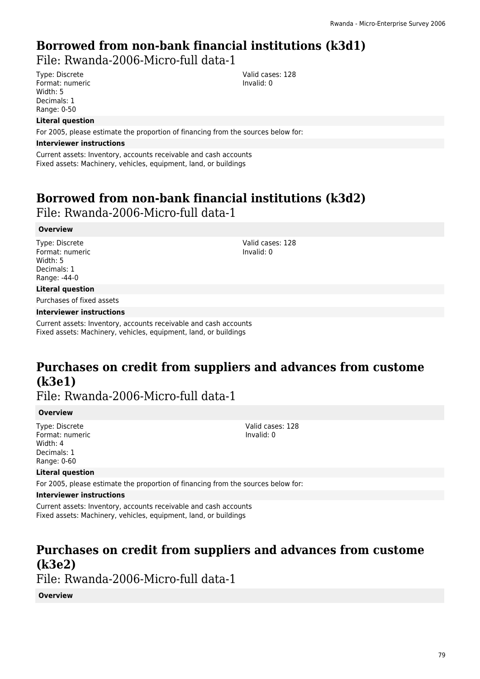### **Borrowed from non-bank financial institutions (k3d1)**

File: Rwanda-2006-Micro-full data-1

Type: Discrete Format: numeric Width: 5 Decimals: 1 Range: 0-50

Valid cases: 128 Invalid: 0

Valid cases: 128 Invalid: 0

### **Literal question**

For 2005, please estimate the proportion of financing from the sources below for:

#### **Interviewer instructions**

Current assets: Inventory, accounts receivable and cash accounts Fixed assets: Machinery, vehicles, equipment, land, or buildings

### **Borrowed from non-bank financial institutions (k3d2)**

File: Rwanda-2006-Micro-full data-1

### **Overview**

Type: Discrete Format: numeric Width: 5 Decimals: 1 Range: -44-0

### **Literal question**

Purchases of fixed assets

#### **Interviewer instructions**

Current assets: Inventory, accounts receivable and cash accounts Fixed assets: Machinery, vehicles, equipment, land, or buildings

# **Purchases on credit from suppliers and advances from custome (k3e1)**

File: Rwanda-2006-Micro-full data-1

### **Overview**

Type: Discrete Format: numeric Width: 4 Decimals: 1 Range: 0-60

Valid cases: 128 Invalid: 0

### **Literal question**

For 2005, please estimate the proportion of financing from the sources below for:

#### **Interviewer instructions**

Current assets: Inventory, accounts receivable and cash accounts Fixed assets: Machinery, vehicles, equipment, land, or buildings

# **Purchases on credit from suppliers and advances from custome (k3e2)**

File: Rwanda-2006-Micro-full data-1

**Overview**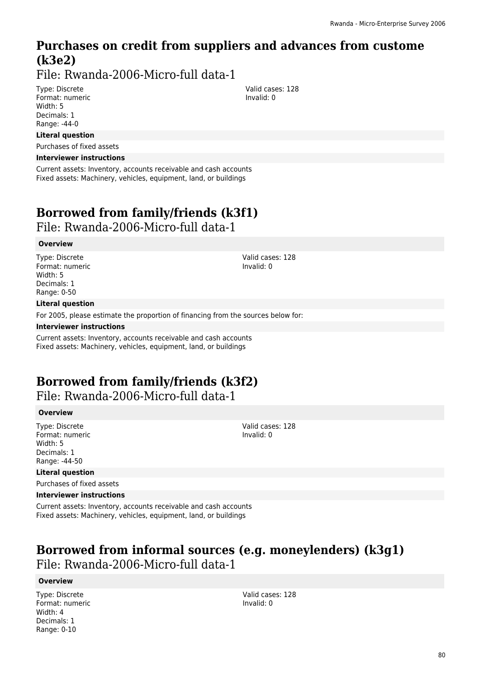# **Purchases on credit from suppliers and advances from custome (k3e2)**

File: Rwanda-2006-Micro-full data-1

Type: Discrete Format: numeric Width: 5 Decimals: 1 Range: -44-0

#### **Literal question**

Purchases of fixed assets

#### **Interviewer instructions**

Current assets: Inventory, accounts receivable and cash accounts Fixed assets: Machinery, vehicles, equipment, land, or buildings

# **Borrowed from family/friends (k3f1)**

File: Rwanda-2006-Micro-full data-1

### **Overview**

Type: Discrete Format: numeric Width: 5 Decimals: 1 Range: 0-50

Valid cases: 128 Invalid: 0

Valid cases: 128 Invalid: 0

### **Literal question**

For 2005, please estimate the proportion of financing from the sources below for:

#### **Interviewer instructions**

Current assets: Inventory, accounts receivable and cash accounts Fixed assets: Machinery, vehicles, equipment, land, or buildings

### **Borrowed from family/friends (k3f2)**

File: Rwanda-2006-Micro-full data-1

#### **Overview**

Type: Discrete Format: numeric Width: 5 Decimals: 1 Range: -44-50

Valid cases: 128 Invalid: 0

### **Literal question**

Purchases of fixed assets

#### **Interviewer instructions**

Current assets: Inventory, accounts receivable and cash accounts Fixed assets: Machinery, vehicles, equipment, land, or buildings

### **Borrowed from informal sources (e.g. moneylenders) (k3g1)**  File: Rwanda-2006-Micro-full data-1

#### **Overview**

Type: Discrete Format: numeric Width: 4 Decimals: 1 Range: 0-10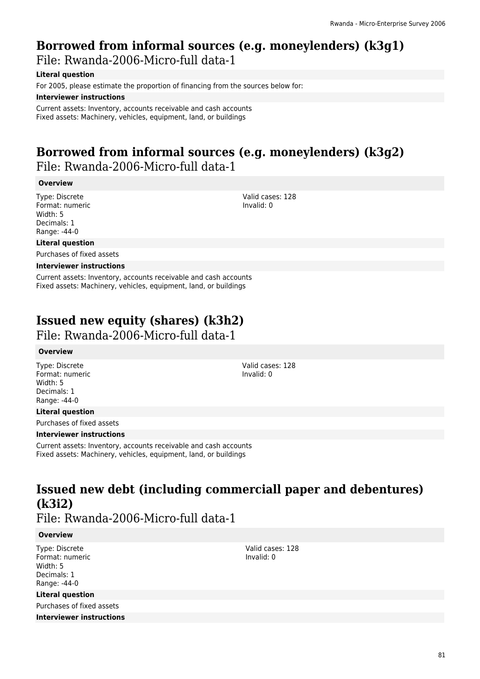# **Borrowed from informal sources (e.g. moneylenders) (k3g1)**

File: Rwanda-2006-Micro-full data-1

**Literal question**

For 2005, please estimate the proportion of financing from the sources below for:

**Interviewer instructions**

Current assets: Inventory, accounts receivable and cash accounts Fixed assets: Machinery, vehicles, equipment, land, or buildings

# **Borrowed from informal sources (e.g. moneylenders) (k3g2)**

File: Rwanda-2006-Micro-full data-1

**Overview**

Type: Discrete Format: numeric Width: 5 Decimals: 1 Range: -44-0

Valid cases: 128 Invalid: 0

**Literal question**

Purchases of fixed assets

**Interviewer instructions**

Current assets: Inventory, accounts receivable and cash accounts Fixed assets: Machinery, vehicles, equipment, land, or buildings

# **Issued new equity (shares) (k3h2)**

File: Rwanda-2006-Micro-full data-1

### **Overview**

Type: Discrete Format: numeric Width: 5 Decimals: 1 Range: -44-0

### **Literal question**

Purchases of fixed assets

### **Interviewer instructions**

Current assets: Inventory, accounts receivable and cash accounts Fixed assets: Machinery, vehicles, equipment, land, or buildings

# **Issued new debt (including commerciall paper and debentures) (k3i2)**

File: Rwanda-2006-Micro-full data-1

### **Overview**

Type: Discrete Format: numeric Width: 5 Decimals: 1 Range: -44-0

**Literal question**

Purchases of fixed assets **Interviewer instructions**

Valid cases: 128 Invalid: 0

Valid cases: 128 Invalid: 0

81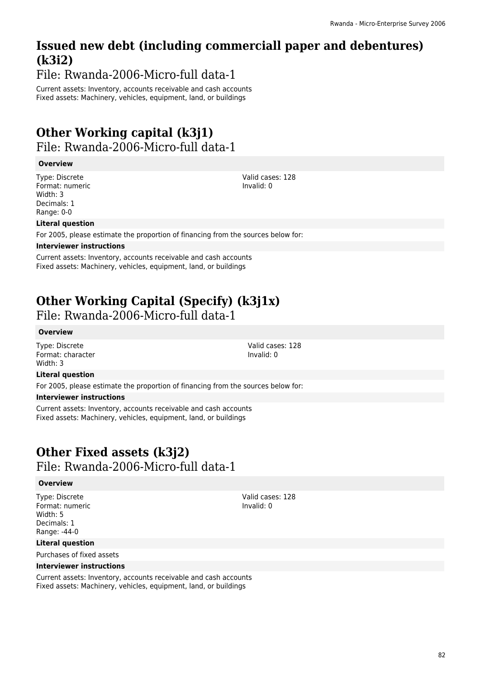# **Issued new debt (including commerciall paper and debentures) (k3i2)**

File: Rwanda-2006-Micro-full data-1

Current assets: Inventory, accounts receivable and cash accounts Fixed assets: Machinery, vehicles, equipment, land, or buildings

# **Other Working capital (k3j1)**  File: Rwanda-2006-Micro-full data-1

### **Overview**

Type: Discrete Format: numeric Width: 3 Decimals: 1 Range: 0-0

Valid cases: 128 Invalid: 0

### **Literal question**

For 2005, please estimate the proportion of financing from the sources below for:

### **Interviewer instructions**

Current assets: Inventory, accounts receivable and cash accounts Fixed assets: Machinery, vehicles, equipment, land, or buildings

# **Other Working Capital (Specify) (k3j1x)**

File: Rwanda-2006-Micro-full data-1

### **Overview**

Type: Discrete Format: character Width: 3

Valid cases: 128 Invalid: 0

### **Literal question**

For 2005, please estimate the proportion of financing from the sources below for:

### **Interviewer instructions**

Current assets: Inventory, accounts receivable and cash accounts Fixed assets: Machinery, vehicles, equipment, land, or buildings

### **Other Fixed assets (k3j2)**  File: Rwanda-2006-Micro-full data-1

### **Overview**

Type: Discrete Format: numeric Width: 5 Decimals: 1 Range: -44-0

Valid cases: 128 Invalid: 0

#### **Literal question**

Purchases of fixed assets

#### **Interviewer instructions**

Current assets: Inventory, accounts receivable and cash accounts Fixed assets: Machinery, vehicles, equipment, land, or buildings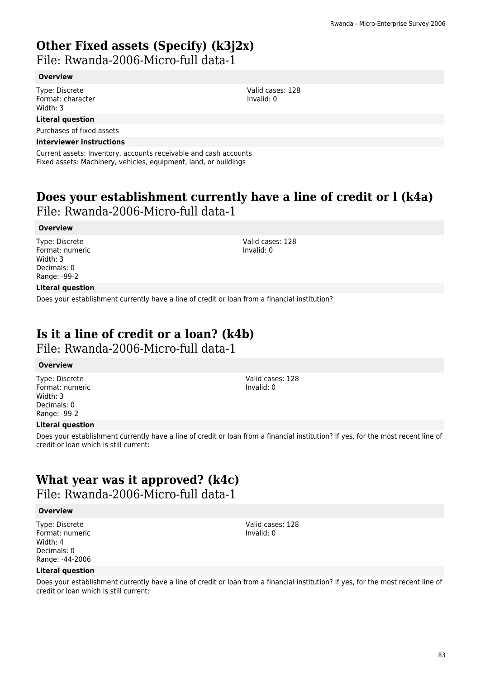# **Other Fixed assets (Specify) (k3j2x)**

File: Rwanda-2006-Micro-full data-1

### **Overview**

Type: Discrete Format: character Width: 3

**Literal question** Purchases of fixed assets

### **Interviewer instructions**

Current assets: Inventory, accounts receivable and cash accounts Fixed assets: Machinery, vehicles, equipment, land, or buildings

### **Does your establishment currently have a line of credit or l (k4a)**  File: Rwanda-2006-Micro-full data-1

### **Overview**

Type: Discrete Format: numeric Width: 3 Decimals: 0 Range: -99-2

### **Literal question**

Does your establishment currently have a line of credit or loan from a financial institution?

## **Is it a line of credit or a loan? (k4b)**

File: Rwanda-2006-Micro-full data-1

#### **Overview**

Type: Discrete Format: numeric Width: 3 Decimals: 0 Range: -99-2

Valid cases: 128 Invalid: 0

Valid cases: 128 Invalid: 0

### **Literal question**

Does your establishment currently have a line of credit or loan from a financial institution? If yes, for the most recent line of credit or loan which is still current:

### **What year was it approved? (k4c)**  File: Rwanda-2006-Micro-full data-1

#### **Overview**

Type: Discrete Format: numeric Width: 4 Decimals: 0 Range: -44-2006 Valid cases: 128 Invalid: 0

### **Literal question**

Does your establishment currently have a line of credit or loan from a financial institution? If yes, for the most recent line of credit or loan which is still current: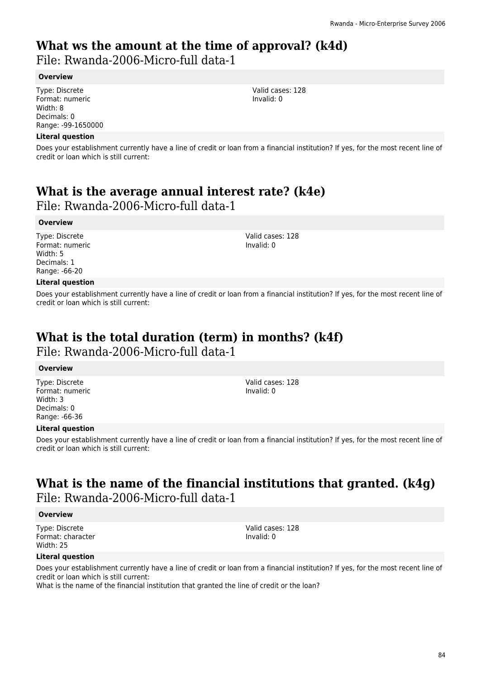# **What ws the amount at the time of approval? (k4d)**

File: Rwanda-2006-Micro-full data-1

### **Overview**

Type: Discrete Format: numeric Width: 8 Decimals: 0 Range: -99-1650000

### **Literal question**

Does your establishment currently have a line of credit or loan from a financial institution? If yes, for the most recent line of credit or loan which is still current:

# **What is the average annual interest rate? (k4e)**

File: Rwanda-2006-Micro-full data-1

### **Overview**

Type: Discrete Format: numeric Width: 5 Decimals: 1 Range: -66-20

### **Literal question**

Does your establishment currently have a line of credit or loan from a financial institution? If yes, for the most recent line of credit or loan which is still current:

### **What is the total duration (term) in months? (k4f)**  File: Rwanda-2006-Micro-full data-1

### **Overview**

Type: Discrete Format: numeric Width: 3 Decimals: 0 Range: -66-36

Valid cases: 128 Invalid: 0

Valid cases: 128 Invalid: 0

### **Literal question**

Does your establishment currently have a line of credit or loan from a financial institution? If yes, for the most recent line of credit or loan which is still current:

### **What is the name of the financial institutions that granted. (k4g)**  File: Rwanda-2006-Micro-full data-1

### **Overview**

Type: Discrete Format: character Width: 25

Valid cases: 128 Invalid: 0

### **Literal question**

Does your establishment currently have a line of credit or loan from a financial institution? If yes, for the most recent line of credit or loan which is still current:

What is the name of the financial institution that granted the line of credit or the loan?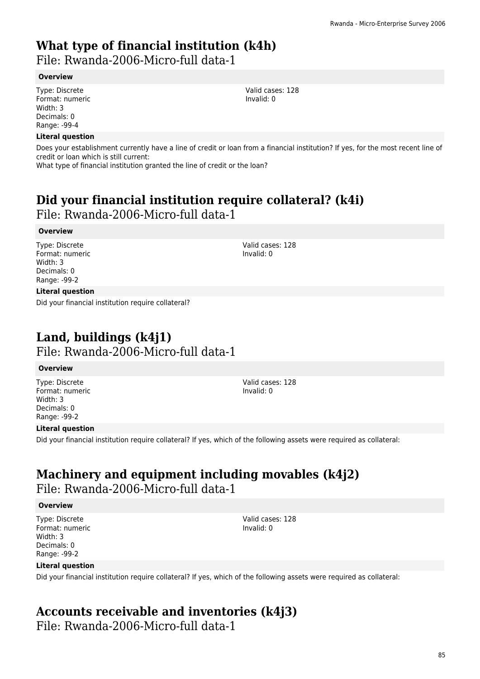### **What type of financial institution (k4h)**

File: Rwanda-2006-Micro-full data-1

### **Overview**

Type: Discrete Format: numeric Width: 3 Decimals: 0 Range: -99-4

### **Literal question**

Does your establishment currently have a line of credit or loan from a financial institution? If yes, for the most recent line of credit or loan which is still current:

What type of financial institution granted the line of credit or the loan?

### **Did your financial institution require collateral? (k4i)**  File: Rwanda-2006-Micro-full data-1

### **Overview**

Type: Discrete Format: numeric Width: 3 Decimals: 0 Range: -99-2

### **Literal question**

Did your financial institution require collateral?

# **Land, buildings (k4j1)**  File: Rwanda-2006-Micro-full data-1

### **Overview**

Type: Discrete Format: numeric Width: 3 Decimals: 0 Range: -99-2

### **Literal question**

Did your financial institution require collateral? If yes, which of the following assets were required as collateral:

# **Machinery and equipment including movables (k4j2)**

File: Rwanda-2006-Micro-full data-1

### **Overview**

Type: Discrete Format: numeric Width: 3 Decimals: 0 Range: -99-2

Valid cases: 128 Invalid: 0

### **Literal question**

Did your financial institution require collateral? If yes, which of the following assets were required as collateral:

### **Accounts receivable and inventories (k4j3)**

File: Rwanda-2006-Micro-full data-1

Valid cases: 128 Invalid: 0

Valid cases: 128 Invalid: 0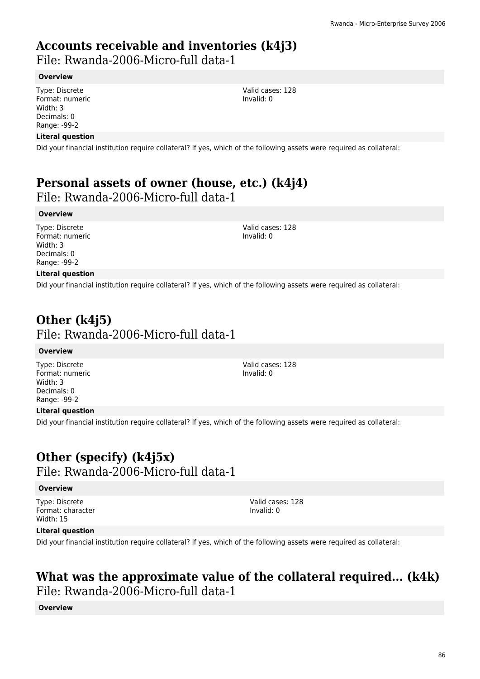# **Accounts receivable and inventories (k4j3)**

File: Rwanda-2006-Micro-full data-1

### **Overview**

Type: Discrete Format: numeric Width: 3 Decimals: 0 Range: -99-2

### **Literal question**

Did your financial institution require collateral? If yes, which of the following assets were required as collateral:

### **Personal assets of owner (house, etc.) (k4j4)**  File: Rwanda-2006-Micro-full data-1

### **Overview**

Type: Discrete Format: numeric Width: 3 Decimals: 0 Range: -99-2

Valid cases: 128 Invalid: 0

Valid cases: 128 Invalid: 0

### **Literal question**

Did your financial institution require collateral? If yes, which of the following assets were required as collateral:

# **Other (k4j5)**  File: Rwanda-2006-Micro-full data-1

### **Overview**

Type: Discrete Format: numeric Width: 3 Decimals: 0 Range: -99-2

### **Literal question**

Did your financial institution require collateral? If yes, which of the following assets were required as collateral:

### **Other (specify) (k4j5x)**  File: Rwanda-2006-Micro-full data-1

### **Overview**

Type: Discrete Format: character Width: 15

Valid cases: 128 Invalid: 0

### **Literal question**

Did your financial institution require collateral? If yes, which of the following assets were required as collateral:

# **What was the approximate value of the collateral required... (k4k)**

File: Rwanda-2006-Micro-full data-1

### **Overview**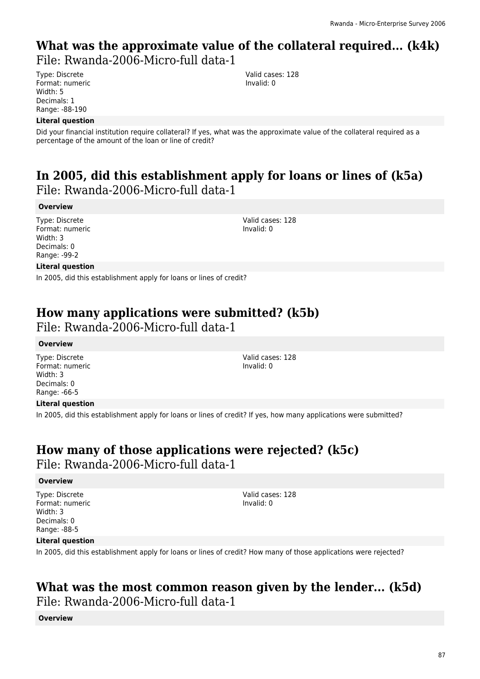# **What was the approximate value of the collateral required... (k4k)**

File: Rwanda-2006-Micro-full data-1

Type: Discrete Format: numeric Width: 5 Decimals: 1 Range: -88-190

### **Literal question**

Did your financial institution require collateral? If yes, what was the approximate value of the collateral required as a percentage of the amount of the loan or line of credit?

### **In 2005, did this establishment apply for loans or lines of (k5a)**  File: Rwanda-2006-Micro-full data-1

### **Overview**

Type: Discrete Format: numeric Width: 3 Decimals: 0 Range: -99-2

Valid cases: 128 Invalid: 0

### **Literal question**

In 2005, did this establishment apply for loans or lines of credit?

### **How many applications were submitted? (k5b)**  File: Rwanda-2006-Micro-full data-1

### **Overview**

Type: Discrete Format: numeric Width: 3 Decimals: 0 Range: -66-5

#### **Literal question**

In 2005, did this establishment apply for loans or lines of credit? If yes, how many applications were submitted?

# **How many of those applications were rejected? (k5c)**

File: Rwanda-2006-Micro-full data-1

### **Overview**

Type: Discrete Format: numeric Width: 3 Decimals: 0 Range: -88-5

Valid cases: 128 Invalid: 0

### **Literal question**

In 2005, did this establishment apply for loans or lines of credit? How many of those applications were rejected?

# **What was the most common reason given by the lender... (k5d)**

File: Rwanda-2006-Micro-full data-1

### **Overview**

87

Valid cases: 128 Invalid: 0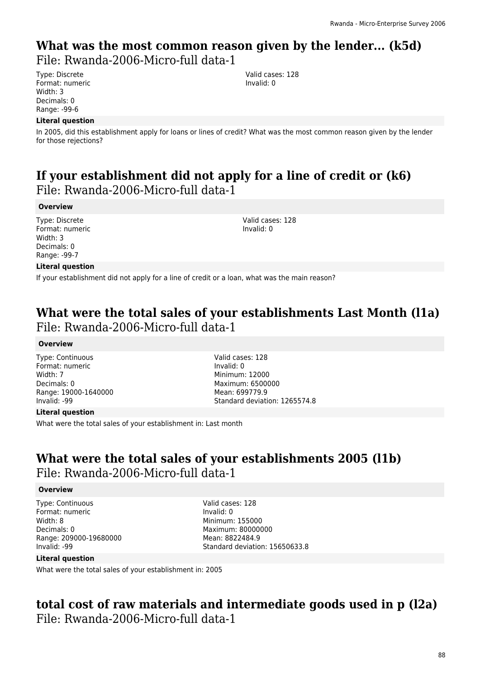# **What was the most common reason given by the lender... (k5d)**

File: Rwanda-2006-Micro-full data-1

Type: Discrete Format: numeric Width: 3 Decimals: 0 Range: -99-6

### **Literal question**

In 2005, did this establishment apply for loans or lines of credit? What was the most common reason given by the lender for those rejections?

### **If your establishment did not apply for a line of credit or (k6)**  File: Rwanda-2006-Micro-full data-1

### **Overview**

Type: Discrete Format: numeric Width: 3 Decimals: 0 Range: -99-7

Valid cases: 128 Invalid: 0

### **Literal question**

If your establishment did not apply for a line of credit or a loan, what was the main reason?

### **What were the total sales of your establishments Last Month (l1a)**  File: Rwanda-2006-Micro-full data-1

#### **Overview**

Type: Continuous Format: numeric Width: 7 Decimals: 0 Range: 19000-1640000 Invalid: -99

#### **Literal question**

What were the total sales of your establishment in: Last month

### **What were the total sales of your establishments 2005 (l1b)**  File: Rwanda-2006-Micro-full data-1

#### **Overview**

Type: Continuous Format: numeric Width: 8 Decimals: 0 Range: 209000-19680000 Invalid: -99

Valid cases: 128 Invalid: 0 Minimum: 155000 Maximum: 80000000 Mean: 8822484.9 Standard deviation: 15650633.8

#### **Literal question**

What were the total sales of your establishment in: 2005

### **total cost of raw materials and intermediate goods used in p (l2a)**  File: Rwanda-2006-Micro-full data-1

Valid cases: 128 Invalid: 0 Minimum: 12000 Maximum: 6500000 Mean: 699779.9 Standard deviation: 1265574.8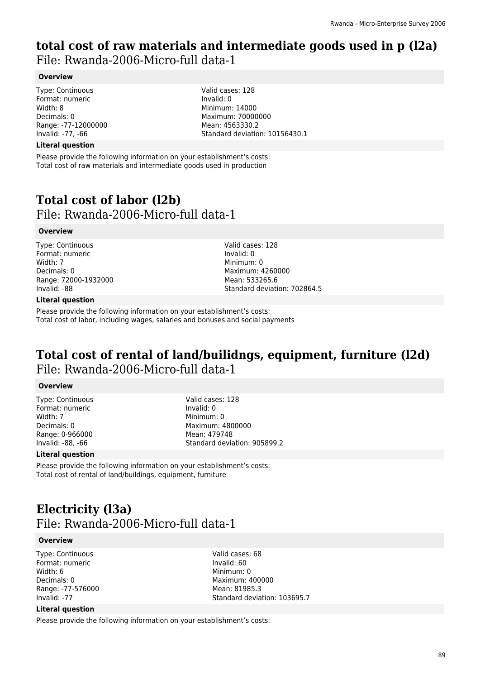### **total cost of raw materials and intermediate goods used in p (l2a)**  File: Rwanda-2006-Micro-full data-1

### **Overview**

Type: Continuous Format: numeric Width: 8 Decimals: 0 Range: -77-12000000 Invalid: -77, -66

Valid cases: 128 Invalid: 0 Minimum: 14000 Maximum: 70000000 Mean: 4563330.2 Standard deviation: 10156430.1

### **Literal question**

Please provide the following information on your establishment's costs: Total cost of raw materials and intermediate goods used in production

### **Total cost of labor (l2b)**  File: Rwanda-2006-Micro-full data-1

### **Overview**

Type: Continuous Format: numeric Width: 7 Decimals: 0 Range: 72000-1932000 Invalid: -88

Valid cases: 128 Invalid: 0 Minimum: 0 Maximum: 4260000 Mean: 533265.6 Standard deviation: 702864.5

### **Literal question**

Please provide the following information on your establishment's costs: Total cost of labor, including wages, salaries and bonuses and social payments

### **Total cost of rental of land/builidngs, equipment, furniture (l2d)**  File: Rwanda-2006-Micro-full data-1

### **Overview**

Type: Continuous Format: numeric Width: 7 Decimals: 0 Range: 0-966000 Invalid: -88, -66

Valid cases: 128 Invalid: 0 Minimum: 0 Maximum: 4800000 Mean: 479748 Standard deviation: 905899.2

### **Literal question**

Please provide the following information on your establishment's costs: Total cost of rental of land/buildings, equipment, furniture

### **Electricity (l3a)**  File: Rwanda-2006-Micro-full data-1

#### **Overview**

Type: Continuous Format: numeric Width: 6 Decimals: 0 Range: -77-576000 Invalid: -77

Valid cases: 68 Invalid: 60 Minimum: 0 Maximum: 400000 Mean: 81985.3 Standard deviation: 103695.7

### **Literal question**

Please provide the following information on your establishment's costs: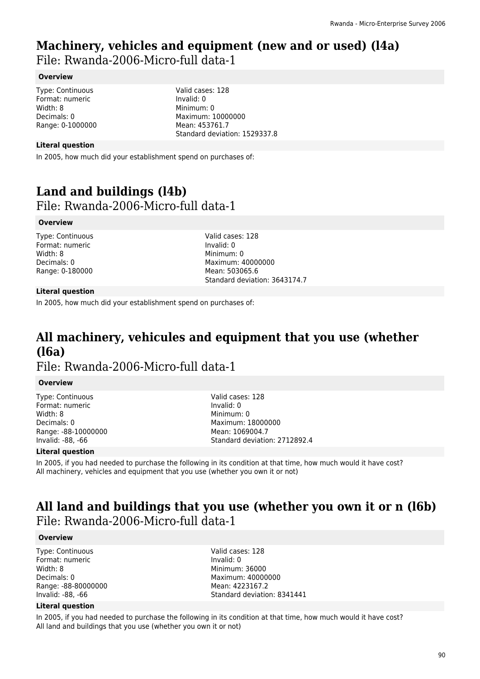### **Machinery, vehicles and equipment (new and or used) (l4a)**  File: Rwanda-2006-Micro-full data-1

### **Overview**

Type: Continuous Format: numeric Width: 8 Decimals: 0 Range: 0-1000000

Valid cases: 128 Invalid: 0 Minimum: 0 Maximum: 10000000 Mean: 453761.7 Standard deviation: 1529337.8

### **Literal question**

In 2005, how much did your establishment spend on purchases of:

### **Land and buildings (l4b)**  File: Rwanda-2006-Micro-full data-1

#### **Overview**

Type: Continuous Format: numeric Width: 8 Decimals: 0 Range: 0-180000

Valid cases: 128 Invalid: 0 Minimum: 0 Maximum: 40000000 Mean: 503065.6 Standard deviation: 3643174.7

#### **Literal question**

In 2005, how much did your establishment spend on purchases of:

### **All machinery, vehicules and equipment that you use (whether (l6a)**  File: Rwanda-2006-Micro-full data-1

#### **Overview**

Type: Continuous Format: numeric Width: 8 Decimals: 0 Range: -88-10000000 Invalid: -88, -66

Valid cases: 128 Invalid: 0 Minimum: 0 Maximum: 18000000 Mean: 1069004.7 Standard deviation: 2712892.4

#### **Literal question**

In 2005, if you had needed to purchase the following in its condition at that time, how much would it have cost? All machinery, vehicles and equipment that you use (whether you own it or not)

### **All land and buildings that you use (whether you own it or n (l6b)**  File: Rwanda-2006-Micro-full data-1

### **Overview**

Type: Continuous Format: numeric Width: 8 Decimals: 0 Range: -88-80000000 Invalid: -88, -66

Valid cases: 128 Invalid: 0 Minimum: 36000 Maximum: 40000000 Mean: 4223167.2 Standard deviation: 8341441

### **Literal question**

In 2005, if you had needed to purchase the following in its condition at that time, how much would it have cost? All land and buildings that you use (whether you own it or not)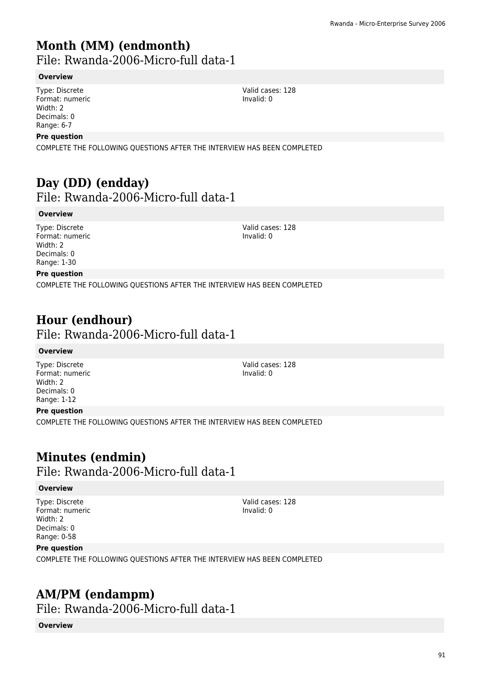## **Month (MM) (endmonth)**

File: Rwanda-2006-Micro-full data-1

### **Overview**

Type: Discrete Format: numeric Width: 2 Decimals: 0 Range: 6-7

### **Pre question**

COMPLETE THE FOLLOWING QUESTIONS AFTER THE INTERVIEW HAS BEEN COMPLETED

### **Day (DD) (endday)**  File: Rwanda-2006-Micro-full data-1

### **Overview**

Type: Discrete Format: numeric Width: 2 Decimals: 0 Range: 1-30

Valid cases: 128 Invalid: 0

Valid cases: 128 Invalid: 0

### **Pre question**

COMPLETE THE FOLLOWING QUESTIONS AFTER THE INTERVIEW HAS BEEN COMPLETED

# **Hour (endhour)**

### File: Rwanda-2006-Micro-full data-1

### **Overview**

Type: Discrete Format: numeric Width: 2 Decimals: 0 Range: 1-12

### **Pre question**

COMPLETE THE FOLLOWING QUESTIONS AFTER THE INTERVIEW HAS BEEN COMPLETED

# **Minutes (endmin)**

File: Rwanda-2006-Micro-full data-1

### **Overview**

Type: Discrete Format: numeric Width: 2 Decimals: 0 Range: 0-58

Valid cases: 128 Invalid: 0

### **Pre question**

COMPLETE THE FOLLOWING QUESTIONS AFTER THE INTERVIEW HAS BEEN COMPLETED

### **AM/PM (endampm)**

File: Rwanda-2006-Micro-full data-1

### **Overview**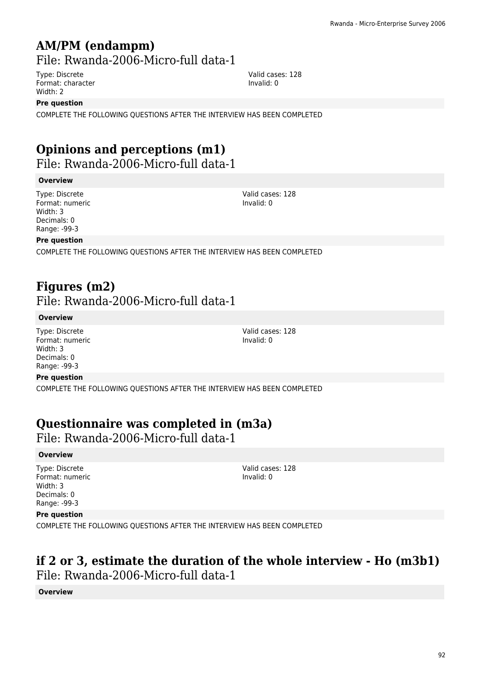# **AM/PM (endampm)**

File: Rwanda-2006-Micro-full data-1

Type: Discrete Format: character Width: 2

**Pre question**

COMPLETE THE FOLLOWING QUESTIONS AFTER THE INTERVIEW HAS BEEN COMPLETED

# **Opinions and perceptions (m1)**

File: Rwanda-2006-Micro-full data-1

### **Overview**

Type: Discrete Format: numeric Width: 3 Decimals: 0 Range: -99-3

### **Pre question**

COMPLETE THE FOLLOWING QUESTIONS AFTER THE INTERVIEW HAS BEEN COMPLETED

# **Figures (m2)**

File: Rwanda-2006-Micro-full data-1

### **Overview**

Type: Discrete Format: numeric Width: 3 Decimals: 0 Range: -99-3

#### Valid cases: 128 Invalid: 0

Valid cases: 128 Invalid: 0

### **Pre question**

COMPLETE THE FOLLOWING QUESTIONS AFTER THE INTERVIEW HAS BEEN COMPLETED

### **Questionnaire was completed in (m3a)**

File: Rwanda-2006-Micro-full data-1

### **Overview**

Type: Discrete Format: numeric Width: 3 Decimals: 0 Range: -99-3

Valid cases: 128 Invalid: 0

### **Pre question**

COMPLETE THE FOLLOWING QUESTIONS AFTER THE INTERVIEW HAS BEEN COMPLETED

### **if 2 or 3, estimate the duration of the whole interview - Ho (m3b1)**  File: Rwanda-2006-Micro-full data-1

### **Overview**